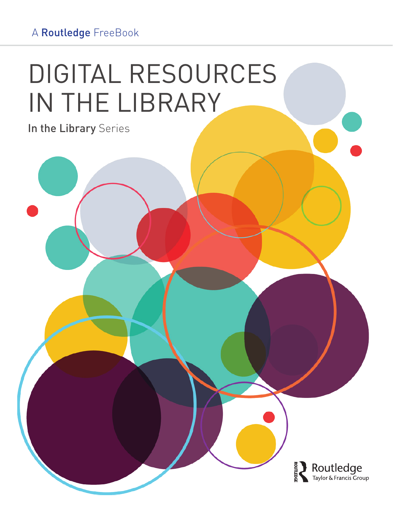# DIGITAL RESOURCES IN THE LIBRARY

In the Library Series

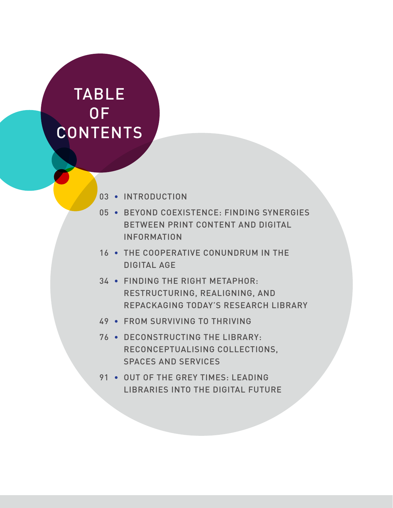# TABLE OF **CONTENTS**

- 03 [INTRODUCTION](#page-2-0)
- 05 BEYOND COEXISTENCE: FINDING SYNERGIES BETWEEN PRINT CONTENT AND DIGITAL INFORMATION
- 16 THE COOPERATIVE CONUNDRUM IN THE DIGITAL AGE
- 34 FINDING THE RIGHT METAPHOR: RESTRUCTURING, REALIGNING, AND REPACKAGING TODAY'S RESEARCH LIBRARY
- 49 FROM SURVIVING TO THRIVING
- 76 DECONSTRUCTING THE LIBRARY: RECONCEPTUALISING COLLECTIONS, SPACES AND SERVICES
- 91 OUT OF THE GREY TIMES: LEADING LIBRARIES INTO THE DIGITAL FUTURE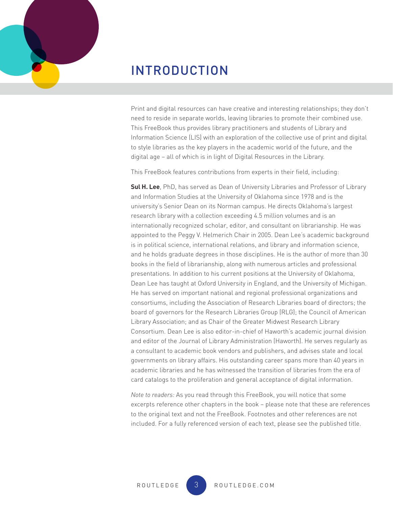### <span id="page-2-0"></span>INTRODUCTION

Print and digital resources can have creative and interesting relationships; they don't need to reside in separate worlds, leaving libraries to promote their combined use. This FreeBook thus provides library practitioners and students of Library and Information Science (LIS) with an exploration of the collective use of print and digital to style libraries as the key players in the academic world of the future, and the digital age – all of which is in light of Digital Resources in the Library.

This FreeBook features contributions from experts in their field, including:

**Sul H. Lee**, PhD, has served as Dean of University Libraries and Professor of Library and Information Studies at the University of Oklahoma since 1978 and is the university's Senior Dean on its Norman campus. He directs Oklahoma's largest research library with a collection exceeding 4.5 million volumes and is an internationally recognized scholar, editor, and consultant on librarianship. He was appointed to the Peggy V. Helmerich Chair in 2005. Dean Lee's academic background is in political science, international relations, and library and information science, and he holds graduate degrees in those disciplines. He is the author of more than 30 books in the field of librarianship, along with numerous articles and professional presentations. In addition to his current positions at the University of Oklahoma, Dean Lee has taught at Oxford University in England, and the University of Michigan. He has served on important national and regional professional organizations and consortiums, including the Association of Research Libraries board of directors; the board of governors for the Research Libraries Group (RLG); the Council of American Library Association; and as Chair of the Greater Midwest Research Library Consortium. Dean Lee is also editor-in-chief of Haworth's academic journal division and editor of the Journal of Library Administration (Haworth). He serves regularly as a consultant to academic book vendors and publishers, and advises state and local governments on library affairs. His outstanding career spans more than 40 years in academic libraries and he has witnessed the transition of libraries from the era of card catalogs to the proliferation and general acceptance of digital information.

*Note to readers:* As you read through this FreeBook, you will notice that some excerpts reference other chapters in the book – please note that these are references to the original text and not the FreeBook. Footnotes and other references are not included. For a fully referenced version of each text, please see the published title.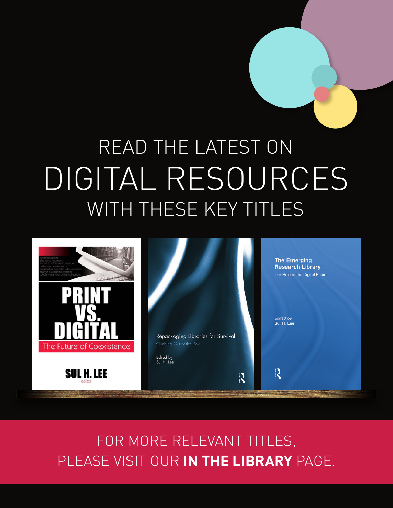# READ THE LATEST ON DIGITAL RESOURCES WITH THESE KEY TITLES



[FOR MORE RELEVANT TITLES,](https://www.routledge.com/reference/collections/11856?utm_source=printed_piece&utm_medium=print&utm_campaign=170706844) PLEASE VISIT OUR **IN THE LIBRARY** PAGE.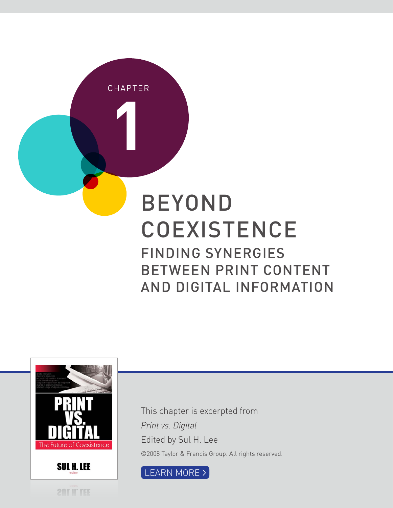

# FINDING SYNERGIES BETWEEN PRINT CONTENT AND DIGITAL INFORMATION



This chapter is excerpted from *Print vs. Digital*  Edited by Sul H. Lee ©2008 Taylor & Francis Group. All rights reserved.



**20TH'TEE**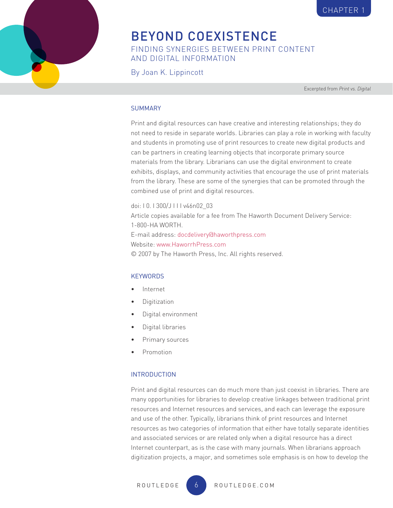FINDING SYNERGIES BETWEEN PRINT CONTENT AND DIGITAL INFORMATION

By Joan K. Lippincott

[Excerpted from](https://www.routledge.com/Print-vs-Digital-The-Future-of-Coexistence/Lee/p/book/9781138995284) *Print vs. Digital*

#### SUMMARY

Print and digital resources can have creative and interesting relationships; they do not need to reside in separate worlds. Libraries can play a role in working with faculty and students in promoting use of print resources to create new digital products and can be partners in creating learning objects that incorporate primary source materials from the library. Librarians can use the digital environment to create exhibits, displays, and community activities that encourage the use of print materials from the library. These are some of the synergies that can be promoted through the combined use of print and digital resources.

doi: I 0. I 300/J I I I v46n02\_03 Article copies available for a fee from The Haworth Document Delivery Service: 1-800-HA WORTH. E-mail address: docdelivery@haworthpress.com Website: www.HaworrhPress.com © 2007 by The Haworth Press, Inc. All rights reserved.

### **KEYWORDS**

- Internet
- Digitization
- Digital environment
- Digital libraries
- Primary sources
- Promotion

### INTRODUCTION

Print and digital resources can do much more than just coexist in libraries. There are many opportunities for libraries to develop creative linkages between traditional print resources and Internet resources and services, and each can leverage the exposure and use of the other. Typically, librarians think of print resources and Internet resources as two categories of information that either have totally separate identities and associated services or are related only when a digital resource has a direct Internet counterpart, as is the case with many journals. When librarians approach digitization projects, a major, and sometimes sole emphasis is on how to develop the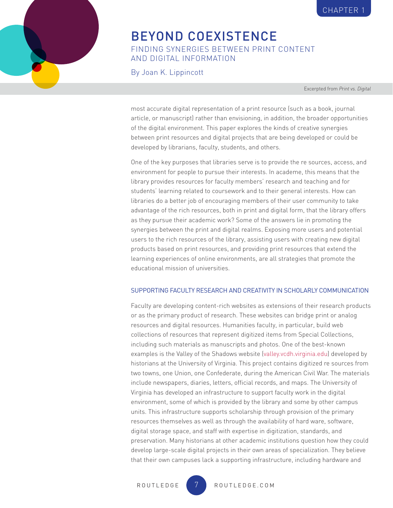### BEYOND COEXISTENCE FINDING SYNERGIES BETWEEN PRINT CONTENT

AND DIGITAL INFORMATION

By Joan K. Lippincott

[Excerpted from](https://www.routledge.com/Print-vs-Digital-The-Future-of-Coexistence/Lee/p/book/9781138995284) *Print vs. Digital*

most accurate digital representation of a print resource (such as a book, journal article, or manuscript) rather than envisioning, in addition, the broader opportunities of the digital environment. This paper explores the kinds of creative synergies between print resources and digital projects that are being developed or could be developed by librarians, faculty, students, and others.

One of the key purposes that libraries serve is to provide the re sources, access, and environment for people to pursue their interests. In academe, this means that the library provides resources for faculty members' research and teaching and for students' learning related to coursework and to their general interests. How can libraries do a better job of encouraging members of their user community to take advantage of the rich resources, both in print and digital form, that the library offers as they pursue their academic work? Some of the answers lie in promoting the synergies between the print and digital realms. Exposing more users and potential users to the rich resources of the library, assisting users with creating new digital products based on print resources, and providing print resources that extend the learning experiences of online environments, are all strategies that promote the educational mission of universities.

### SUPPORTING FACULTY RESEARCH AND CREATIVITY IN SCHOLARLY COMMUNICATION

Faculty are developing content-rich websites as extensions of their research products or as the primary product of research. These websites can bridge print or analog resources and digital resources. Humanities faculty, in particular, build web collections of resources that represent digitized items from Special Collections, including such materials as manuscripts and photos. One of the best-known examples is the Valley of the Shadows website (valley.vcdh.virginia.edu) developed by historians at the University of Virginia. This project contains digitized re sources from two towns, one Union, one Confederate, during the American Civil War. The materials include newspapers, diaries, letters, official records, and maps. The University of Virginia has developed an infrastructure to support faculty work in the digital environment, some of which is provided by the library and some by other campus units. This infrastructure supports scholarship through provision of the primary resources themselves as well as through the availability of hard ware, software, digital storage space, and staff with expertise in digitization, standards, and preservation. Many historians at other academic institutions question how they could develop large-scale digital projects in their own areas of specialization. They believe that their own campuses lack a supporting infrastructure, including hardware and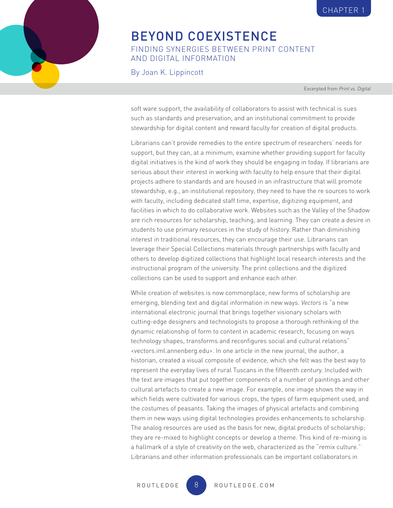### BEYOND COEXISTENCE FINDING SYNERGIES BETWEEN PRINT CONTENT

AND DIGITAL INFORMATION

By Joan K. Lippincott

[Excerpted from](https://www.routledge.com/Print-vs-Digital-The-Future-of-Coexistence/Lee/p/book/9781138995284) *Print vs. Digital*

soft ware support, the availability of collaborators to assist with technical is sues such as standards and preservation, and an institutional commitment to provide stewardship for digital content and reward faculty for creation of digital products.

Librarians can't provide remedies to the entire spectrum of researchers' needs for support, but they can, at a minimum, examine whether providing support for faculty digital initiatives is the kind of work they should be engaging in today. If librarians are serious about their interest in working with faculty to help ensure that their digital projects adhere to standards and are housed in an infrastructure that will promote stewardship, e.g., an institutional repository, they need to have the re sources to work with faculty, including dedicated staff time, expertise, digitizing equipment, and facilities in which to do collaborative work. Websites such as the Valley of the Shadow are rich resources for scholarship, teaching, and learning. They can create a desire in students to use primary resources in the study of history. Rather than diminishing interest in traditional resources, they can encourage their use. Librarians can leverage their Special Collections materials through partnerships with faculty and others to develop digitized collections that highlight local research interests and the instructional program of the university. The print collections and the digitized collections can be used to support and enhance each other.

While creation of websites is now commonplace, new forms of scholarship are emerging, blending text and digital information in new ways. *Vectors* is "a new international electronic journal that brings together visionary scholars with cutting-edge designers and technologists to propose a thorough rethinking of the dynamic relationship of form to content in academic research, focusing on ways technology shapes, transforms and reconfigures social and cultural relations" <vectors.iml.annenberg.edu>. In one article in the new journal, the author, a historian, created a visual composite of evidence, which she felt was the best way to represent the everyday lives of rural Tuscans in the fifteenth century. Included with the text are images that put together components of a number of paintings and other cultural artefacts to create a new image. For example, one image shows the way in which fields were cultivated for various crops, the types of farm equipment used, and the costumes of peasants. Taking the images of physical artefacts and combining them in new ways using digital technologies provides enhancements to scholarship. The analog resources are used as the basis for new, digital products of scholarship; they are re-mixed to highlight concepts or develop a theme. This kind of re-mixing is a hallmark of a style of creativity on the web, characterized as the "remix culture." Librarians and other information professionals can be important collaborators in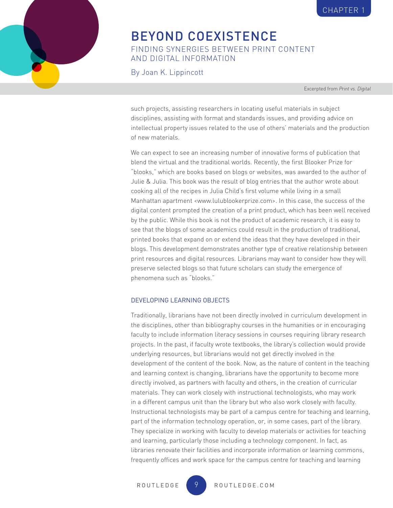### BEYOND COEXISTENCE FINDING SYNERGIES BETWEEN PRINT CONTENT

AND DIGITAL INFORMATION

By Joan K. Lippincott

[Excerpted from](https://www.routledge.com/Print-vs-Digital-The-Future-of-Coexistence/Lee/p/book/9781138995284) *Print vs. Digital*

such projects, assisting researchers in locating useful materials in subject disciplines, assisting with format and standards issues, and providing advice on intellectual property issues related to the use of others' materials and the production of new materials.

We can expect to see an increasing number of innovative forms of publication that blend the virtual and the traditional worlds. Recently, the first Blooker Prize for "blooks," which are books based on blogs or websites, was awarded to the author of Julie & Julia. This book was the result of blog entries that the author wrote about cooking all of the recipes in Julia Child's first volume while living in a small Manhattan apartment <www.lulublookerprize.com>. In this case, the success of the digital content prompted the creation of a print product, which has been well received by the public. While this book is not the product of academic research, it is easy to see that the blogs of some academics could result in the production of traditional, printed books that expand on or extend the ideas that they have developed in their blogs. This development demonstrates another type of creative relationship between print resources and digital resources. Librarians may want to consider how they will preserve selected blogs so that future scholars can study the emergence of phenomena such as "blooks."

### DEVELOPING LEARNING OBJECTS

Traditionally, librarians have not been directly involved in curriculum development in the disciplines, other than bibliography courses in the humanities or in encouraging faculty to include information literacy sessions in courses requiring library research projects. In the past, if faculty wrote textbooks, the library's collection would provide underlying resources, but librarians would not get directly involved in the development of the content of the book. Now, as the nature of content in the teaching and learning context is changing, librarians have the opportunity to become more directly involved, as partners with faculty and others, in the creation of curricular materials. They can work closely with instructional technologists, who may work in a different campus unit than the library but who also work closely with faculty. Instructional technologists may be part of a campus centre for teaching and learning, part of the information technology operation, or, in some cases, part of the library. They specialize in working with faculty to develop materials or activities for teaching and learning, particularly those including a technology component. In fact, as libraries renovate their facilities and incorporate information or learning commons, frequently offices and work space for the campus centre for teaching and learning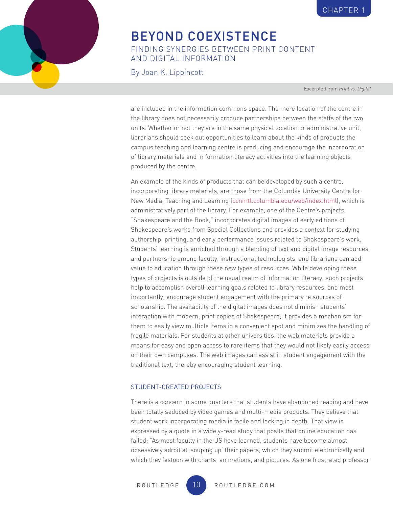FINDING SYNERGIES BETWEEN PRINT CONTENT AND DIGITAL INFORMATION

By Joan K. Lippincott

[Excerpted from](https://www.routledge.com/Print-vs-Digital-The-Future-of-Coexistence/Lee/p/book/9781138995284) *Print vs. Digital*

are included in the information commons space. The mere location of the centre in the library does not necessarily produce partnerships between the staffs of the two units. Whether or not they are in the same physical location or administrative unit, librarians should seek out opportunities to learn about the kinds of products the campus teaching and learning centre is producing and encourage the incorporation of library materials and in formation literacy activities into the learning objects produced by the centre.

An example of the kinds of products that can be developed by such a centre, incorporating library materials, are those from the Columbia University Centre for New Media, Teaching and Leaming (ccnmtl.columbia.edu/web/index.html), which is administratively part of the library. For example, one of the Centre's projects, "Shakespeare and the Book," incorporates digital images of early editions of Shakespeare's works from Special Collections and provides a context for studying authorship, printing, and early performance issues related to Shakespeare's work. Students' learning is enriched through a blending of text and digital image resources, and partnership among faculty, instructional technologists, and librarians can add value to education through these new types of resources. While developing these types of projects is outside of the usual realm of information literacy, such projects help to accomplish overall learning goals related to library resources, and most importantly, encourage student engagement with the primary re sources of scholarship. The availability of the digital images does not diminish students' interaction with modern, print copies of Shakespeare; it provides a mechanism for them to easily view multiple items in a convenient spot and minimizes the handling of fragile materials. For students at other universities, the web materials provide a means for easy and open access to rare items that they would not likely easily access on their own campuses. The web images can assist in student engagement with the traditional text, thereby encouraging student learning.

### STUDENT-CREATED PROJECTS

There is a concern in some quarters that students have abandoned reading and have been totally seduced by video games and multi-media products. They believe that student work incorporating media is facile and lacking in depth. That view is expressed by a quote in a widely-read study that posits that online education has failed: "As most faculty in the US have learned, students have become almost obsessively adroit at 'souping up' their papers, which they submit electronically and which they festoon with charts, animations, and pictures. As one frustrated professor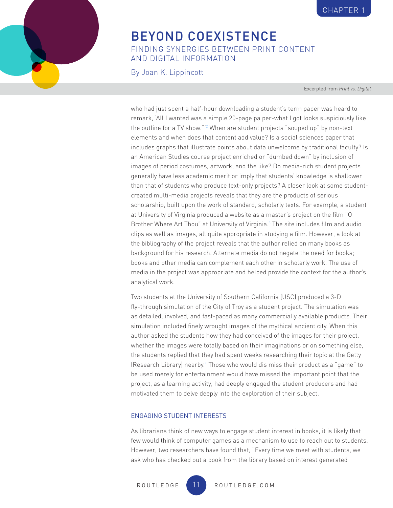FINDING SYNERGIES BETWEEN PRINT CONTENT AND DIGITAL INFORMATION

By Joan K. Lippincott

[Excerpted from](https://www.routledge.com/Print-vs-Digital-The-Future-of-Coexistence/Lee/p/book/9781138995284) *Print vs. Digital*

who had just spent a half-hour downloading a student's term paper was heard to remark, 'All I wanted was a simple 20-page pa per-what I got looks suspiciously like the outline for a TV show."<sup>72</sup> When are student projects "souped up" by non-text elements and when does that content add value? Is a social sciences paper that includes graphs that illustrate points about data unwelcome by traditional faculty? Is an American Studies course project enriched or "dumbed down" by inclusion of images of period costumes, artwork, and the like? Do media-rich student projects generally have less academic merit or imply that students' knowledge is shallower than that of students who produce text-only projects? A closer look at some studentcreated multi-media projects reveals that they are the products of serious scholarship, built upon the work of standard, scholarly texts. For example, a student at University of Virginia produced a website as a master's project on the film "O Brother Where Art Thou" at University of Virginia.<sup>3</sup> The site includes film and audio clips as well as images, all quite appropriate in studying a film. However, a look at the bibliography of the project reveals that the author relied on many books as background for his research. Alternate media do not negate the need for books; books and other media can complement each other in scholarly work. The use of media in the project was appropriate and helped provide the context for the author's analytical work.

Two students at the University of Southern California (USC) produced a 3-D fly-through simulation of the City of Troy as a student project. The simulation was as detailed, involved, and fast-paced as many commercially available products. Their simulation included finely wrought images of the mythical ancient city. When this author asked the students how they had conceived of the images for their project, whether the images were totally based on their imaginations or on something else, the students replied that they had spent weeks researching their topic at the Getty (Research Library) nearby.<sup>4</sup> Those who would dis miss their product as a "game" to be used merely for entertainment would have missed the important point that the project, as a learning activity, had deeply engaged the student producers and had motivated them to delve deeply into the exploration of their subject.

### ENGAGING STUDENT INTERESTS

As librarians think of new ways to engage student interest in books, it is likely that few would think of computer games as a mechanism to use to reach out to students. However, two researchers have found that, "Every time we meet with students, we ask who has checked out a book from the library based on interest generated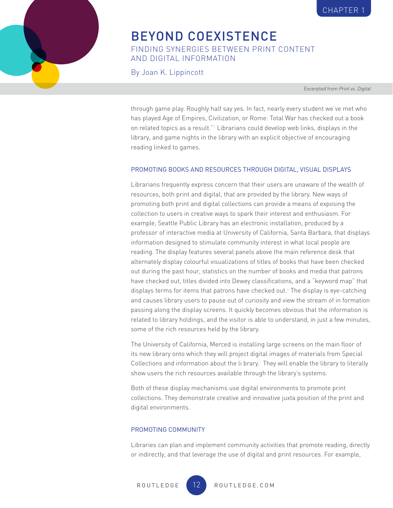FINDING SYNERGIES BETWEEN PRINT CONTENT AND DIGITAL INFORMATION

By Joan K. Lippincott

[Excerpted from](https://www.routledge.com/Print-vs-Digital-The-Future-of-Coexistence/Lee/p/book/9781138995284) *Print vs. Digital*

through game play. Roughly half say yes. In fact, nearly every student we've met who has played Age of Empires, Civilization, or Rome: Total War has checked out a book on related topics as a result."<sup>5</sup> Librarians could develop web links, displays in the library, and game nights in the library with an explicit objective of encouraging reading linked to games.

### PROMOTING BOOKS AND RESOURCES THROUGH DIGITAL, VISUAL DISPLAYS

Librarians frequently express concern that their users are unaware of the wealth of resources, both print and digital, that are provided by the library. New ways of promoting both print and digital collections can provide a means of exposing the collection to users in creative ways to spark their interest and enthusiasm. For example, Seattle Public Library has an electronic installation, produced by a professor of interactive media at University of California, Santa Barbara, that displays information designed to stimulate community interest in what local people are reading. The display features several panels above the main reference desk that alternately display colourful visualizations of titles of books that have been checked out during the past hour, statistics on the number of books and media that patrons have checked out, titles divided into Dewey classifications, and a "keyword map" that displays terms for items that patrons have checked out.<sup>6</sup> The display is eye-catching and causes library users to pause out of curiosity and view the stream of in formation passing along the display screens. It quickly becomes obvious that the information is related to library holdings, and the visitor is able to understand, in just a few minutes, some of the rich resources held by the library.

The University of California, Merced is installing large screens on the main floor of its new library onto which they will project digital images of materials from Special Collections and information about the li brary.<sup>7</sup> They will enable the library to literally show users the rich resources available through the library's systems.

Both of these display mechanisms use digital environments to promote print collections. They demonstrate creative and innovative juxta position of the print and digital environments.

### PROMOTING COMMUNITY

Libraries can plan and implement community activities that promote reading, directly or indirectly, and that leverage the use of digital and print resources. For example,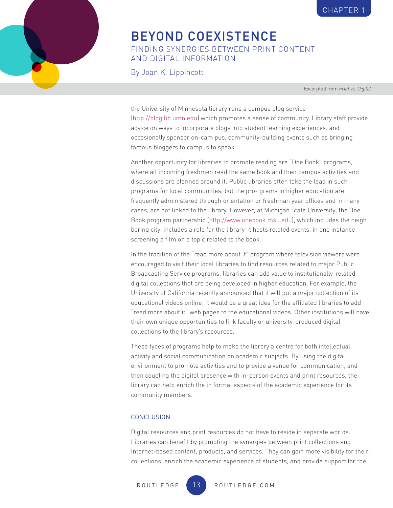FINDING SYNERGIES BETWEEN PRINT CONTENT AND DIGITAL INFORMATION

By Joan K. Lippincott

[Excerpted from](https://www.routledge.com/Print-vs-Digital-The-Future-of-Coexistence/Lee/p/book/9781138995284) *Print vs. Digital*

the University of Minnesota library runs a campus blog service (http://blog.lib.umn.edu) which promotes a sense of community. Library staff provide advice on ways to incorporate blogs into student learning experiences. and occasionally sponsor on-cam pus, community-building events such as bringing famous bloggers to campus to speak.

Another opportunity for libraries to promote reading are "One Book" programs, where all incoming freshmen read the same book and then campus activities and discussions are planned around it. Public libraries often take the lead in such programs for local communities, but the pro- grams in higher education are frequently administered through orientation or freshman year offices and in many cases, are not linked to the library. However, at Michigan State University, the One Book program partnership (http://www.onebook.msu.edu), which includes the neigh boring city, includes a role for the library-it hosts related events, in one instance screening a film on a topic related to the book.

In the tradition of the "read more about it" program where television viewers were encouraged to visit their local libraries to find resources related to major Public Broadcasting Service programs, libraries can add value to institutionally-related digital collections that are being developed in higher education. For example, the University of California recently announced that it will put a major collection of its educational videos online; it would be a great idea for the affiliated libraries to add "read more about it" web pages to the educational videos. Other institutions will have their own unique opportunities to link faculty or university-produced digital collections to the library's resources.

These types of programs help to make the library a centre for both intellectual activity and social communication on academic subjects. By using the digital environment to promote activities and to provide a venue for communication, and then coupling the digital presence with in-person events and print resources, the library can help enrich the in formal aspects of the academic experience for its community members.

### CONCLUSION

Digital resources and print resources do not have to reside in separate worlds. Libraries can benefit by promoting the synergies between print collections and Internet-based content, products, and services. They can gain more visibility for their collections, enrich the academic experience of students, and provide support for the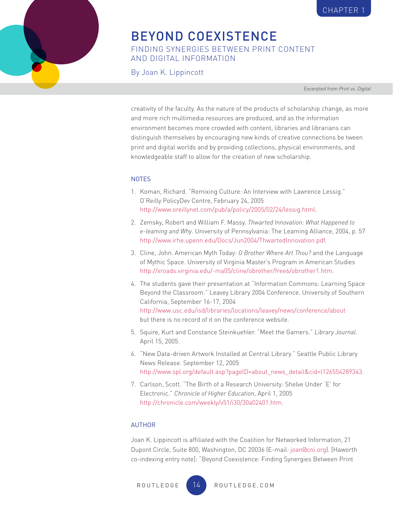FINDING SYNERGIES BETWEEN PRINT CONTENT AND DIGITAL INFORMATION

By Joan K. Lippincott

[Excerpted from](https://www.routledge.com/Print-vs-Digital-The-Future-of-Coexistence/Lee/p/book/9781138995284) *Print vs. Digital*

creativity of the faculty. As the nature of the products of scholarship change, as more and more rich multimedia resources are produced, and as the information environment becomes more crowded with content, libraries and librarians can distinguish themselves by encouraging new kinds of creative connections be tween print and digital worlds and by providing collections, physical environments, and knowledgeable staff to allow for the creation of new scholarship.

### **NOTES**

- 1. Koman, Richard. "Remixing Culture: An Interview with Lawrence Lessig." O'Reilly PolicyDev Centre, February 24, 2005 http://www.oreillynet.com/pub/a/policy/2005/02/24/lessig.html.
- 2. Zemsky, Robert and William F. Massy. *Thwarted Innovation: What Happened to e-leaming and Why*. University of Pennsylvania: The Leaming Alliance, 2004, p. 57 http://www.irhe.upenn.edu/Docs/Jun2004/Thwartedlnnovation.pdf.
- 3. Cline, John. American Myth Today: *O Brother Where Art Thou?* and the Language of Mythic Space. University of Virginia Master's Program in American Studies http://xroads.virginia.edu/-ma05/cline/obrother/free6/obrother1.htm.
- 4. The students gave their presentation at "Information Commons: Learning Space Beyond the Classroom." Leavey Library 2004 Conference. University of Southern California, September 16-17, 2004 http://www.usc.edu/isd/libraries/locations/leavey/news/conference/about but there is no record of it on the conference website.
- 5. Squire, Kurt and Constance Steinkuehler. "Meet the Gamers." *Library Journal*. April 15, 2005.
- 6. "New Data-driven Artwork Installed at Central Library." Seattle Public Library News Release. September 12, 2005 http://www.spl.org/default.asp?pagelD=about\_news\_detail&cid=l126554289343.
- 7. Carlson, Scott. "The Birth of a Research University: Shelve Under 'E' for Electronic." *Chronicle of Higher Education*, April 1, 2005 http://chronicle.com/weekly/v51/i30/30a02401.htm.

### AUTHOR

Joan K. Lippincott is affiliated with the Coalition for Networked Information, 21 Dupont Circle, Suite 800, Washington, DC 20036 (E-mail: joan@cni.org). [Haworth co-indexing entry note]: "Beyond Coexistence: Finding Synergies Between Print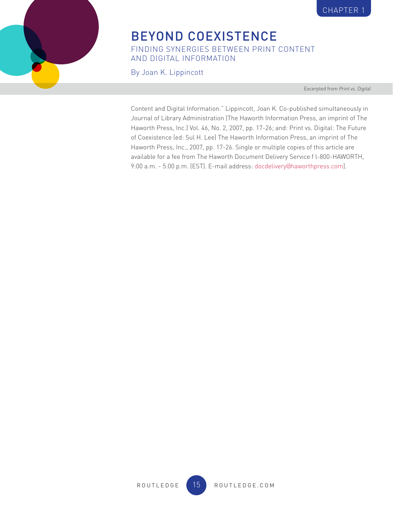FINDING SYNERGIES BETWEEN PRINT CONTENT AND DIGITAL INFORMATION

By Joan K. Lippincott

[Excerpted from](https://www.routledge.com/Print-vs-Digital-The-Future-of-Coexistence/Lee/p/book/9781138995284) *Print vs. Digital*

Content and Digital Information." Lippincott, Joan K. Co-published simultaneously in Journal of Library Administration (The Haworth Information Press, an imprint of The Haworth Press, Inc.) Vol. 46, No. 2, 2007, pp. 17-26; and: Print vs. Digital: The Future of Coexistence (ed: Sul H. Lee) The Haworth Information Press, an imprint of The Haworth Press, Inc., 2007, pp. 17-26. Single or multiple copies of this article are available for a fee from The Haworth Document Delivery Service f l-800-HAWORTH, 9:00 a.m. - 5:00 p.m. (EST). E-mail address: docdelivery@haworthpress.com].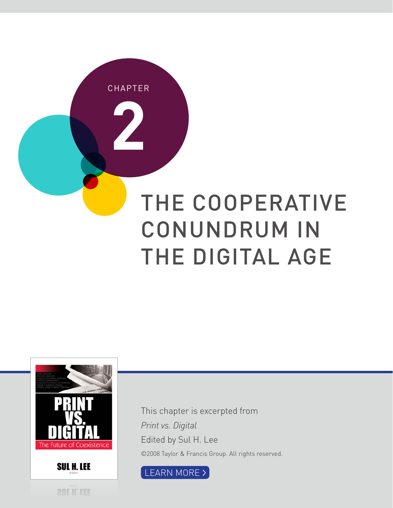





This chapter is excerpted from *Print vs. Digital*  Edited by Sul H. Lee ©2008 Taylor & Francis Group. All rights reserved.



**20TH'TEE**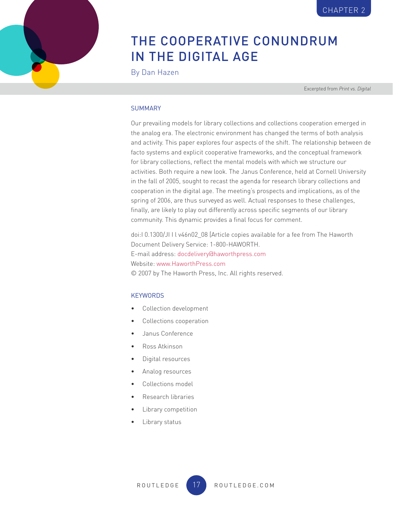By Dan Hazen

[Excerpted from](https://www.routledge.com/Print-vs-Digital-The-Future-of-Coexistence/Lee/p/book/9781138995284) *Print vs. Digital*

#### SUMMARY

Our prevailing models for library collections and collections cooperation emerged in the analog era. The electronic environment has changed the terms of both analysis and activity. This paper explores four aspects of the shift. The relationship between de facto systems and explicit cooperative frameworks, and the conceptual framework for library collections, reflect the mental models with which we structure our activities. Both require a new look. The Janus Conference, held at Cornell University in the fall of 2005, sought to recast the agenda for research library collections and cooperation in the digital age. The meeting's prospects and implications, as of the spring of 2006, are thus surveyed as well. Actual responses to these challenges, finally, are likely to play out differently across specific segments of our library community. This dynamic provides a final focus for comment.

doi:I 0.1300/JI I l v46n02\_08 [Article copies available for a fee from The Haworth Document Delivery Service: 1-800-HAWORTH. E-mail address: docdelivery@haworthpress.com Website: www.HaworthPress.com © 2007 by The Haworth Press, Inc. All rights reserved.

### **KEYWORDS**

- Collection development
- Collections cooperation
- Janus Conference
- Ross Atkinson
- Digital resources
- Analog resources
- Collections model
- Research libraries
- Library competition
- Library status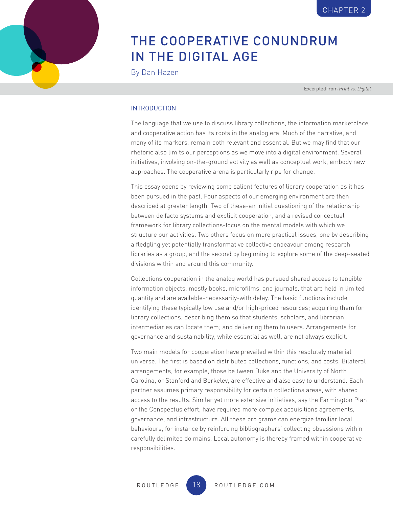By Dan Hazen

[Excerpted from](https://www.routledge.com/Print-vs-Digital-The-Future-of-Coexistence/Lee/p/book/9781138995284) *Print vs. Digital*

#### INTRODUCTION

The language that we use to discuss library collections, the information marketplace, and cooperative action has its roots in the analog era. Much of the narrative, and many of its markers, remain both relevant and essential. But we may find that our rhetoric also limits our perceptions as we move into a digital environment. Several initiatives, involving on-the-ground activity as well as conceptual work, embody new approaches. The cooperative arena is particularly ripe for change.

This essay opens by reviewing some salient features of library cooperation as it has been pursued in the past. Four aspects of our emerging environment are then described at greater length. Two of these-an initial questioning of the relationship between de facto systems and explicit cooperation, and a revised conceptual framework for library collections-focus on the mental models with which we structure our activities. Two others focus on more practical issues, one by describing a fledgling yet potentially transformative collective endeavour among research libraries as a group, and the second by beginning to explore some of the deep-seated divisions within and around this community.

Collections cooperation in the analog world has pursued shared access to tangible information objects, mostly books, microfilms, and journals, that are held in limited quantity and are available-necessarily-with delay. The basic functions include identifying these typically low use and/or high-priced resources; acquiring them for library collections; describing them so that students, scholars, and librarian intermediaries can locate them; and delivering them to users. Arrangements for governance and sustainability, while essential as well, are not always explicit.

Two main models for cooperation have prevailed within this resolutely material universe. The first is based on distributed collections, functions, and costs. Bilateral arrangements, for example, those be tween Duke and the University of North Carolina, or Stanford and Berkeley, are effective and also easy to understand. Each partner assumes primary responsibility for certain collections areas, with shared access to the results. Similar yet more extensive initiatives, say the Farmington Plan or the Conspectus effort, have required more complex acquisitions agreements, governance, and infrastructure. All these pro grams can energize familiar local behaviours, for instance by reinforcing bibliographers' collecting obsessions within carefully delimited do mains. Local autonomy is thereby framed within cooperative responsibilities.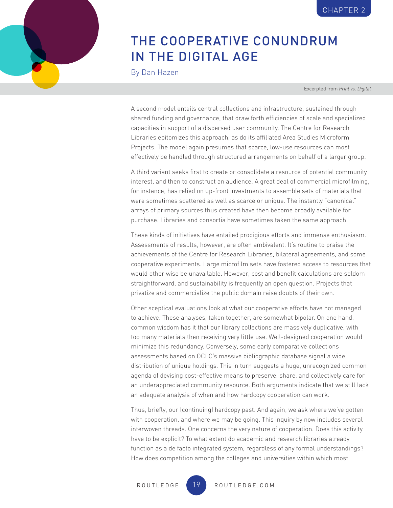By Dan Hazen

[Excerpted from](https://www.routledge.com/Print-vs-Digital-The-Future-of-Coexistence/Lee/p/book/9781138995284) *Print vs. Digital*

A second model entails central collections and infrastructure, sustained through shared funding and governance, that draw forth efficiencies of scale and specialized capacities in support of a dispersed user community. The Centre for Research Libraries epitomizes this approach, as do its affiliated Area Studies Microform Projects. The model again presumes that scarce, low-use resources can most effectively be handled through structured arrangements on behalf of a larger group.

A third variant seeks first to create or consolidate a resource of potential community interest, and then to construct an audience. A great deal of commercial microfilming, for instance, has relied on up-front investments to assemble sets of materials that were sometimes scattered as well as scarce or unique. The instantly "canonical" arrays of primary sources thus created have then become broadly available for purchase. Libraries and consortia have sometimes taken the same approach.

These kinds of initiatives have entailed prodigious efforts and immense enthusiasm. Assessments of results, however, are often ambivalent. It's routine to praise the achievements of the Centre for Research Libraries, bilateral agreements, and some cooperative experiments. Large microfilm sets have fostered access to resources that would other wise be unavailable. However, cost and benefit calculations are seldom straightforward, and sustainability is frequently an open question. Projects that privatize and commercialize the public domain raise doubts of their own.

Other sceptical evaluations look at what our cooperative efforts have not managed to achieve. These analyses, taken together, are somewhat bipolar. On one hand, common wisdom has it that our library collections are massively duplicative, with too many materials then receiving very little use. Well-designed cooperation would minimize this redundancy. Conversely, some early comparative collections assessments based on OCLC's massive bibliographic database signal a wide distribution of unique holdings. This in turn suggests a huge, unrecognized common agenda of devising cost-effective means to preserve, share, and collectively care for an underappreciated community resource. Both arguments indicate that we still lack an adequate analysis of when and how hardcopy cooperation can work.

Thus, briefly, our (continuing) hardcopy past. And again, we ask where we've gotten with cooperation, and where we may be going. This inquiry by now includes several interwoven threads. One concerns the very nature of cooperation. Does this activity have to be explicit? To what extent do academic and research libraries already function as a de facto integrated system, regardless of any formal understandings? How does competition among the colleges and universities within which most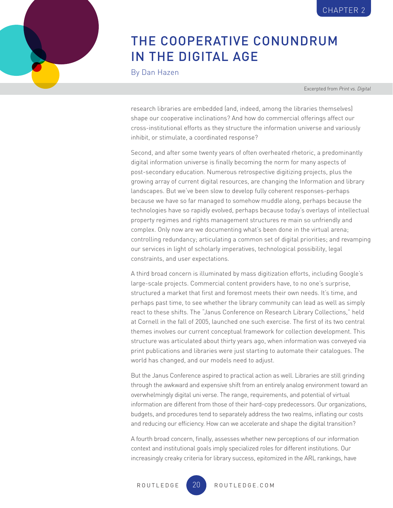By Dan Hazen

[Excerpted from](https://www.routledge.com/Print-vs-Digital-The-Future-of-Coexistence/Lee/p/book/9781138995284) *Print vs. Digital*

research libraries are embedded (and, indeed, among the libraries themselves) shape our cooperative inclinations? And how do commercial offerings affect our cross-institutional efforts as they structure the information universe and variously inhibit, or stimulate, a coordinated response?

Second, and after some twenty years of often overheated rhetoric, a predominantly digital information universe is finally becoming the norm for many aspects of post-secondary education. Numerous retrospective digitizing projects, plus the growing array of current digital resources, are changing the Information and library landscapes. But we've been slow to develop fully coherent responses-perhaps because we have so far managed to somehow muddle along, perhaps because the technologies have so rapidly evolved, perhaps because today's overlays of intellectual property regimes and rights management structures re main so unfriendly and complex. Only now are we documenting what's been done in the virtual arena; controlling redundancy; articulating a common set of digital priorities; and revamping our services in light of scholarly imperatives, technological possibility, legal constraints, and user expectations.

A third broad concern is illuminated by mass digitization efforts, including Google's large-scale projects. Commercial content providers have, to no one's surprise, structured a market that first and foremost meets their own needs. It's time, and perhaps past time, to see whether the library community can lead as well as simply react to these shifts. The "Janus Conference on Research Library Collections," held at Cornell in the fall of 2005, launched one such exercise. The first of its two central themes involves our current conceptual framework for collection development. This structure was articulated about thirty years ago, when information was conveyed via print publications and libraries were just starting to automate their catalogues. The world has changed, and our models need to adjust.

But the Janus Conference aspired to practical action as well. Libraries are still grinding through the awkward and expensive shift from an entirely analog environment toward an overwhelmingly digital uni verse. The range, requirements, and potential of virtual information are different from those of their hard-copy predecessors. Our organizations, budgets, and procedures tend to separately address the two realms, inflating our costs and reducing our efficiency. How can we accelerate and shape the digital transition?

A fourth broad concern, finally, assesses whether new perceptions of our information context and institutional goals imply specialized roles for different institutions. Our increasingly creaky criteria for library success, epitomized in the ARL rankings, have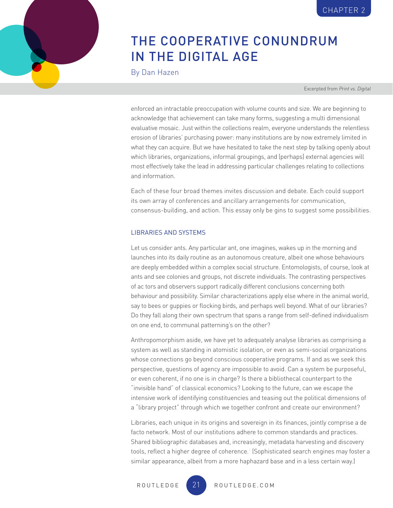By Dan Hazen

[Excerpted from](https://www.routledge.com/Print-vs-Digital-The-Future-of-Coexistence/Lee/p/book/9781138995284) *Print vs. Digital*

enforced an intractable preoccupation with volume counts and size. We are beginning to acknowledge that achievement can take many forms, suggesting a multi dimensional evaluative mosaic. Just within the collections realm, everyone understands the relentless erosion of libraries' purchasing power: many institutions are by now extremely limited in what they can acquire. But we have hesitated to take the next step by talking openly about which libraries, organizations, informal groupings, and (perhaps) external agencies will most effectively take the lead in addressing particular challenges relating to collections and information.

Each of these four broad themes invites discussion and debate. Each could support its own array of conferences and ancillary arrangements for communication, consensus-building, and action. This essay only be gins to suggest some possibilities.

#### LIBRARIES AND SYSTEMS

Let us consider ants. Any particular ant, one imagines, wakes up in the morning and launches into its daily routine as an autonomous creature, albeit one whose behaviours are deeply embedded within a complex social structure. Entomologists, of course, look at ants and see colonies and groups, not discrete individuals. The contrasting perspectives of ac tors and observers support radically different conclusions concerning both behaviour and possibility. Similar characterizations apply else where in the animal world, say to bees or guppies or flocking birds, and perhaps well beyond. What of our libraries? Do they fall along their own spectrum that spans a range from self-defined individualism on one end, to communal patterning's on the other?

Anthropomorphism aside, we have yet to adequately analyse libraries as comprising a system as well as standing in atomistic isolation, or even as semi-social organizations whose connections go beyond conscious cooperative programs. If and as we seek this perspective, questions of agency are impossible to avoid. Can a system be purposeful, or even coherent, if no one is in charge? Is there a bibliothecal counterpart to the "invisible hand" of classical economics? Looking to the future, can we escape the intensive work of identifying constituencies and teasing out the political dimensions of a "library project" through which we together confront and create our environment?

Libraries, each unique in its origins and sovereign in its finances, jointly comprise a de facto network. Most of our institutions adhere to common standards and practices. Shared bibliographic databases and, increasingly, metadata harvesting and discovery tools, reflect a higher degree of coherence.<sup>1</sup> (Sophisticated search engines may foster a similar appearance, albeit from a more haphazard base and in a less certain way.)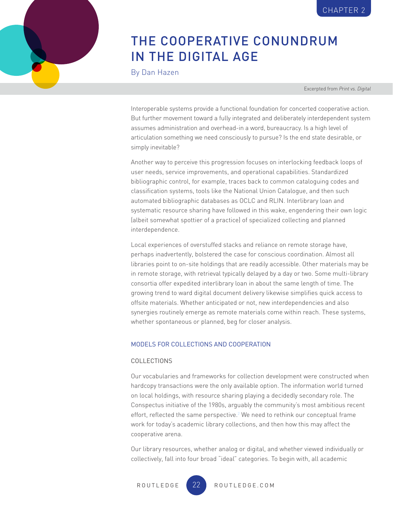By Dan Hazen

[Excerpted from](https://www.routledge.com/Print-vs-Digital-The-Future-of-Coexistence/Lee/p/book/9781138995284) *Print vs. Digital*

Interoperable systems provide a functional foundation for concerted cooperative action. But further movement toward a fully integrated and deliberately interdependent system assumes administration and overhead-in a word, bureaucracy. Is a high level of articulation something we need consciously to pursue? Is the end state desirable, or simply inevitable?

Another way to perceive this progression focuses on interlocking feedback loops of user needs, service improvements, and operational capabilities. Standardized bibliographic control, for example, traces back to common cataloguing codes and classification systems, tools like the National Union Catalogue, and then such automated bibliographic databases as OCLC and RLIN. Interlibrary loan and systematic resource sharing have followed in this wake, engendering their own logic (albeit somewhat spottier of a practice) of specialized collecting and planned interdependence.

Local experiences of overstuffed stacks and reliance on remote storage have, perhaps inadvertently, bolstered the case for conscious coordination. Almost all libraries point to on-site holdings that are readily accessible. Other materials may be in remote storage, with retrieval typically delayed by a day or two. Some multi-library consortia offer expedited interlibrary loan in about the same length of time. The growing trend to ward digital document delivery likewise simplifies quick access to offsite materials. Whether anticipated or not, new interdependencies and also synergies routinely emerge as remote materials come within reach. These systems, whether spontaneous or planned, beg for closer analysis.

#### MODELS FOR COLLECTIONS AND COOPERATION

22

#### COLLECTIONS

Our vocabularies and frameworks for collection development were constructed when hardcopy transactions were the only available option. The information world turned on local holdings, with resource sharing playing a decidedly secondary role. The Conspectus initiative of the 1980s, arguably the community's most ambitious recent effort, reflected the same perspective.<sup>2</sup> We need to rethink our conceptual frame work for today's academic library collections, and then how this may affect the cooperative arena.

Our library resources, whether analog or digital, and whether viewed individually or collectively, fall into four broad "ideal" categories. To begin with, all academic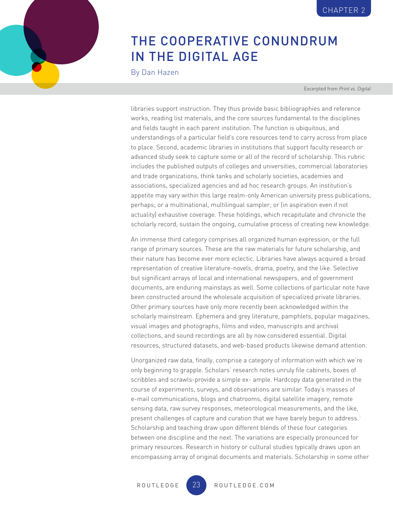By Dan Hazen

[Excerpted from](https://www.routledge.com/Print-vs-Digital-The-Future-of-Coexistence/Lee/p/book/9781138995284) *Print vs. Digital*

libraries support instruction. They thus provide basic bibliographies and reference works, reading list materials, and the core sources fundamental to the disciplines and fields taught in each parent institution. The function is ubiquitous, and understandings of a particular field's core resources tend to carry across from place to place. Second, academic libraries in institutions that support faculty research or advanced study seek to capture some or all of the record of scholarship. This rubric includes the published outputs of colleges and universities, commercial laboratories and trade organizations, think tanks and scholarly societies, academies and associations, specialized agencies and ad hoc research groups. An institution's appetite may vary within this large realm-only American university press publications, perhaps; or a multinational, multilingual sampler; or (in aspiration even if not actuality) exhaustive coverage. These holdings, which recapitulate and chronicle the scholarly record, sustain the ongoing, cumulative process of creating new knowledge.

An immense third category comprises all organized human expression, or the full range of primary sources. These are the raw materials for future scholarship, and their nature has become ever more eclectic. Libraries have always acquired a broad representation of creative literature-novels, drama, poetry, and the like. Selective but significant arrays of local and international newspapers, and of government documents, are enduring mainstays as well. Some collections of particular note have been constructed around the wholesale acquisition of specialized private libraries. Other primary sources have only more recently been acknowledged within the scholarly mainstream. Ephemera and grey literature, pamphlets, popular magazines, visual images and photographs, films and video, manuscripts and archival collections, and sound recordings are all by now considered essential. Digital resources, structured datasets, and web-based products likewise demand attention.

Unorganized raw data, finally, comprise a category of information with which we're only beginning to grapple. Scholars' research notes unruly file cabinets, boxes of scribbles and scrawls-provide a simple ex- ample. Hardcopy data generated in the course of experiments, surveys, and observations are similar. Today's masses of e-mail communications, blogs and chatrooms, digital satellite imagery, remote sensing data, raw survey responses, meteorological measurements, and the like, present challenges of capture and curation that we have barely begun to address.<sup>3</sup> Scholarship and teaching draw upon different blends of these four categories between one discipline and the next. The variations are especially pronounced for primary resources. Research in history or cultural studies typically draws upon an encompassing array of original documents and materials. Scholarship in some other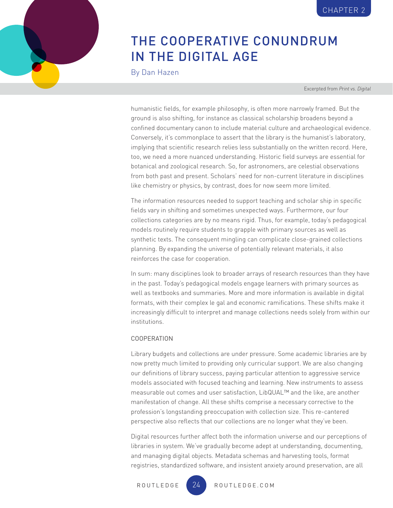By Dan Hazen

[Excerpted from](https://www.routledge.com/Print-vs-Digital-The-Future-of-Coexistence/Lee/p/book/9781138995284) *Print vs. Digital*

humanistic fields, for example philosophy, is often more narrowly framed. But the ground is also shifting, for instance as classical scholarship broadens beyond a confined documentary canon to include material culture and archaeological evidence. Conversely, it's commonplace to assert that the library is the humanist's laboratory, implying that scientific research relies less substantially on the written record. Here, too, we need a more nuanced understanding. Historic field surveys are essential for botanical and zoological research. So, for astronomers, are celestial observations from both past and present. Scholars' need for non-current literature in disciplines like chemistry or physics, by contrast, does for now seem more limited.

The information resources needed to support teaching and scholar ship in specific fields vary in shifting and sometimes unexpected ways. Furthermore, our four collections categories are by no means rigid. Thus, for example, today's pedagogical models routinely require students to grapple with primary sources as well as synthetic texts. The consequent mingling can complicate close-grained collections planning. By expanding the universe of potentially relevant materials, it also reinforces the case for cooperation.

In sum: many disciplines look to broader arrays of research resources than they have in the past. Today's pedagogical models engage learners with primary sources as well as textbooks and summaries. More and more information is available in digital formats, with their complex le gal and economic ramifications. These shifts make it increasingly difficult to interpret and manage collections needs solely from within our institutions.

#### COOPERATION

Library budgets and collections are under pressure. Some academic libraries are by now pretty much limited to providing only curricular support. We are also changing our definitions of library success, paying particular attention to aggressive service models associated with focused teaching and learning. New instruments to assess measurable out comes and user satisfaction, LibQUAL™ and the like, are another manifestation of change. All these shifts comprise a necessary corrective to the profession's longstanding preoccupation with collection size. This re-cantered perspective also reflects that our collections are no longer what they've been.

Digital resources further affect both the information universe and our perceptions of libraries in system. We've gradually become adept at understanding, documenting, and managing digital objects. Metadata schemas and harvesting tools, format registries, standardized software, and insistent anxiety around preservation, are all

24

ROUTLEDGE 24 ROUTLEDGE COM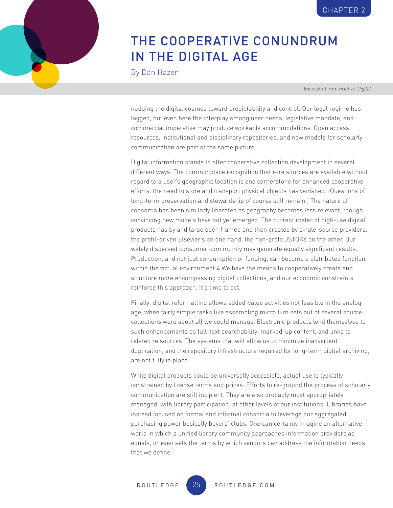By Dan Hazen

[Excerpted from](https://www.routledge.com/Print-vs-Digital-The-Future-of-Coexistence/Lee/p/book/9781138995284) *Print vs. Digital*

nudging the digital cosmos toward predictability and control. Our legal regime has lagged, but even here the interplay among user needs, legislative mandate, and commercial imperative may produce workable accommodations. Open access resources, institutional and disciplinary repositories, and new models for scholarly communication are part of the same picture.

Digital information stands to alter cooperative collection development in several different ways. The commonplace recognition that e-re sources are available without regard to a user's geographic location is one cornerstone for enhanced cooperative efforts: the need to store and transport physical objects has vanished. (Questions of long-term preservation and stewardship of course still remain.) The nature of consortia has been similarly liberated as geography becomes less relevant, though convincing new models have not yet emerged. The current roster of high-use digital products has by and large been framed and then created by single-source providers, the profit-driven Elsevier's on one hand, the non-profit JSTORs on the other. Our widely dispersed consumer com munity may generate equally significant results. Production, and not just consumption or funding, can become a distributed function within the virtual environment.4 We have the means to cooperatively create and structure more encompassing digital collections, and our economic constraints reinforce this approach. It's time to act.

Finally, digital reformatting allows added-value activities not feasible in the analog age, when fairly simple tasks like assembling micro film sets out of several source collections were about all we could manage. Electronic products lend themselves to such enhancements as full-text searchability, marked-up content, and links to related re sources. The systems that will allow us to minimize inadvertent duplication, and the repository infrastructure required for long-term digital archiving, are not fully in place.

While digital products could be universally accessible, actual use is typically constrained by license terms and prices. Efforts to re-ground the process of scholarly communication are still incipient. They are also probably most appropriately managed, with library participation, at other levels of our institutions. Libraries have instead focused on formal and informal consortia to leverage our aggregated purchasing power basically buyers' clubs. One can certainly imagine an alternative world in which a unified library community approaches information providers as equals, or even sets the terms by which vendors can address the information needs that we define.<sup>5</sup>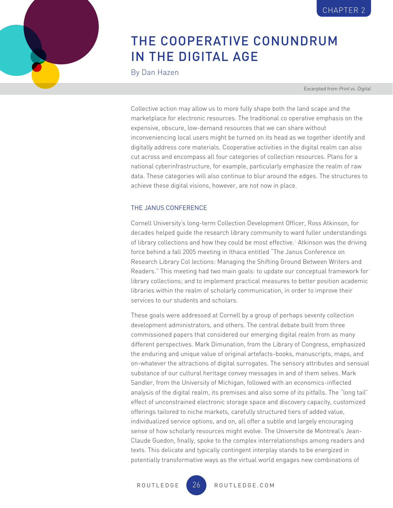By Dan Hazen

[Excerpted from](https://www.routledge.com/Print-vs-Digital-The-Future-of-Coexistence/Lee/p/book/9781138995284) *Print vs. Digital*

Collective action may allow us to more fully shape both the land scape and the marketplace for electronic resources. The traditional co operative emphasis on the expensive, obscure, low-demand resources that we can share without inconveniencing local users might be turned on its head as we together identify and digitally address core materials. Cooperative activities in the digital realm can also cut across and encompass all four categories of collection resources. Plans for a national cyberinfrastructure, for example, particularly emphasize the realm of raw data. These categories will also continue to blur around the edges. The structures to achieve these digital visions, however, are not now in place.

### THE JANUS CONFERENCE

Cornell University's long-term Collection Development Officer, Ross Atkinson, for decades helped guide the research library community to ward fuller understandings of library collections and how they could be most effective.<sup>6</sup> Atkinson was the driving force behind a fall 2005 meeting in Ithaca entitled "The Janus Conference on Research Library Col lections: Managing the Shifting Ground Between Writers and Readers." This meeting had two main goals: to update our conceptual framework for library collections; and to implement practical measures to better position academic libraries within the realm of scholarly communication, in order to improve their services to our students and scholars.

These goals were addressed at Cornell by a group of perhaps seventy collection development administrators, and others. The central debate built from three commissioned papers that considered our emerging digital realm from as many different perspectives. Mark Dimunation, from the Library of Congress, emphasized the enduring and unique value of original artefacts-books, manuscripts, maps, and on-whatever the attractions of digital surrogates. The sensory attributes and sensual substance of our cultural heritage convey messages in and of them selves. Mark Sandler, from the University of Michigan, followed with an economics-inflected analysis of the digital realm, its premises and also some of its pitfalls. The "long tail" effect of unconstrained electronic storage space and discovery capacity, customized offerings tailored to niche markets, carefully structured tiers of added value, individualized service options, and on, all offer a subtle and largely encouraging sense of how scholarly resources might evolve. The Universite de Montreal's Jean-Claude Guedon, finally, spoke to the complex interrelationships among readers and texts. This delicate and typically contingent interplay stands to be energized in potentially transformative ways as the virtual world engages new combinations of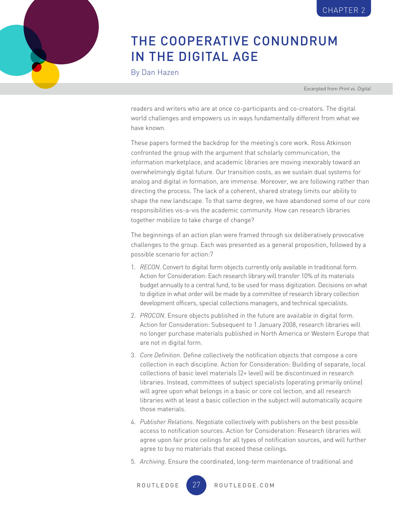By Dan Hazen

[Excerpted from](https://www.routledge.com/Print-vs-Digital-The-Future-of-Coexistence/Lee/p/book/9781138995284) *Print vs. Digital*

readers and writers who are at once co-participants and co-creators. The digital world challenges and empowers us in ways fundamentally different from what we have known.

These papers formed the backdrop for the meeting's core work. Ross Atkinson confronted the group with the argument that scholarly communication, the information marketplace, and academic libraries are moving inexorably toward an overwhelmingly digital future. Our transition costs, as we sustain dual systems for analog and digital in formation, are immense. Moreover, we are following rather than directing the process. The lack of a coherent, shared strategy limits our ability to shape the new landscape. To that same degree, we have abandoned some of our core responsibilities vis-a-vis the academic community. How can research libraries together mobilize to take charge of change?

The beginnings of an action plan were framed through six deliberatively provocative challenges to the group. Each was presented as a general proposition, followed by a possible scenario for action:7

- 1. *RECON*. Convert to digital form objects currently only available in traditional form. Action for Consideration: Each research library will transfer 10% of its materials budget annually to a central fund, to be used for mass digitization. Decisions on what to digitize in what order will be made by a committee of research library collection development officers, special collections managers, and technical specialists.
- 2. *PROCON*. Ensure objects published in the future are available in digital form. Action for Consideration: Subsequent to 1 January 2008, research libraries will no longer purchase materials published in North America or Western Europe that are not in digital form.
- 3. *Core Definition*. Define collectively the notification objects that compose a core collection in each discipline. Action for Consideration: Building of separate, local collections of basic level materials (2+ level) will be discontinued in research libraries. Instead, committees of subject specialists (operating primarily online) will agree upon what belongs in a basic or core col lection, and all research libraries with at least a basic collection in the subject will automatically acquire those materials.
- 4. *Publisher Relations*. Negotiate collectively with publishers on the best possible access to notification sources. Action for Consideration: Research libraries will agree upon fair price ceilings for all types of notification sources, and will further agree to buy no materials that exceed these ceilings.
- 5. *Archiving*. Ensure the coordinated, long-term maintenance of traditional and

27

ROUTLEDGE 27 ROUTLEDGE.COM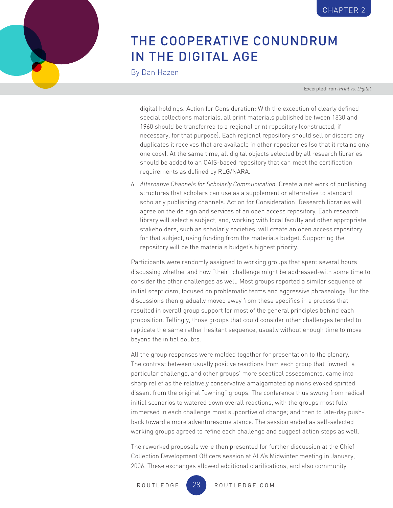By Dan Hazen

[Excerpted from](https://www.routledge.com/Print-vs-Digital-The-Future-of-Coexistence/Lee/p/book/9781138995284) *Print vs. Digital*

digital holdings. Action for Consideration: With the exception of clearly defined special collections materials, all print materials published be tween 1830 and 1960 should be transferred to a regional print repository (constructed, if necessary, for that purpose). Each regional repository should sell or discard any duplicates it receives that are available in other repositories (so that it retains only one copy). At the same time, all digital objects selected by all research libraries should be added to an OAIS-based repository that can meet the certification requirements as defined by RLG/NARA.

6. *Alternative Channels for Scholarly Communication*. Create a net work of publishing structures that scholars can use as a supplement or alternative to standard scholarly publishing channels. Action for Consideration: Research libraries will agree on the de sign and services of an open access repository. Each research library will select a subject, and, working with local faculty and other appropriate stakeholders, such as scholarly societies, will create an open access repository for that subject, using funding from the materials budget. Supporting the repository will be the materials budget's highest priority.

Participants were randomly assigned to working groups that spent several hours discussing whether and how "their" challenge might be addressed-with some time to consider the other challenges as well. Most groups reported a similar sequence of initial scepticism, focused on problematic terms and aggressive phraseology. But the discussions then gradually moved away from these specifics in a process that resulted in overall group support for most of the general principles behind each proposition. Tellingly, those groups that could consider other challenges tended to replicate the same rather hesitant sequence, usually without enough time to move beyond the initial doubts.

All the group responses were melded together for presentation to the plenary. The contrast between usually positive reactions from each group that "owned" a particular challenge, and other groups' more sceptical assessments, came into sharp relief as the relatively conservative amalgamated opinions evoked spirited dissent from the original "owning" groups. The conference thus swung from radical initial scenarios to watered down overall reactions, with the groups most fully immersed in each challenge most supportive of change; and then to late-day pushback toward a more adventuresome stance. The session ended as self-selected working groups agreed to refine each challenge and suggest action steps as well.

The reworked proposals were then presented for further discussion at the Chief Collection Development Officers session at ALA's Midwinter meeting in January, 2006. These exchanges allowed additional clarifications, and also community

28

ROUTLEDGE 28 ROUTLEDGE COM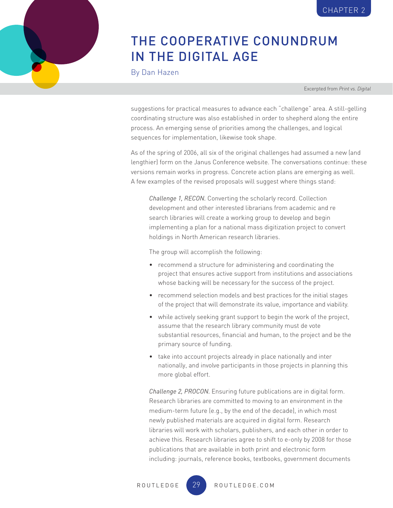By Dan Hazen

[Excerpted from](https://www.routledge.com/Print-vs-Digital-The-Future-of-Coexistence/Lee/p/book/9781138995284) *Print vs. Digital*

suggestions for practical measures to advance each "challenge" area. A still-gelling coordinating structure was also established in order to shepherd along the entire process. An emerging sense of priorities among the challenges, and logical sequences for implementation, likewise took shape.

As of the spring of 2006, all six of the original challenges had assumed a new (and lengthier) form on the Janus Conference website. The conversations continue: these versions remain works in progress. Concrete action plans are emerging as well. A few examples of the revised proposals will suggest where things stand:

*Challenge 1, RECON.* Converting the scholarly record. Collection development and other interested librarians from academic and re search libraries will create a working group to develop and begin implementing a plan for a national mass digitization project to convert holdings in North American research libraries.

The group will accomplish the following:

- recommend a structure for administering and coordinating the project that ensures active support from institutions and associations whose backing will be necessary for the success of the project.
- recommend selection models and best practices for the initial stages of the project that will demonstrate its value, importance and viability.
- while actively seeking grant support to begin the work of the project, assume that the research library community must de vote substantial resources, financial and human, to the project and be the primary source of funding.
- take into account projects already in place nationally and inter nationally, and involve participants in those projects in planning this more global effort.

*Challenge 2, PROCON.* Ensuring future publications are in digital form. Research libraries are committed to moving to an environment in the medium-term future (e.g., by the end of the decade), in which most newly published materials are acquired in digital form. Research libraries will work with scholars, publishers, and each other in order to achieve this. Research libraries agree to shift to e-only by 2008 for those publications that are available in both print and electronic form including: journals, reference books, textbooks, government documents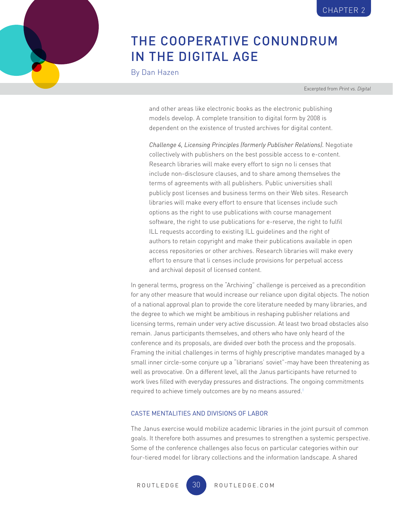By Dan Hazen

[Excerpted from](https://www.routledge.com/Print-vs-Digital-The-Future-of-Coexistence/Lee/p/book/9781138995284) *Print vs. Digital*

and other areas like electronic books as the electronic publishing models develop. A complete transition to digital form by 2008 is dependent on the existence of trusted archives for digital content.

*Challenge 4, Licensing Principles (formerly Publisher Relations).* Negotiate collectively with publishers on the best possible access to e-content. Research libraries will make every effort to sign no li censes that include non-disclosure clauses, and to share among themselves the terms of agreements with all publishers. Public universities shall publicly post licenses and business terms on their Web sites. Research libraries will make every effort to ensure that licenses include such options as the right to use publications with course management software, the right to use publications for e-reserve, the right to fulfil ILL requests according to existing ILL guidelines and the right of authors to retain copyright and make their publications available in open access repositories or other archives. Research libraries will make every effort to ensure that li censes include provisions for perpetual access and archival deposit of licensed content.

In general terms, progress on the "Archiving" challenge is perceived as a precondition for any other measure that would increase our reliance upon digital objects. The notion of a national approval plan to provide the core literature needed by many libraries, and the degree to which we might be ambitious in reshaping publisher relations and licensing terms, remain under very active discussion. At least two broad obstacles also remain. Janus participants themselves, and others who have only heard of the conference and its proposals, are divided over both the process and the proposals. Framing the initial challenges in terms of highly prescriptive mandates managed by a small inner circle-some conjure up a "librarians' soviet"-may have been threatening as well as provocative. On a different level, all the Janus participants have returned to work lives filled with everyday pressures and distractions. The ongoing commitments required to achieve timely outcomes are by no means assured.<sup>8</sup>

### CASTE MENTALITIES AND DIVISIONS OF LABOR

The Janus exercise would mobilize academic libraries in the joint pursuit of common goals. It therefore both assumes and presumes to strengthen a systemic perspective. Some of the conference challenges also focus on particular categories within our four-tiered model for library collections and the information landscape. A shared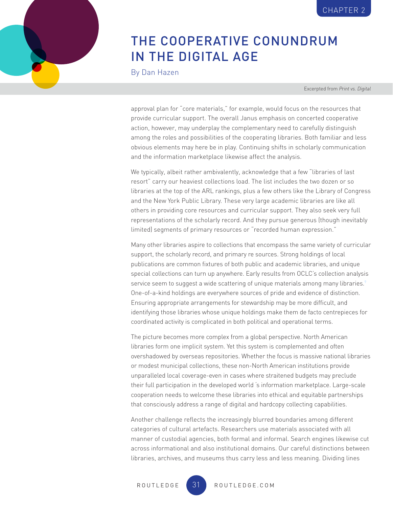By Dan Hazen

[Excerpted from](https://www.routledge.com/Print-vs-Digital-The-Future-of-Coexistence/Lee/p/book/9781138995284) *Print vs. Digital*

approval plan for "core materials," for example, would focus on the resources that provide curricular support. The overall Janus emphasis on concerted cooperative action, however, may underplay the complementary need to carefully distinguish among the roles and possibilities of the cooperating libraries. Both familiar and less obvious elements may here be in play. Continuing shifts in scholarly communication and the information marketplace likewise affect the analysis.

We typically, albeit rather ambivalently, acknowledge that a few "libraries of last resort" carry our heaviest collections load. The list includes the two dozen or so libraries at the top of the ARL rankings, plus a few others like the Library of Congress and the New York Public Library. These very large academic libraries are like all others in providing core resources and curricular support. They also seek very full representations of the scholarly record. And they pursue generous (though inevitably limited) segments of primary resources or "recorded human expression."

Many other libraries aspire to collections that encompass the same variety of curricular support, the scholarly record, and primary re sources. Strong holdings of local publications are common fixtures of both public and academic libraries, and unique special collections can turn up anywhere. Early results from OCLC's collection analysis service seem to suggest a wide scattering of unique materials among many libraries.9 One-of-a-kind holdings are everywhere sources of pride and evidence of distinction. Ensuring appropriate arrangements for stewardship may be more difficult, and identifying those libraries whose unique holdings make them de facto centrepieces for coordinated activity is complicated in both political and operational terms.

The picture becomes more complex from a global perspective. North American libraries form one implicit system. Yet this system is complemented and often overshadowed by overseas repositories. Whether the focus is massive national libraries or modest municipal collections, these non-North American institutions provide unparalleled local coverage-even in cases where straitened budgets may preclude their full participation in the developed world 's information marketplace. Large-scale cooperation needs to welcome these libraries into ethical and equitable partnerships that consciously address a range of digital and hardcopy collecting capabilities.

Another challenge reflects the increasingly blurred boundaries among different categories of cultural artefacts. Researchers use materials associated with all manner of custodial agencies, both formal and informal. Search engines likewise cut across informational and also institutional domains. Our careful distinctions between libraries, archives, and museums thus carry less and less meaning. Dividing lines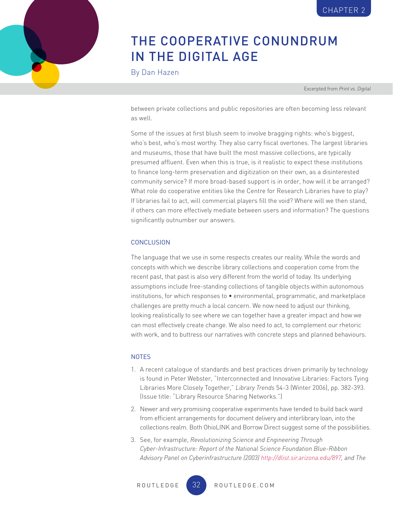By Dan Hazen

[Excerpted from](https://www.routledge.com/Print-vs-Digital-The-Future-of-Coexistence/Lee/p/book/9781138995284) *Print vs. Digital*

between private collections and public repositories are often becoming less relevant as well.

Some of the issues at first blush seem to involve bragging rights: who's biggest, who's best, who's most worthy. They also carry fiscal overtones. The largest libraries and museums, those that have built the most massive collections, are typically presumed affluent. Even when this is true, is it realistic to expect these institutions to finance long-term preservation and digitization on their own, as a disinterested community service? If more broad-based support is in order, how will it be arranged? What role do cooperative entities like the Centre for Research Libraries have to play? If libraries fail to act, will commercial players fill the void? Where will we then stand, if others can more effectively mediate between users and information? The questions significantly outnumber our answers.

### **CONCLUSION**

The language that we use in some respects creates our reality. While the words and concepts with which we describe library collections and cooperation come from the recent past, that past is also very different from the world of today. Its underlying assumptions include free-standing collections of tangible objects within autonomous institutions, for which responses to • environmental, programmatic, and marketplace challenges are pretty much a local concern. We now need to adjust our thinking, looking realistically to see where we can together have a greater impact and how we can most effectively create change. We also need to act, to complement our rhetoric with work, and to buttress our narratives with concrete steps and planned behaviours.

#### **NOTES**

- 1. A recent catalogue of standards and best practices driven primarily by technology is found in Peter Webster, "Interconnected and Innovative Libraries: Factors Tying Libraries More Closely Together," *Library Trends* 54-3 (Winter 2006), pp. 382-393. (Issue title: "Library Resource Sharing Networks.")
- 2. Newer and very promising cooperative experiments have tended to build back ward from efficient arrangements for document delivery and interlibrary loan, into the collections realm. Both OhioLINK and Borrow Direct suggest some of the possibilities.
- 3. See, for example, *Revolutionizing Science and Engineering Through Cyber-Infrastructure: Report of the National Science Foundation Blue-Ribbon Advisory Panel on Cyberinfrastructure (2003) http://dlist.sir.arizona.edu/897, and The*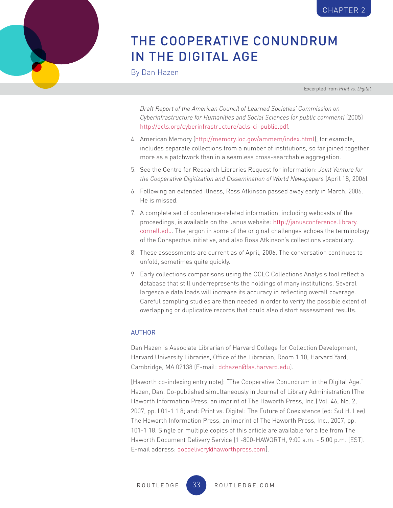By Dan Hazen

[Excerpted from](https://www.routledge.com/Print-vs-Digital-The-Future-of-Coexistence/Lee/p/book/9781138995284) *Print vs. Digital*

*Draft Report of the American Council of Learned Societies' Commission on Cyberinfrastructure for Humanities and Social Sciences (or public comment)* (2005) http://acls.org/cyberinfrastructure/acls-ci-publie.pdf.

- 4. American Memory (http://memory.loc.gov/ammem/index.html), for example, includes separate collections from a number of institutions, so far joined together more as a patchwork than in a seamless cross-searchable aggregation.
- 5. See the Centre for Research Libraries Request for information: *Joint Venture for the Cooperative Digitization and Dissemination of World Newspapers* (April 18, 2006).
- 6. Following an extended illness, Ross Atkinson passed away early in March, 2006. He is missed.
- 7. A complete set of conference-related information, including webcasts of the proceedings, is available on the Janus website: [http://janusconference.library.](http://janusconference.library.cornell.edu) [cornell.edu.](http://janusconference.library.cornell.edu) The jargon in some of the original challenges echoes the terminology of the Conspectus initiative, and also Ross Atkinson's collections vocabulary.
- 8. These assessments are current as of April, 2006. The conversation continues to unfold, sometimes quite quickly.
- 9. Early collections comparisons using the OCLC Collections Analysis tool reflect a database that still underrepresents the holdings of many institutions. Several largescale data loads will increase its accuracy in reflecting overall coverage. Careful sampling studies are then needed in order to verify the possible extent of overlapping or duplicative records that could also distort assessment results.

#### AUTHOR

Dan Hazen is Associate Librarian of Harvard College for Collection Development, Harvard University Libraries, Office of the Librarian, Room 1 10, Harvard Yard, Cambridge, MA 02138 (E-mail: dchazen@fas.harvard.edu).

[Haworth co-indexing entry note]: "The Cooperative Conundrum in the Digital Age." Hazen, Dan. Co-published simultaneously in Journal of Library Administration (The Haworth Information Press, an imprint of The Haworth Press, Inc.) Vol. 46, No. 2, 2007, pp. I 01-1 1 8; and: Print vs. Digital: The Future of Coexistence (ed: Sul H. Lee) The Haworth Information Press, an imprint of The Haworth Press, Inc., 2007, pp. 101-1 18. Single or multiple copies of this article are available for a fee from The Haworth Document Delivery Service [1 -800-HAWORTH, 9:00 a.m. - 5:00 p.m. (EST). E-mail address: docdelivcry@haworthprcss.com].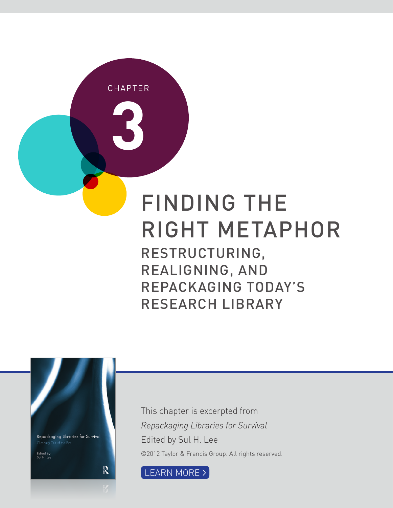

# FINDING THE RIGHT METAPHOR

RESTRUCTURING, REALIGNING, AND REPACKAGING TODAY'S RESEARCH LIBRARY



This chapter is excerpted from *Repackaging Libraries for Survival* Edited by Sul H. Lee ©2012 Taylor & Francis Group. All rights reserved.

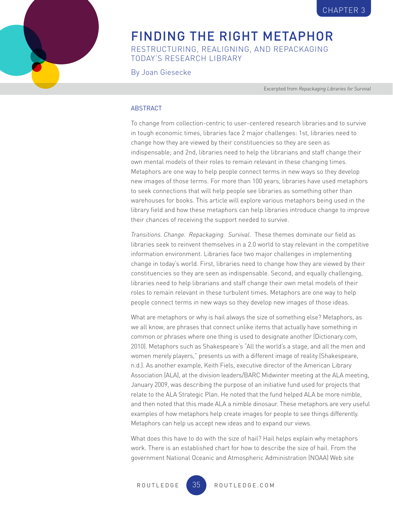### FINDING THE RIGHT METAPHOR RESTRUCTURING, REALIGNING, AND REPACKAGING

TODAY'S RESEARCH LIBRARY

By Joan Giesecke

Excerpted from *[Repackaging Libraries for Survival](https://www.routledge.com/Repackaging-Libraries-for-Survival-Climbing-Out-of-the-Box/Lee/p/book/9780415850339)*

#### **ABSTRACT**

To change from collection-centric to user-centered research libraries and to survive in tough economic times, libraries face 2 major challenges: 1st, libraries need to change how they are viewed by their constituencies so they are seen as indispensable; and 2nd, libraries need to help the librarians and staff change their own mental models of their roles to remain relevant in these changing times. Metaphors are one way to help people connect terms in new ways so they develop new images of those terms. For more than 100 years, libraries have used metaphors to seek connections that will help people see libraries as something other than warehouses for books. This article will explore various metaphors being used in the library field and how these metaphors can help libraries introduce change to improve their chances of receiving the support needed to survive.

*Transitions. Change. Repackaging. Survival*. These themes dominate our field as libraries seek to reinvent themselves in a 2.0 world to stay relevant in the competitive information environment. Libraries face two major challenges in implementing change in today's world. First, libraries need to change how they are viewed by their constituencies so they are seen as indispensable. Second, and equally challenging, libraries need to help librarians and staff change their own metal models of their roles to remain relevant in these turbulent times. Metaphors are one way to help people connect terms in new ways so they develop new images of those ideas.

What are metaphors or why is hail always the size of something else? Metaphors, as we all know, are phrases that connect unlike items that actually have something in common or phrases where one thing is used to designate another (Dictionary.com, 2010). Metaphors such as Shakespeare's "All the world's a stage, and all the men and women merely players," presents us with a different image of reality (Shakespeare, n.d.). As another example, Keith Fiels, executive director of the American Library Association (ALA), at the division leaders/BARC Midwinter meeting at the ALA meeting, January 2009, was describing the purpose of an initiative fund used for projects that relate to the ALA Strategic Plan. He noted that the fund helped ALA be more nimble, and then noted that this made ALA a nimble dinosaur. These metaphors are very useful examples of how metaphors help create images for people to see things differently. Metaphors can help us accept new ideas and to expand our views.

What does this have to do with the size of hail? Hail helps explain why metaphors work. There is an established chart for how to describe the size of hail. From the government National Oceanic and Atmospheric Administration (NOAA) Web site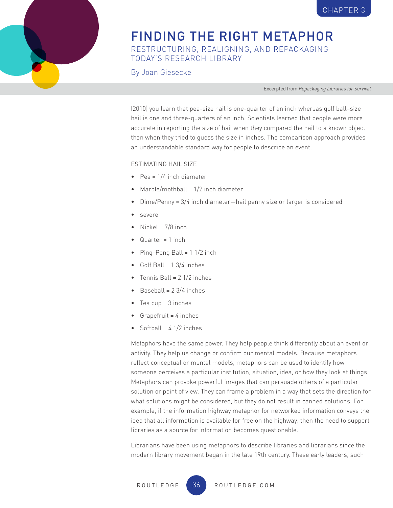### FINDING THE RIGHT METAPHOR

RESTRUCTURING, REALIGNING, AND REPACKAGING TODAY'S RESEARCH LIBRARY

By Joan Giesecke

Excerpted from *[Repackaging Libraries for Survival](https://www.routledge.com/Repackaging-Libraries-for-Survival-Climbing-Out-of-the-Box/Lee/p/book/9780415850339)*

(2010) you learn that pea-size hail is one-quarter of an inch whereas golf ball–size hail is one and three-quarters of an inch. Scientists learned that people were more accurate in reporting the size of hail when they compared the hail to a known object than when they tried to guess the size in inches. The comparison approach provides an understandable standard way for people to describe an event.

ESTIMATING HAIL SIZE

- Pea =  $1/4$  inch diameter
- Marble/mothball = 1/2 inch diameter
- Dime/Penny = 3/4 inch diameter—hail penny size or larger is considered
- severe
- Nickel =  $7/8$  inch
- Quarter = 1 inch
- Ping-Pong Ball =  $11/2$  inch
- Golf Ball =  $1 \frac{3}{4}$  inches
- Tennis Ball = 2 1/2 inches
- $\bullet$  Baseball = 2 3/4 inches
- Tea cup  $=$  3 inches
- Grapefruit = 4 inches
- Softball =  $41/2$  inches

Metaphors have the same power. They help people think differently about an event or activity. They help us change or confirm our mental models. Because metaphors reflect conceptual or mental models, metaphors can be used to identify how someone perceives a particular institution, situation, idea, or how they look at things. Metaphors can provoke powerful images that can persuade others of a particular solution or point of view. They can frame a problem in a way that sets the direction for what solutions might be considered, but they do not result in canned solutions. For example, if the information highway metaphor for networked information conveys the idea that all information is available for free on the highway, then the need to support libraries as a source for information becomes questionable.

Librarians have been using metaphors to describe libraries and librarians since the modern library movement began in the late 19th century. These early leaders, such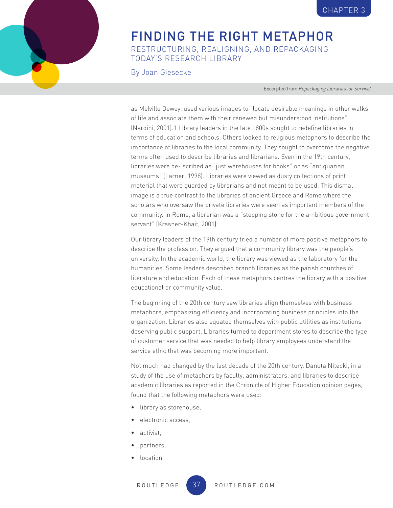

By Joan Giesecke

Excerpted from *[Repackaging Libraries for Survival](https://www.routledge.com/Repackaging-Libraries-for-Survival-Climbing-Out-of-the-Box/Lee/p/book/9780415850339)*

as Melville Dewey, used various images to "locate desirable meanings in other walks of life and associate them with their renewed but misunderstood institutions" (Nardini, 2001).1 Library leaders in the late 1800s sought to redefine libraries in terms of education and schools. Others looked to religious metaphors to describe the importance of libraries to the local community. They sought to overcome the negative terms often used to describe libraries and librarians. Even in the 19th century, libraries were de- scribed as "just warehouses for books" or as "antiquarian museums" (Larner, 1998). Libraries were viewed as dusty collections of print material that were guarded by librarians and not meant to be used. This dismal image is a true contrast to the libraries of ancient Greece and Rome where the scholars who oversaw the private libraries were seen as important members of the community. In Rome, a librarian was a "stepping stone for the ambitious government servant" (Krasner-Khait, 2001).

Our library leaders of the 19th century tried a number of more positive metaphors to describe the profession. They argued that a community library was the people's university. In the academic world, the library was viewed as the laboratory for the humanities. Some leaders described branch libraries as the parish churches of literature and education. Each of these metaphors centres the library with a positive educational or community value.

The beginning of the 20th century saw libraries align themselves with business metaphors, emphasizing efficiency and incorporating business principles into the organization. Libraries also equated themselves with public utilities as institutions deserving public support. Libraries turned to department stores to describe the type of customer service that was needed to help library employees understand the service ethic that was becoming more important.

Not much had changed by the last decade of the 20th century. Danuta Nitecki, in a study of the use of metaphors by faculty, administrators, and libraries to describe academic libraries as reported in the Chronicle of Higher Education opinion pages, found that the following metaphors were used:

- library as storehouse,
- electronic access.
- activist,
- partners,
- location,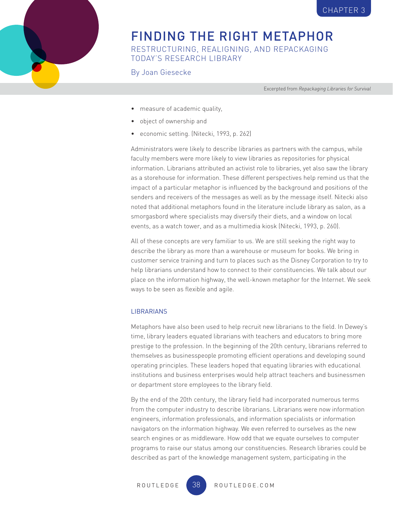By Joan Giesecke

Excerpted from *[Repackaging Libraries for Survival](https://www.routledge.com/Repackaging-Libraries-for-Survival-Climbing-Out-of-the-Box/Lee/p/book/9780415850339)*

- measure of academic quality,
- object of ownership and
- economic setting. (Nitecki, 1993, p. 262)

Administrators were likely to describe libraries as partners with the campus, while faculty members were more likely to view libraries as repositories for physical information. Librarians attributed an activist role to libraries, yet also saw the library as a storehouse for information. These different perspectives help remind us that the impact of a particular metaphor is influenced by the background and positions of the senders and receivers of the messages as well as by the message itself. Nitecki also noted that additional metaphors found in the literature include library as salon, as a smorgasbord where specialists may diversify their diets, and a window on local events, as a watch tower, and as a multimedia kiosk (Nitecki, 1993, p. 260).

All of these concepts are very familiar to us. We are still seeking the right way to describe the library as more than a warehouse or museum for books. We bring in customer service training and turn to places such as the Disney Corporation to try to help librarians understand how to connect to their constituencies. We talk about our place on the information highway, the well-known metaphor for the Internet. We seek ways to be seen as flexible and agile.

### LIBRARIANS

Metaphors have also been used to help recruit new librarians to the field. In Dewey's time, library leaders equated librarians with teachers and educators to bring more prestige to the profession. In the beginning of the 20th century, librarians referred to themselves as businesspeople promoting efficient operations and developing sound operating principles. These leaders hoped that equating libraries with educational institutions and business enterprises would help attract teachers and businessmen or department store employees to the library field.

By the end of the 20th century, the library field had incorporated numerous terms from the computer industry to describe librarians. Librarians were now information engineers, information professionals, and information specialists or information navigators on the information highway. We even referred to ourselves as the new search engines or as middleware. How odd that we equate ourselves to computer programs to raise our status among our constituencies. Research libraries could be described as part of the knowledge management system, participating in the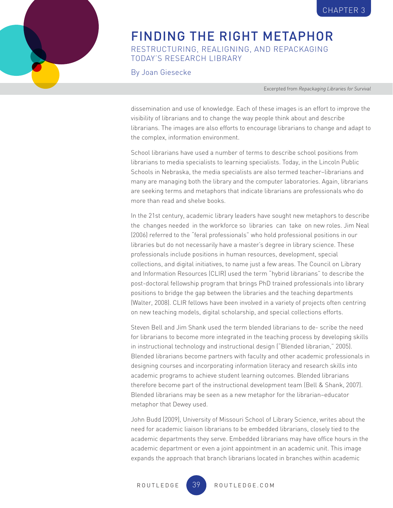## FINDING THE RIGHT METAPHOR RESTRUCTURING, REALIGNING, AND REPACKAGING

By Joan Giesecke

TODAY'S RESEARCH LIBRARY

Excerpted from *[Repackaging Libraries for Survival](https://www.routledge.com/Repackaging-Libraries-for-Survival-Climbing-Out-of-the-Box/Lee/p/book/9780415850339)*

dissemination and use of knowledge. Each of these images is an effort to improve the visibility of librarians and to change the way people think about and describe librarians. The images are also efforts to encourage librarians to change and adapt to the complex, information environment.

School librarians have used a number of terms to describe school positions from librarians to media specialists to learning specialists. Today, in the Lincoln Public Schools in Nebraska, the media specialists are also termed teacher–librarians and many are managing both the library and the computer laboratories. Again, librarians are seeking terms and metaphors that indicate librarians are professionals who do more than read and shelve books.

In the 21st century, academic library leaders have sought new metaphors to describe the changes needed in the workforce so libraries can take on new roles. Jim Neal (2006) referred to the "feral professionals" who hold professional positions in our libraries but do not necessarily have a master's degree in library science. These professionals include positions in human resources, development, special collections, and digital initiatives, to name just a few areas. The Council on Library and Information Resources (CLIR) used the term "hybrid librarians" to describe the post-doctoral fellowship program that brings PhD trained professionals into library positions to bridge the gap between the libraries and the teaching departments (Walter, 2008). CLIR fellows have been involved in a variety of projects often centring on new teaching models, digital scholarship, and special collections efforts.

Steven Bell and Jim Shank used the term blended librarians to de- scribe the need for librarians to become more integrated in the teaching process by developing skills in instructional technology and instructional design ("Blended librarian," 2005). Blended librarians become partners with faculty and other academic professionals in designing courses and incorporating information literacy and research skills into academic programs to achieve student learning outcomes. Blended librarians therefore become part of the instructional development team (Bell & Shank, 2007). Blended librarians may be seen as a new metaphor for the librarian–educator metaphor that Dewey used.

John Budd (2009), University of Missouri School of Library Science, writes about the need for academic liaison librarians to be embedded librarians, closely tied to the academic departments they serve. Embedded librarians may have office hours in the academic department or even a joint appointment in an academic unit. This image expands the approach that branch librarians located in branches within academic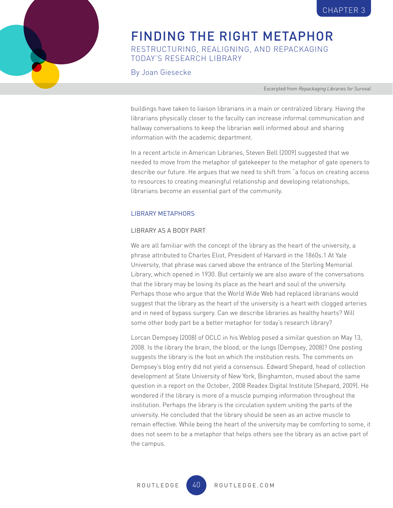

## FINDING THE RIGHT METAPHOR RESTRUCTURING, REALIGNING, AND REPACKAGING

TODAY'S RESEARCH LIBRARY

By Joan Giesecke

Excerpted from *[Repackaging Libraries for Survival](https://www.routledge.com/Repackaging-Libraries-for-Survival-Climbing-Out-of-the-Box/Lee/p/book/9780415850339)*

buildings have taken to liaison librarians in a main or centralized library. Having the librarians physically closer to the faculty can increase informal communication and hallway conversations to keep the librarian well informed about and sharing information with the academic department.

In a recent article in American Libraries, Steven Bell (2009) suggested that we needed to move from the metaphor of gatekeeper to the metaphor of gate openers to describe our future. He argues that we need to shift from "a focus on creating access to resources to creating meaningful relationship and developing relationships, librarians become an essential part of the community.

#### LIBRARY METAPHORS

#### LIBRARY AS A BODY PART

We are all familiar with the concept of the library as the heart of the university, a phrase attributed to Charles Eliot, President of Harvard in the 1860s.1 At Yale University, that phrase was carved above the entrance of the Sterling Memorial Library, which opened in 1930. But certainly we are also aware of the conversations that the library may be losing its place as the heart and soul of the university. Perhaps those who argue that the World Wide Web had replaced librarians would suggest that the library as the heart of the university is a heart with clogged arteries and in need of bypass surgery. Can we describe libraries as healthy hearts? Will some other body part be a better metaphor for today's research library?

Lorcan Dempsey (2008) of OCLC in his Weblog posed a similar question on May 13, 2008. Is the library the brain, the blood, or the lungs (Dempsey, 2008)? One posting suggests the library is the foot on which the institution rests. The comments on Dempsey's blog entry did not yield a consensus. Edward Shepard, head of collection development at State University of New York, Binghamton, mused about the same question in a report on the October, 2008 Readex Digital Institute (Shepard, 2009). He wondered if the library is more of a muscle pumping information throughout the institution. Perhaps the library is the circulation system uniting the parts of the university. He concluded that the library should be seen as an active muscle to remain effective. While being the heart of the university may be comforting to some, it does not seem to be a metaphor that helps others see the library as an active part of the campus.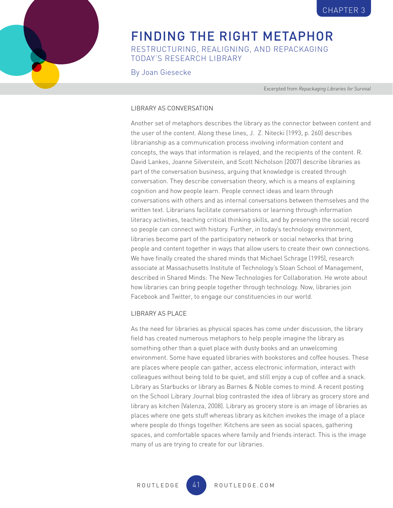# FINDING THE RIGHT METAPHOR

RESTRUCTURING, REALIGNING, AND REPACKAGING TODAY'S RESEARCH LIBRARY

By Joan Giesecke

Excerpted from *[Repackaging Libraries for Survival](https://www.routledge.com/Repackaging-Libraries-for-Survival-Climbing-Out-of-the-Box/Lee/p/book/9780415850339)*

### LIBRARY AS CONVERSATION

Another set of metaphors describes the library as the connector between content and the user of the content. Along these lines, J. Z. Nitecki (1993, p. 260) describes librarianship as a communication process involving information content and concepts, the ways that information is relayed, and the recipients of the content. R. David Lankes, Joanne Silverstein, and Scott Nicholson (2007) describe libraries as part of the conversation business, arguing that knowledge is created through conversation. They describe conversation theory, which is a means of explaining cognition and how people learn. People connect ideas and learn through conversations with others and as internal conversations between themselves and the written text. Librarians facilitate conversations or learning through information literacy activities, teaching critical thinking skills, and by preserving the social record so people can connect with history. Further, in today's technology environment, libraries become part of the participatory network or social networks that bring people and content together in ways that allow users to create their own connections. We have finally created the shared minds that Michael Schrage (1995), research associate at Massachusetts Institute of Technology's Sloan School of Management, described in Shared Minds: The New Technologies for Collaboration. He wrote about how libraries can bring people together through technology. Now, libraries join Facebook and Twitter, to engage our constituencies in our world.

### LIBRARY AS PLACE

As the need for libraries as physical spaces has come under discussion, the library field has created numerous metaphors to help people imagine the library as something other than a quiet place with dusty books and an unwelcoming environment. Some have equated libraries with bookstores and coffee houses. These are places where people can gather, access electronic information, interact with colleagues without being told to be quiet, and still enjoy a cup of coffee and a snack. Library as Starbucks or library as Barnes & Noble comes to mind. A recent posting on the School Library Journal blog contrasted the idea of library as grocery store and library as kitchen (Valenza, 2008). Library as grocery store is an image of libraries as places where one gets stuff whereas library as kitchen invokes the image of a place where people do things together. Kitchens are seen as social spaces, gathering spaces, and comfortable spaces where family and friends interact. This is the image many of us are trying to create for our libraries.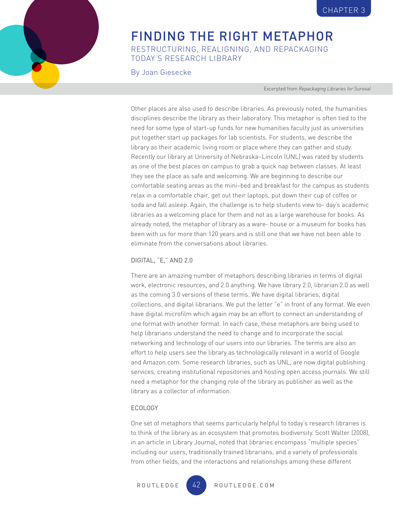

By Joan Giesecke

Excerpted from *[Repackaging Libraries for Survival](https://www.routledge.com/Repackaging-Libraries-for-Survival-Climbing-Out-of-the-Box/Lee/p/book/9780415850339)*

Other places are also used to describe libraries. As previously noted, the humanities disciplines describe the library as their laboratory. This metaphor is often tied to the need for some type of start-up funds for new humanities faculty just as universities put together start up packages for lab scientists. For students, we describe the library as their academic living room or place where they can gather and study. Recently our library at University of Nebraska–Lincoln (UNL) was rated by students as one of the best places on campus to grab a quick nap between classes. At least they see the place as safe and welcoming. We are beginning to describe our comfortable seating areas as the mini–bed and breakfast for the campus as students relax in a comfortable chair, get out their laptops, put down their cup of coffee or soda and fall asleep. Again, the challenge is to help students view to- day's academic libraries as a welcoming place for them and not as a large warehouse for books. As already noted, the metaphor of library as a ware- house or a museum for books has been with us for more than 120 years and is still one that we have not been able to eliminate from the conversations about libraries.

### DIGITAL, "E," AND 2.0

There are an amazing number of metaphors describing libraries in terms of digital work, electronic resources, and 2.0 anything. We have library 2.0, librarian 2.0 as well as the coming 3.0 versions of these terms. We have digital libraries, digital collections, and digital librarians. We put the letter "e" in front of any format. We even have digital microfilm which again may be an effort to connect an understanding of one format with another format. In each case, these metaphors are being used to help librarians understand the need to change and to incorporate the social networking and technology of our users into our libraries. The terms are also an effort to help users see the library as technologically relevant in a world of Google and Amazon.com. Some research libraries, such as UNL, are now digital publishing services, creating institutional repositories and hosting open access journals. We still need a metaphor for the changing role of the library as publisher as well as the library as a collector of information.

### ECOLOGY

One set of metaphors that seems particularly helpful to today's research libraries is to think of the library as an ecosystem that promotes biodiversity. Scott Walter (2008), in an article in Library Journal, noted that libraries encompass "multiple species" including our users, traditionally trained librarians, and a variety of professionals from other fields, and the interactions and relationships among these different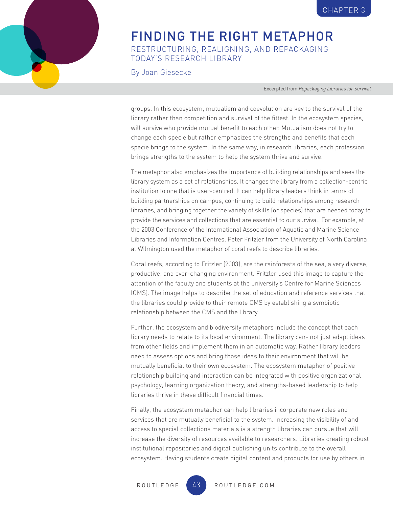

By Joan Giesecke

Excerpted from *[Repackaging Libraries for Survival](https://www.routledge.com/Repackaging-Libraries-for-Survival-Climbing-Out-of-the-Box/Lee/p/book/9780415850339)*

groups. In this ecosystem, mutualism and coevolution are key to the survival of the library rather than competition and survival of the fittest. In the ecosystem species, will survive who provide mutual benefit to each other. Mutualism does not try to change each specie but rather emphasizes the strengths and benefits that each specie brings to the system. In the same way, in research libraries, each profession brings strengths to the system to help the system thrive and survive.

The metaphor also emphasizes the importance of building relationships and sees the library system as a set of relationships. It changes the library from a collection-centric institution to one that is user-centred. It can help library leaders think in terms of building partnerships on campus, continuing to build relationships among research libraries, and bringing together the variety of skills (or species) that are needed today to provide the services and collections that are essential to our survival. For example, at the 2003 Conference of the International Association of Aquatic and Marine Science Libraries and Information Centres, Peter Fritzler from the University of North Carolina at Wilmington used the metaphor of coral reefs to describe libraries.

Coral reefs, according to Fritzler (2003), are the rainforests of the sea, a very diverse, productive, and ever-changing environment. Fritzler used this image to capture the attention of the faculty and students at the university's Centre for Marine Sciences (CMS). The image helps to describe the set of education and reference services that the libraries could provide to their remote CMS by establishing a symbiotic relationship between the CMS and the library.

Further, the ecosystem and biodiversity metaphors include the concept that each library needs to relate to its local environment. The library can- not just adapt ideas from other fields and implement them in an automatic way. Rather library leaders need to assess options and bring those ideas to their environment that will be mutually beneficial to their own ecosystem. The ecosystem metaphor of positive relationship building and interaction can be integrated with positive organizational psychology, learning organization theory, and strengths-based leadership to help libraries thrive in these difficult financial times.

Finally, the ecosystem metaphor can help libraries incorporate new roles and services that are mutually beneficial to the system. Increasing the visibility of and access to special collections materials is a strength libraries can pursue that will increase the diversity of resources available to researchers. Libraries creating robust institutional repositories and digital publishing units contribute to the overall ecosystem. Having students create digital content and products for use by others in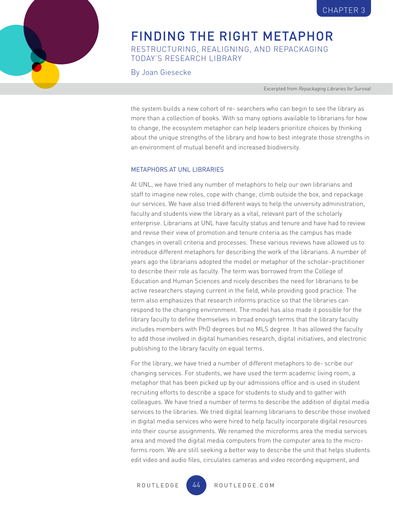By Joan Giesecke

Excerpted from *[Repackaging Libraries for Survival](https://www.routledge.com/Repackaging-Libraries-for-Survival-Climbing-Out-of-the-Box/Lee/p/book/9780415850339)*

the system builds a new cohort of re- searchers who can begin to see the library as more than a collection of books. With so many options available to librarians for how to change, the ecosystem metaphor can help leaders prioritize choices by thinking about the unique strengths of the library and how to best integrate those strengths in an environment of mutual benefit and increased biodiversity.

#### METAPHORS AT UNL LIBRARIES

At UNL, we have tried any number of metaphors to help our own librarians and staff to imagine new roles, cope with change, climb outside the box, and repackage our services. We have also tried different ways to help the university administration, faculty and students view the library as a vital, relevant part of the scholarly enterprise. Librarians at UNL have faculty status and tenure and have had to review and revise their view of promotion and tenure criteria as the campus has made changes in overall criteria and processes. These various reviews have allowed us to introduce different metaphors for describing the work of the librarians. A number of years ago the librarians adopted the model or metaphor of the scholar–practitioner to describe their role as faculty. The term was borrowed from the College of Education and Human Sciences and nicely describes the need for librarians to be active researchers staying current in the field, while providing good practice. The term also emphasizes that research informs practice so that the libraries can respond to the changing environment. The model has also made it possible for the library faculty to define themselves in broad enough terms that the library faculty includes members with PhD degrees but no MLS degree. It has allowed the faculty to add those involved in digital humanities research, digital initiatives, and electronic publishing to the library faculty on equal terms.

For the library, we have tried a number of different metaphors to de- scribe our changing services. For students, we have used the term academic living room, a metaphor that has been picked up by our admissions office and is used in student recruiting efforts to describe a space for students to study and to gather with colleagues. We have tried a number of terms to describe the addition of digital media services to the libraries. We tried digital learning librarians to describe those involved in digital media services who were hired to help faculty incorporate digital resources into their course assignments. We renamed the microforms area the media services area and moved the digital media computers from the computer area to the microforms room. We are still seeking a better way to describe the unit that helps students edit video and audio files, circulates cameras and video recording equipment, and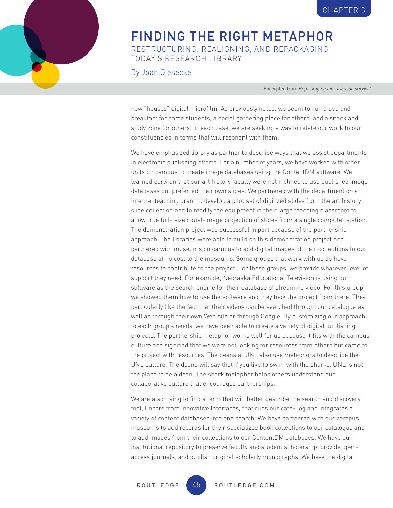

By Joan Giesecke

Excerpted from *[Repackaging Libraries for Survival](https://www.routledge.com/Repackaging-Libraries-for-Survival-Climbing-Out-of-the-Box/Lee/p/book/9780415850339)*

now "houses" digital microfilm. As previously noted, we seem to run a bed and breakfast for some students, a social gathering place for others, and a snack and study zone for others. In each case, we are seeking a way to relate our work to our constituencies in terms that will resonant with them.

We have emphasized library as partner to describe ways that we assist departments in electronic publishing efforts. For a number of years, we have worked with other units on campus to create image databases using the ContentDM software. We learned early on that our art history faculty were not inclined to use published image databases but preferred their own slides. We partnered with the department on an internal teaching grant to develop a pilot set of digitized slides from the art history slide collection and to modify the equipment in their large teaching classroom to allow true full- sized dual-image projection of slides from a single computer station. The demonstration project was successful in part because of the partnership approach. The libraries were able to build on this demonstration project and partnered with museums on campus to add digital images of their collections to our database at no cost to the museums. Some groups that work with us do have resources to contribute to the project. For these groups, we provide whatever level of support they need. For example, Nebraska Educational Television is using our software as the search engine for their database of streaming video. For this group, we showed them how to use the software and they took the project from there. They particularly like the fact that their videos can be searched through our catalogue as well as through their own Web site or through Google. By customizing our approach to each group's needs, we have been able to create a variety of digital publishing projects. The partnership metaphor works well for us because it fits with the campus culture and signified that we were not looking for resources from others but came to the project with resources. The deans at UNL also use metaphors to describe the UNL culture. The deans will say that if you like to swim with the sharks, UNL is not the place to be a dean. The shark metaphor helps others understand our collaborative culture that encourages partnerships.

We are also trying to find a term that will better describe the search and discovery tool, Encore from Innovative Interfaces, that runs our cata- log and integrates a variety of content databases into one search. We have partnered with our campus museums to add records for their specialized book collections to our catalogue and to add images from their collections to our ContentDM databases. We have our institutional repository to preserve faculty and student scholarship, provide openaccess journals, and publish original scholarly monographs. We have the digital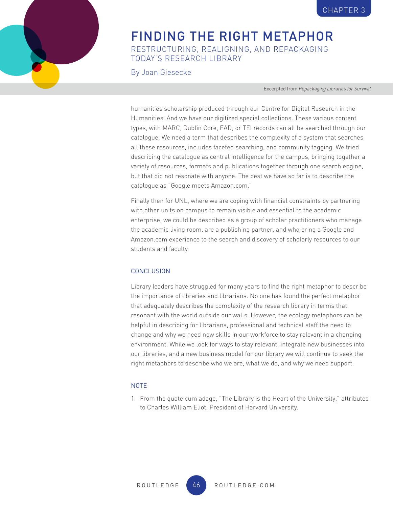

## FINDING THE RIGHT METAPHOR RESTRUCTURING, REALIGNING, AND REPACKAGING

By Joan Giesecke

TODAY'S RESEARCH LIBRARY

Excerpted from *[Repackaging Libraries for Survival](https://www.routledge.com/Repackaging-Libraries-for-Survival-Climbing-Out-of-the-Box/Lee/p/book/9780415850339)*

humanities scholarship produced through our Centre for Digital Research in the Humanities. And we have our digitized special collections. These various content types, with MARC, Dublin Core, EAD, or TEI records can all be searched through our catalogue. We need a term that describes the complexity of a system that searches all these resources, includes faceted searching, and community tagging. We tried describing the catalogue as central intelligence for the campus, bringing together a variety of resources, formats and publications together through one search engine, but that did not resonate with anyone. The best we have so far is to describe the catalogue as "Google meets Amazon.com."

Finally then for UNL, where we are coping with financial constraints by partnering with other units on campus to remain visible and essential to the academic enterprise, we could be described as a group of scholar practitioners who manage the academic living room, are a publishing partner, and who bring a Google and Amazon.com experience to the search and discovery of scholarly resources to our students and faculty.

### CONCLUSION

Library leaders have struggled for many years to find the right metaphor to describe the importance of libraries and librarians. No one has found the perfect metaphor that adequately describes the complexity of the research library in terms that resonant with the world outside our walls. However, the ecology metaphors can be helpful in describing for librarians, professional and technical staff the need to change and why we need new skills in our workforce to stay relevant in a changing environment. While we look for ways to stay relevant, integrate new businesses into our libraries, and a new business model for our library we will continue to seek the right metaphors to describe who we are, what we do, and why we need support.

### **NOTE**

1. From the quote cum adage, "The Library is the Heart of the University," attributed to Charles William Eliot, President of Harvard University.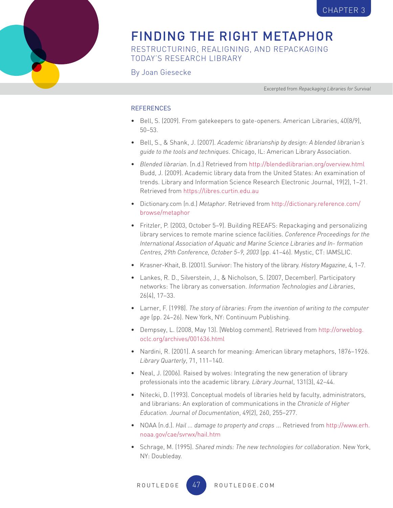## FINDING THE RIGHT METAPHOR

RESTRUCTURING, REALIGNING, AND REPACKAGING TODAY'S RESEARCH LIBRARY

By Joan Giesecke

Excerpted from *[Repackaging Libraries for Survival](https://www.routledge.com/Repackaging-Libraries-for-Survival-Climbing-Out-of-the-Box/Lee/p/book/9780415850339)*

### **REFERENCES**

- Bell, S. (2009). From gatekeepers to gate-openers. American Libraries, 40(8/9), 50–53.
- Bell, S., & Shank, J. (2007). *Academic librarianship by design: A blended librarian's guide to the tools and techniques*. Chicago, IL: American Library Association.
- *Blended librarian*. (n.d.) Retrieved from http://blendedlibrarian.org/overview.html Budd, J. (2009). Academic library data from the United States: An examination of trends. Library and Information Science Research Electronic Journal, 19(2), 1–21. Retrieved from https://libres.curtin.edu.au
- Dictionary.com (n.d.) *Metaphor*. Retrieved from [http://dictionary.reference.com/](http://dictionary.reference.com/browse/metaphor) [browse/metaphor](http://dictionary.reference.com/browse/metaphor)
- Fritzler, P. (2003, October 5–9). Building REEAFS: Repackaging and personalizing library services to remote marine science facilities. *Conference Proceedings for the International Association of Aquatic and Marine Science Libraries and In- formation Centres, 29th Conference, October 5–9, 2003* (pp. 41–46). Mystic, CT: IAMSLIC.
- Krasner-Khait, B. (2001). Survivor: The history of the library. *History Magazine*, 4, 1–7.
- Lankes, R. D., Silverstein, J., & Nicholson, S. (2007, December). Participatory networks: The library as conversation. *Information Technologies and Libraries*, 26(4), 17–33.
- Larner, F. (1998). *The story of libraries: From the invention of writing to the computer age* (pp. 24–26). New York, NY: Continuum Publishing.
- Dempsey, L. (2008, May 13). [Weblog comment]. Retrieved from [http://orweblog.](http://orweblog.oclc.org/archives/001636.html) [oclc.org/archives/001636.html](http://orweblog.oclc.org/archives/001636.html)
- Nardini, R. (2001). A search for meaning: American library metaphors, 1876–1926. *Library Quarterly*, 71, 111–140.
- Neal, J. (2006). Raised by wolves: Integrating the new generation of library professionals into the academic library. *Library Journal*, 131(3), 42–44.
- Nitecki, D. (1993). Conceptual models of libraries held by faculty, administrators, and librarians: An exploration of communications in the *Chronicle of Higher Education. Journal of Documentation*, 49(2), 260, 255–277.
- NOAA (n.d.). *Hail ... damage to property and crops* ... Retrieved from [http://www.erh.](http://www.erh.noaa.gov/cae/svrwx/hail.htm) [noaa.gov/cae/svrwx/hail.htm](http://www.erh.noaa.gov/cae/svrwx/hail.htm)
- Schrage, M. (1995). *Shared minds: The new technologies for collaboration*. New York, NY: Doubleday.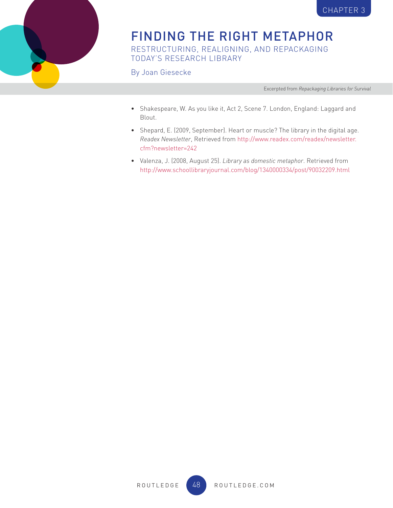## FINDING THE RIGHT METAPHOR

RESTRUCTURING, REALIGNING, AND REPACKAGING TODAY'S RESEARCH LIBRARY

By Joan Giesecke

Excerpted from *[Repackaging Libraries for Survival](https://www.routledge.com/Repackaging-Libraries-for-Survival-Climbing-Out-of-the-Box/Lee/p/book/9780415850339)*

- Shakespeare, W. As you like it, Act 2, Scene 7. London, England: Laggard and Blout.
- Shepard, E. (2009, September). Heart or muscle? The library in the digital age. *Readex Newsletter*, Retrieved from [http://www.readex.com/readex/newsletter.](http://www.readex.com/readex/newsletter.cfm?newsletter=242) [cfm?newsletter=242](http://www.readex.com/readex/newsletter.cfm?newsletter=242)
- Valenza, J. (2008, August 25). *Library as domestic metaphor*. Retrieved from http://www.schoollibraryjournal.com/blog/1340000334/post/90032209.html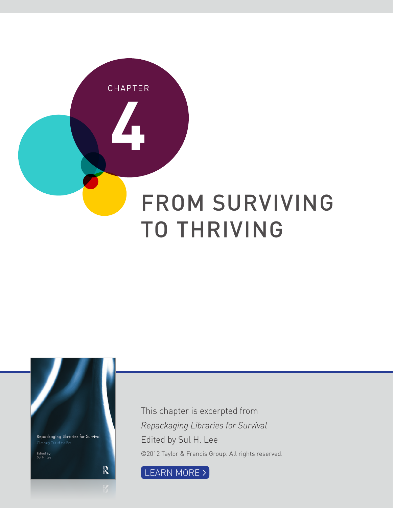



This chapter is excerpted from *Repackaging Libraries for Survival* Edited by Sul H. Lee ©2012 Taylor & Francis Group. All rights reserved.

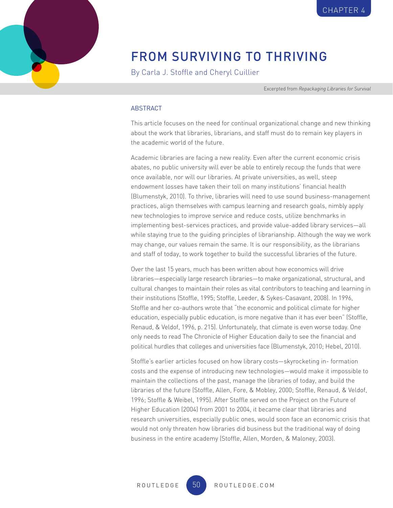By Carla J. Stoffle and Cheryl Cuillier

Excerpted from *[Repackaging Libraries for Survival](https://www.routledge.com/Repackaging-Libraries-for-Survival-Climbing-Out-of-the-Box/Lee/p/book/9780415850339)*

#### **ABSTRACT**

This article focuses on the need for continual organizational change and new thinking about the work that libraries, librarians, and staff must do to remain key players in the academic world of the future.

Academic libraries are facing a new reality. Even after the current economic crisis abates, no public university will ever be able to entirely recoup the funds that were once available, nor will our libraries. At private universities, as well, steep endowment losses have taken their toll on many institutions' financial health (Blumenstyk, 2010). To thrive, libraries will need to use sound business-management practices, align themselves with campus learning and research goals, nimbly apply new technologies to improve service and reduce costs, utilize benchmarks in implementing best-services practices, and provide value-added library services—all while staying true to the guiding principles of librarianship. Although the way we work may change, our values remain the same. It is our responsibility, as the librarians and staff of today, to work together to build the successful libraries of the future.

Over the last 15 years, much has been written about how economics will drive libraries—especially large research libraries—to make organizational, structural, and cultural changes to maintain their roles as vital contributors to teaching and learning in their institutions (Stoffle, 1995; Stoffle, Leeder, & Sykes-Casavant, 2008). In 1996, Stoffle and her co-authors wrote that "the economic and political climate for higher education, especially public education, is more negative than it has ever been" (Stoffle, Renaud, & Veldof, 1996, p. 215). Unfortunately, that climate is even worse today. One only needs to read The Chronicle of Higher Education daily to see the financial and political hurdles that colleges and universities face (Blumenstyk, 2010; Hebel, 2010).

Stoffle's earlier articles focused on how library costs—skyrocketing in- formation costs and the expense of introducing new technologies—would make it impossible to maintain the collections of the past, manage the libraries of today, and build the libraries of the future (Stoffle, Allen, Fore, & Mobley, 2000; Stoffle, Renaud, & Veldof, 1996; Stoffle & Weibel, 1995). After Stoffle served on the Project on the Future of Higher Education (2004) from 2001 to 2004, it became clear that libraries and research universities, especially public ones, would soon face an economic crisis that would not only threaten how libraries did business but the traditional way of doing business in the entire academy (Stoffle, Allen, Morden, & Maloney, 2003).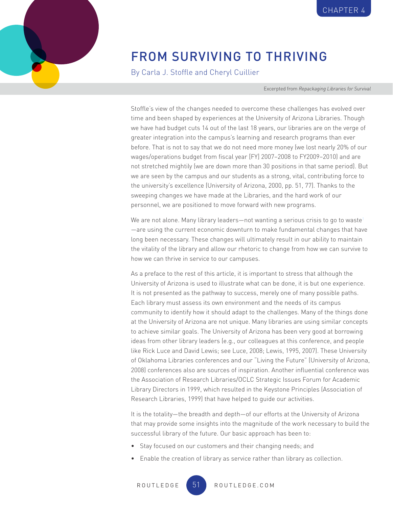By Carla J. Stoffle and Cheryl Cuillier

Excerpted from *[Repackaging Libraries for Survival](https://www.routledge.com/Repackaging-Libraries-for-Survival-Climbing-Out-of-the-Box/Lee/p/book/9780415850339)*

Stoffle's view of the changes needed to overcome these challenges has evolved over time and been shaped by experiences at the University of Arizona Libraries. Though we have had budget cuts 14 out of the last 18 years, our libraries are on the verge of greater integration into the campus's learning and research programs than ever before. That is not to say that we do not need more money (we lost nearly 20% of our wages/operations budget from fiscal year [FY] 2007–2008 to FY2009–2010) and are not stretched mightily (we are down more than 30 positions in that same period). But we are seen by the campus and our students as a strong, vital, contributing force to the university's excellence (University of Arizona, 2000, pp. 51, 77). Thanks to the sweeping changes we have made at the Libraries, and the hard work of our personnel, we are positioned to move forward with new programs.

We are not alone. Many library leaders—not wanting a serious crisis to go to waste<sup>1</sup> —are using the current economic downturn to make fundamental changes that have long been necessary. These changes will ultimately result in our ability to maintain the vitality of the library and allow our rhetoric to change from how we can survive to how we can thrive in service to our campuses.

As a preface to the rest of this article, it is important to stress that although the University of Arizona is used to illustrate what can be done, it is but one experience. It is not presented as the pathway to success, merely one of many possible paths. Each library must assess its own environment and the needs of its campus community to identify how it should adapt to the challenges. Many of the things done at the University of Arizona are not unique. Many libraries are using similar concepts to achieve similar goals. The University of Arizona has been very good at borrowing ideas from other library leaders (e.g., our colleagues at this conference, and people like Rick Luce and David Lewis; see Luce, 2008; Lewis, 1995, 2007). These University of Oklahoma Libraries conferences and our "Living the Future" (University of Arizona, 2008) conferences also are sources of inspiration. Another influential conference was the Association of Research Libraries/OCLC Strategic Issues Forum for Academic Library Directors in 1999, which resulted in the Keystone Principles (Association of Research Libraries, 1999) that have helped to guide our activities.

It is the totality—the breadth and depth—of our efforts at the University of Arizona that may provide some insights into the magnitude of the work necessary to build the successful library of the future. Our basic approach has been to:

- Stay focused on our customers and their changing needs; and
- Enable the creation of library as service rather than library as collection.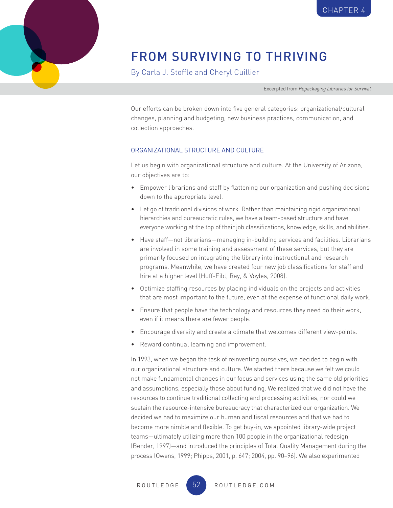By Carla J. Stoffle and Cheryl Cuillier

Excerpted from *[Repackaging Libraries for Survival](https://www.routledge.com/Repackaging-Libraries-for-Survival-Climbing-Out-of-the-Box/Lee/p/book/9780415850339)*

Our efforts can be broken down into five general categories: organizational/cultural changes, planning and budgeting, new business practices, communication, and collection approaches.

### ORGANIZATIONAL STRUCTURE AND CULTURE

Let us begin with organizational structure and culture. At the University of Arizona, our objectives are to:

- Empower librarians and staff by flattening our organization and pushing decisions down to the appropriate level.
- Let go of traditional divisions of work. Rather than maintaining rigid organizational hierarchies and bureaucratic rules, we have a team-based structure and have everyone working at the top of their job classifications, knowledge, skills, and abilities.
- Have staff—not librarians—managing in-building services and facilities. Librarians are involved in some training and assessment of these services, but they are primarily focused on integrating the library into instructional and research programs. Meanwhile, we have created four new job classifications for staff and hire at a higher level (Huff-Eibl, Ray, & Voyles, 2008).
- Optimize staffing resources by placing individuals on the projects and activities that are most important to the future, even at the expense of functional daily work.
- Ensure that people have the technology and resources they need do their work, even if it means there are fewer people.
- Encourage diversity and create a climate that welcomes different view-points.
- Reward continual learning and improvement.

52

In 1993, when we began the task of reinventing ourselves, we decided to begin with our organizational structure and culture. We started there because we felt we could not make fundamental changes in our focus and services using the same old priorities and assumptions, especially those about funding. We realized that we did not have the resources to continue traditional collecting and processing activities, nor could we sustain the resource-intensive bureaucracy that characterized our organization. We decided we had to maximize our human and fiscal resources and that we had to become more nimble and flexible. To get buy-in, we appointed library-wide project teams—ultimately utilizing more than 100 people in the organizational redesign (Bender, 1997)—and introduced the principles of Total Quality Management during the process (Owens, 1999; Phipps, 2001, p. 647; 2004, pp. 90–96). We also experimented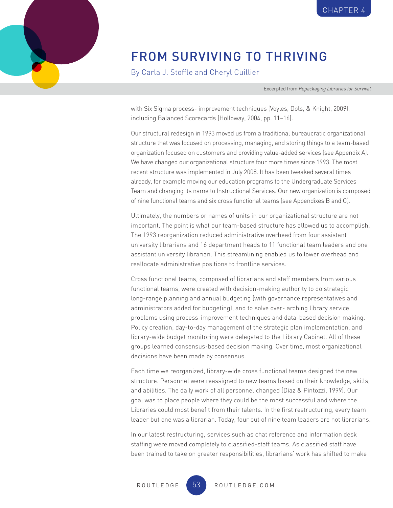By Carla J. Stoffle and Cheryl Cuillier

Excerpted from *[Repackaging Libraries for Survival](https://www.routledge.com/Repackaging-Libraries-for-Survival-Climbing-Out-of-the-Box/Lee/p/book/9780415850339)*

with Six Sigma process- improvement techniques (Voyles, Dols, & Knight, 2009), including Balanced Scorecards (Holloway, 2004, pp. 11–16).

Our structural redesign in 1993 moved us from a traditional bureaucratic organizational structure that was focused on processing, managing, and storing things to a team-based organization focused on customers and providing value-added services (see Appendix A). We have changed our organizational structure four more times since 1993. The most recent structure was implemented in July 2008. It has been tweaked several times already, for example moving our education programs to the Undergraduate Services Team and changing its name to Instructional Services. Our new organization is composed of nine functional teams and six cross functional teams (see Appendixes B and C).

Ultimately, the numbers or names of units in our organizational structure are not important. The point is what our team-based structure has allowed us to accomplish. The 1993 reorganization reduced administrative overhead from four assistant university librarians and 16 department heads to 11 functional team leaders and one assistant university librarian. This streamlining enabled us to lower overhead and reallocate administrative positions to frontline services.

Cross functional teams, composed of librarians and staff members from various functional teams, were created with decision-making authority to do strategic long-range planning and annual budgeting (with governance representatives and administrators added for budgeting), and to solve over- arching library service problems using process-improvement techniques and data-based decision making. Policy creation, day-to-day management of the strategic plan implementation, and library-wide budget monitoring were delegated to the Library Cabinet. All of these groups learned consensus-based decision making. Over time, most organizational decisions have been made by consensus.

Each time we reorganized, library-wide cross functional teams designed the new structure. Personnel were reassigned to new teams based on their knowledge, skills, and abilities. The daily work of all personnel changed (Diaz & Pintozzi, 1999). Our goal was to place people where they could be the most successful and where the Libraries could most benefit from their talents. In the first restructuring, every team leader but one was a librarian. Today, four out of nine team leaders are not librarians.

In our latest restructuring, services such as chat reference and information desk staffing were moved completely to classified-staff teams. As classified staff have been trained to take on greater responsibilities, librarians' work has shifted to make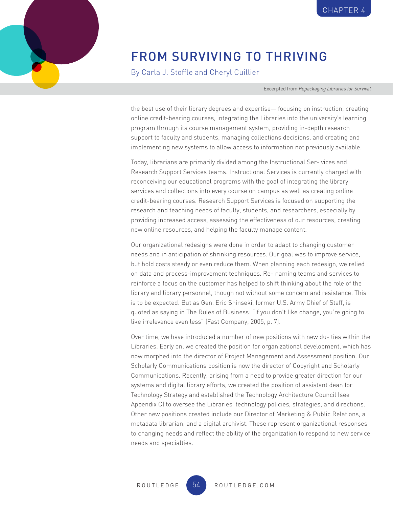By Carla J. Stoffle and Cheryl Cuillier

#### Excerpted from *[Repackaging Libraries for Survival](https://www.routledge.com/Repackaging-Libraries-for-Survival-Climbing-Out-of-the-Box/Lee/p/book/9780415850339)*

the best use of their library degrees and expertise— focusing on instruction, creating online credit-bearing courses, integrating the Libraries into the university's learning program through its course management system, providing in-depth research support to faculty and students, managing collections decisions, and creating and implementing new systems to allow access to information not previously available.

Today, librarians are primarily divided among the Instructional Ser- vices and Research Support Services teams. Instructional Services is currently charged with reconceiving our educational programs with the goal of integrating the library services and collections into every course on campus as well as creating online credit-bearing courses. Research Support Services is focused on supporting the research and teaching needs of faculty, students, and researchers, especially by providing increased access, assessing the effectiveness of our resources, creating new online resources, and helping the faculty manage content.

Our organizational redesigns were done in order to adapt to changing customer needs and in anticipation of shrinking resources. Our goal was to improve service, but hold costs steady or even reduce them. When planning each redesign, we relied on data and process-improvement techniques. Re- naming teams and services to reinforce a focus on the customer has helped to shift thinking about the role of the library and library personnel, though not without some concern and resistance. This is to be expected. But as Gen. Eric Shinseki, former U.S. Army Chief of Staff, is quoted as saying in The Rules of Business: "If you don't like change, you're going to like irrelevance even less" (Fast Company, 2005, p. 7).

Over time, we have introduced a number of new positions with new du- ties within the Libraries. Early on, we created the position for organizational development, which has now morphed into the director of Project Management and Assessment position. Our Scholarly Communications position is now the director of Copyright and Scholarly Communications. Recently, arising from a need to provide greater direction for our systems and digital library efforts, we created the position of assistant dean for Technology Strategy and established the Technology Architecture Council (see Appendix C) to oversee the Libraries' technology policies, strategies, and directions. Other new positions created include our Director of Marketing & Public Relations, a metadata librarian, and a digital archivist. These represent organizational responses to changing needs and reflect the ability of the organization to respond to new service needs and specialties.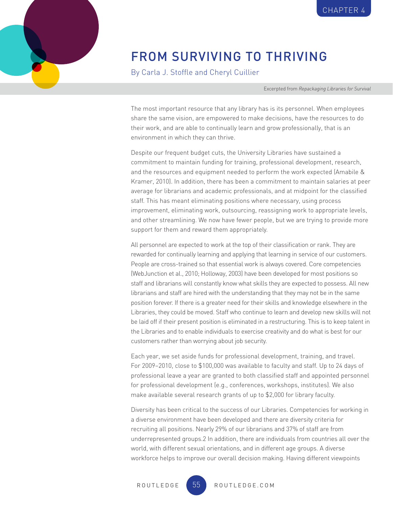By Carla J. Stoffle and Cheryl Cuillier

Excerpted from *[Repackaging Libraries for Survival](https://www.routledge.com/Repackaging-Libraries-for-Survival-Climbing-Out-of-the-Box/Lee/p/book/9780415850339)*

The most important resource that any library has is its personnel. When employees share the same vision, are empowered to make decisions, have the resources to do their work, and are able to continually learn and grow professionally, that is an environment in which they can thrive.

Despite our frequent budget cuts, the University Libraries have sustained a commitment to maintain funding for training, professional development, research, and the resources and equipment needed to perform the work expected (Amabile & Kramer, 2010). In addition, there has been a commitment to maintain salaries at peer average for librarians and academic professionals, and at midpoint for the classified staff. This has meant eliminating positions where necessary, using process improvement, eliminating work, outsourcing, reassigning work to appropriate levels, and other streamlining. We now have fewer people, but we are trying to provide more support for them and reward them appropriately.

All personnel are expected to work at the top of their classification or rank. They are rewarded for continually learning and applying that learning in service of our customers. People are cross-trained so that essential work is always covered. Core competencies (WebJunction et al., 2010; Holloway, 2003) have been developed for most positions so staff and librarians will constantly know what skills they are expected to possess. All new librarians and staff are hired with the understanding that they may not be in the same position forever. If there is a greater need for their skills and knowledge elsewhere in the Libraries, they could be moved. Staff who continue to learn and develop new skills will not be laid off if their present position is eliminated in a restructuring. This is to keep talent in the Libraries and to enable individuals to exercise creativity and do what is best for our customers rather than worrying about job security.

Each year, we set aside funds for professional development, training, and travel. For 2009–2010, close to \$100,000 was available to faculty and staff. Up to 24 days of professional leave a year are granted to both classified staff and appointed personnel for professional development (e.g., conferences, workshops, institutes). We also make available several research grants of up to \$2,000 for library faculty.

Diversity has been critical to the success of our Libraries. Competencies for working in a diverse environment have been developed and there are diversity criteria for recruiting all positions. Nearly 29% of our librarians and 37% of staff are from underrepresented groups.2 In addition, there are individuals from countries all over the world, with different sexual orientations, and in different age groups. A diverse workforce helps to improve our overall decision making. Having different viewpoints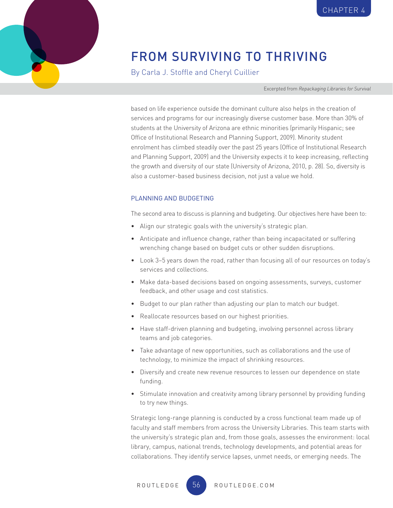By Carla J. Stoffle and Cheryl Cuillier

Excerpted from *[Repackaging Libraries for Survival](https://www.routledge.com/Repackaging-Libraries-for-Survival-Climbing-Out-of-the-Box/Lee/p/book/9780415850339)*

based on life experience outside the dominant culture also helps in the creation of services and programs for our increasingly diverse customer base. More than 30% of students at the University of Arizona are ethnic minorities (primarily Hispanic; see Office of Institutional Research and Planning Support, 2009). Minority student enrolment has climbed steadily over the past 25 years (Office of Institutional Research and Planning Support, 2009) and the University expects it to keep increasing, reflecting the growth and diversity of our state (University of Arizona, 2010, p. 28). So, diversity is also a customer-based business decision, not just a value we hold.

#### PLANNING AND BUDGETING

The second area to discuss is planning and budgeting. Our objectives here have been to:

- Align our strategic goals with the university's strategic plan.
- Anticipate and influence change, rather than being incapacitated or suffering wrenching change based on budget cuts or other sudden disruptions.
- Look 3–5 years down the road, rather than focusing all of our resources on today's services and collections.
- Make data-based decisions based on ongoing assessments, surveys, customer feedback, and other usage and cost statistics.
- Budget to our plan rather than adjusting our plan to match our budget.
- Reallocate resources based on our highest priorities.
- Have staff-driven planning and budgeting, involving personnel across library teams and job categories.
- Take advantage of new opportunities, such as collaborations and the use of technology, to minimize the impact of shrinking resources.
- Diversify and create new revenue resources to lessen our dependence on state funding.
- Stimulate innovation and creativity among library personnel by providing funding to try new things.

Strategic long-range planning is conducted by a cross functional team made up of faculty and staff members from across the University Libraries. This team starts with the university's strategic plan and, from those goals, assesses the environment: local library, campus, national trends, technology developments, and potential areas for collaborations. They identify service lapses, unmet needs, or emerging needs. The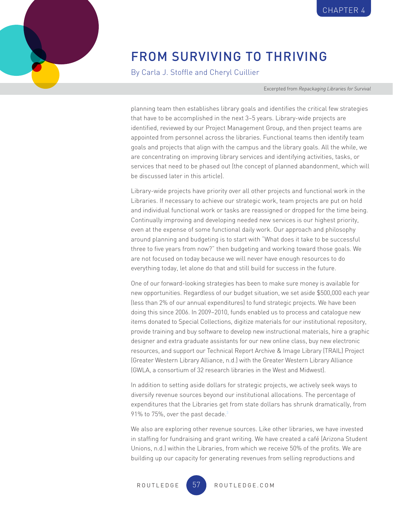By Carla J. Stoffle and Cheryl Cuillier

Excerpted from *[Repackaging Libraries for Survival](https://www.routledge.com/Repackaging-Libraries-for-Survival-Climbing-Out-of-the-Box/Lee/p/book/9780415850339)*

planning team then establishes library goals and identifies the critical few strategies that have to be accomplished in the next 3–5 years. Library-wide projects are identified, reviewed by our Project Management Group, and then project teams are appointed from personnel across the libraries. Functional teams then identify team goals and projects that align with the campus and the library goals. All the while, we are concentrating on improving library services and identifying activities, tasks, or services that need to be phased out (the concept of planned abandonment, which will be discussed later in this article).

Library-wide projects have priority over all other projects and functional work in the Libraries. If necessary to achieve our strategic work, team projects are put on hold and individual functional work or tasks are reassigned or dropped for the time being. Continually improving and developing needed new services is our highest priority, even at the expense of some functional daily work. Our approach and philosophy around planning and budgeting is to start with "What does it take to be successful three to five years from now?" then budgeting and working toward those goals. We are not focused on today because we will never have enough resources to do everything today, let alone do that and still build for success in the future.

One of our forward-looking strategies has been to make sure money is available for new opportunities. Regardless of our budget situation, we set aside \$500,000 each year (less than 2% of our annual expenditures) to fund strategic projects. We have been doing this since 2006. In 2009–2010, funds enabled us to process and catalogue new items donated to Special Collections, digitize materials for our institutional repository, provide training and buy software to develop new instructional materials, hire a graphic designer and extra graduate assistants for our new online class, buy new electronic resources, and support our Technical Report Archive & Image Library (TRAIL) Project (Greater Western Library Alliance, n.d.) with the Greater Western Library Alliance (GWLA, a consortium of 32 research libraries in the West and Midwest).

In addition to setting aside dollars for strategic projects, we actively seek ways to diversify revenue sources beyond our institutional allocations. The percentage of expenditures that the Libraries get from state dollars has shrunk dramatically, from 91% to 75%, over the past decade.<sup>3</sup>

We also are exploring other revenue sources. Like other libraries, we have invested in staffing for fundraising and grant writing. We have created a café (Arizona Student Unions, n.d.) within the Libraries, from which we receive 50% of the profits. We are building up our capacity for generating revenues from selling reproductions and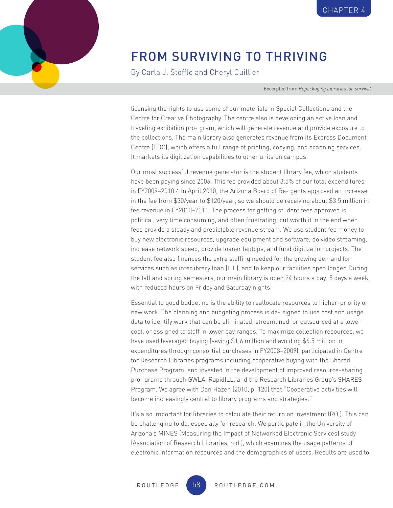By Carla J. Stoffle and Cheryl Cuillier

Excerpted from *[Repackaging Libraries for Survival](https://www.routledge.com/Repackaging-Libraries-for-Survival-Climbing-Out-of-the-Box/Lee/p/book/9780415850339)*

licensing the rights to use some of our materials in Special Collections and the Centre for Creative Photography. The centre also is developing an active loan and traveling exhibition pro- gram, which will generate revenue and provide exposure to the collections. The main library also generates revenue from its Express Document Centre (EDC), which offers a full range of printing, copying, and scanning services. It markets its digitization capabilities to other units on campus.

Our most successful revenue generator is the student library fee, which students have been paying since 2006. This fee provided about 3.5% of our total expenditures in FY2009–2010.4 In April 2010, the Arizona Board of Re- gents approved an increase in the fee from \$30/year to \$120/year, so we should be receiving about \$3.5 million in fee revenue in FY2010–2011. The process for getting student fees approved is political, very time consuming, and often frustrating, but worth it in the end when fees provide a steady and predictable revenue stream. We use student fee money to buy new electronic resources, upgrade equipment and software, do video streaming, increase network speed, provide loaner laptops, and fund digitization projects. The student fee also finances the extra staffing needed for the growing demand for services such as interlibrary loan (ILL), and to keep our facilities open longer. During the fall and spring semesters, our main library is open 24 hours a day, 5 days a week, with reduced hours on Friday and Saturday nights.

Essential to good budgeting is the ability to reallocate resources to higher-priority or new work. The planning and budgeting process is de- signed to use cost and usage data to identify work that can be eliminated, streamlined, or outsourced at a lower cost, or assigned to staff in lower pay ranges. To maximize collection resources, we have used leveraged buying (saving \$1.6 million and avoiding \$6.5 million in expenditures through consortial purchases in FY2008–2009), participated in Centre for Research Libraries programs including cooperative buying with the Shared Purchase Program, and invested in the development of improved resource-sharing pro- grams through GWLA, RapidILL, and the Research Libraries Group's SHARES Program. We agree with Dan Hazen (2010, p. 120) that "Cooperative activities will become increasingly central to library programs and strategies."

It's also important for libraries to calculate their return on investment (ROI). This can be challenging to do, especially for research. We participate in the University of Arizona's MINES (Measuring the Impact of Networked Electronic Services) study (Association of Research Libraries, n.d.), which examines the usage patterns of electronic information resources and the demographics of users. Results are used to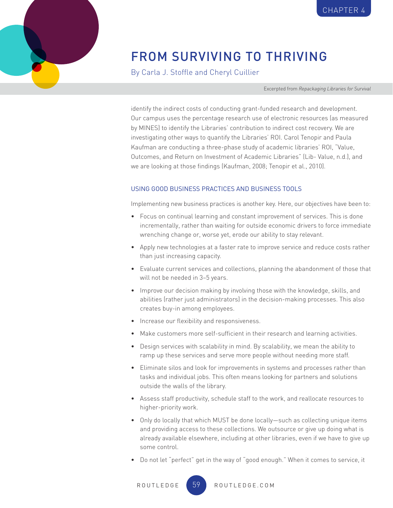By Carla J. Stoffle and Cheryl Cuillier

Excerpted from *[Repackaging Libraries for Survival](https://www.routledge.com/Repackaging-Libraries-for-Survival-Climbing-Out-of-the-Box/Lee/p/book/9780415850339)*

identify the indirect costs of conducting grant-funded research and development. Our campus uses the percentage research use of electronic resources (as measured by MINES) to identify the Libraries' contribution to indirect cost recovery. We are investigating other ways to quantify the Libraries' ROI. Carol Tenopir and Paula Kaufman are conducting a three-phase study of academic libraries' ROI, "Value, Outcomes, and Return on Investment of Academic Libraries" (Lib- Value, n.d.), and we are looking at those findings (Kaufman, 2008; Tenopir et al., 2010).

### USING GOOD BUSINESS PRACTICES AND BUSINESS TOOLS

Implementing new business practices is another key. Here, our objectives have been to:

- Focus on continual learning and constant improvement of services. This is done incrementally, rather than waiting for outside economic drivers to force immediate wrenching change or, worse yet, erode our ability to stay relevant.
- Apply new technologies at a faster rate to improve service and reduce costs rather than just increasing capacity.
- Evaluate current services and collections, planning the abandonment of those that will not be needed in 3–5 years.
- Improve our decision making by involving those with the knowledge, skills, and abilities (rather just administrators) in the decision-making processes. This also creates buy-in among employees.
- Increase our flexibility and responsiveness.

- Make customers more self-sufficient in their research and learning activities.
- Design services with scalability in mind. By scalability, we mean the ability to ramp up these services and serve more people without needing more staff.
- Eliminate silos and look for improvements in systems and processes rather than tasks and individual jobs. This often means looking for partners and solutions outside the walls of the library.
- Assess staff productivity, schedule staff to the work, and reallocate resources to higher-priority work.
- Only do locally that which MUST be done locally—such as collecting unique items and providing access to these collections. We outsource or give up doing what is already available elsewhere, including at other libraries, even if we have to give up some control.
- Do not let "perfect" get in the way of "good enough." When it comes to service, it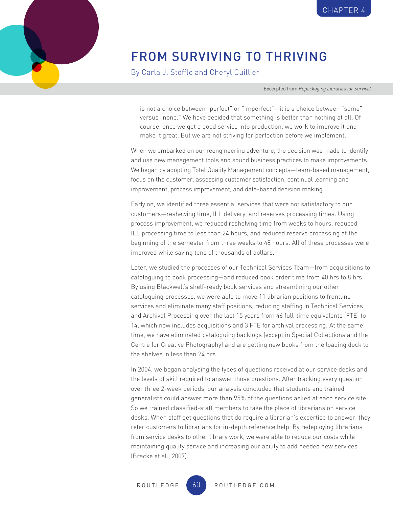By Carla J. Stoffle and Cheryl Cuillier

Excerpted from *[Repackaging Libraries for Survival](https://www.routledge.com/Repackaging-Libraries-for-Survival-Climbing-Out-of-the-Box/Lee/p/book/9780415850339)*

is not a choice between "perfect" or "imperfect"—it is a choice between "some" versus "none." We have decided that something is better than nothing at all. Of course, once we get a good service into production, we work to improve it and make it great. But we are not striving for perfection before we implement.

When we embarked on our reengineering adventure, the decision was made to identify and use new management tools and sound business practices to make improvements. We began by adopting Total Quality Management concepts—team-based management, focus on the customer, assessing customer satisfaction, continual learning and improvement, process improvement, and data-based decision making.

Early on, we identified three essential services that were not satisfactory to our customers—reshelving time, ILL delivery, and reserves processing times. Using process improvement, we reduced reshelving time from weeks to hours, reduced ILL processing time to less than 24 hours, and reduced reserve processing at the beginning of the semester from three weeks to 48 hours. All of these processes were improved while saving tens of thousands of dollars.

Later, we studied the processes of our Technical Services Team—from acquisitions to cataloguing to book processing—and reduced book order time from 40 hrs to 8 hrs. By using Blackwell's shelf-ready book services and streamlining our other cataloguing processes, we were able to move 11 librarian positions to frontline services and eliminate many staff positions, reducing staffing in Technical Services and Archival Processing over the last 15 years from 46 full-time equivalents (FTE) to 14, which now includes acquisitions and 3 FTE for archival processing. At the same time, we have eliminated cataloguing backlogs (except in Special Collections and the Centre for Creative Photography) and are getting new books from the loading dock to the shelves in less than 24 hrs.

In 2004, we began analysing the types of questions received at our service desks and the levels of skill required to answer those questions. After tracking every question over three 2-week periods, our analysis concluded that students and trained generalists could answer more than 95% of the questions asked at each service site. So we trained classified-staff members to take the place of librarians on service desks. When staff get questions that do require a librarian's expertise to answer, they refer customers to librarians for in-depth reference help. By redeploying librarians from service desks to other library work, we were able to reduce our costs while maintaining quality service and increasing our ability to add needed new services (Bracke et al., 2007).

 $60<sup>°</sup>$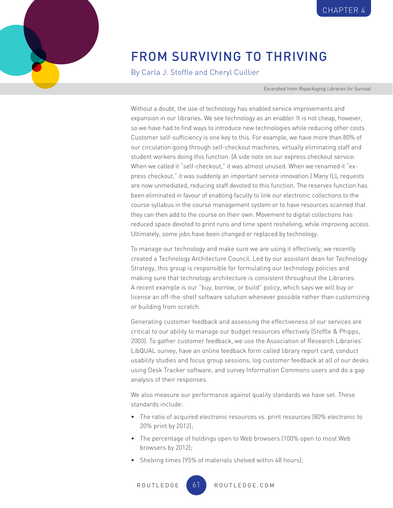By Carla J. Stoffle and Cheryl Cuillier

Excerpted from *[Repackaging Libraries for Survival](https://www.routledge.com/Repackaging-Libraries-for-Survival-Climbing-Out-of-the-Box/Lee/p/book/9780415850339)*

Without a doubt, the use of technology has enabled service improvements and expansion in our libraries. We see technology as an enabler. It is not cheap, however, so we have had to find ways to introduce new technologies while reducing other costs. Customer self-sufficiency is one key to this. For example, we have more than 80% of our circulation going through self-checkout machines, virtually eliminating staff and student workers doing this function. (A side note on our express checkout service: When we called it "self-checkout." it was almost unused. When we renamed it "express checkout," it was suddenly an important service innovation.) Many ILL requests are now unmediated, reducing staff devoted to this function. The reserves function has been eliminated in favour of enabling faculty to link our electronic collections to the course syllabus in the course management system or to have resources scanned that they can then add to the course on their own. Movement to digital collections has reduced space devoted to print runs and time spent reshelving, while improving access. Ultimately, some jobs have been changed or replaced by technology.

To manage our technology and make sure we are using it effectively, we recently created a Technology Architecture Council. Led by our assistant dean for Technology Strategy, this group is responsible for formulating our technology policies and making sure that technology architecture is consistent throughout the Libraries. A recent example is our "buy, borrow, or build" policy, which says we will buy or license an off-the-shelf software solution whenever possible rather than customizing or building from scratch.

Generating customer feedback and assessing the effectiveness of our services are critical to our ability to manage our budget resources effectively (Stoffle & Phipps, 2003). To gather customer feedback, we use the Association of Research Libraries' LibQUAL survey, have an online feedback form called library report card, conduct usability studies and focus group sessions, log customer feedback at all of our desks using Desk Tracker software, and survey Information Commons users and do a gap analysis of their responses.

We also measure our performance against quality standards we have set. These standards include:

- The ratio of acquired electronic resources vs. print resources (80% electronic to 20% print by 2012);
- The percentage of holdings open to Web browsers (100% open to most Web browsers by 2012);
- Shelving times (95% of materials shelved within 48 hours);

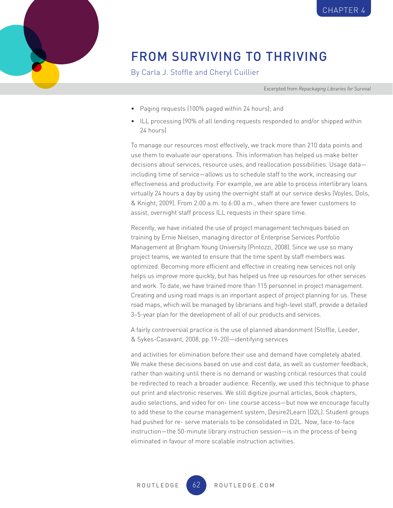By Carla J. Stoffle and Cheryl Cuillier

Excerpted from *[Repackaging Libraries for Survival](https://www.routledge.com/Repackaging-Libraries-for-Survival-Climbing-Out-of-the-Box/Lee/p/book/9780415850339)*

- Paging requests (100% paged within 24 hours); and
- ILL processing (90% of all lending requests responded to and/or shipped within 24 hours)

To manage our resources most effectively, we track more than 210 data points and use them to evaluate our operations. This information has helped us make better decisions about services, resource uses, and reallocation possibilities. Usage data including time of service—allows us to schedule staff to the work, increasing our effectiveness and productivity. For example, we are able to process interlibrary loans virtually 24 hours a day by using the overnight staff at our service desks (Voyles, Dols, & Knight, 2009). From 2:00 a.m. to 6:00 a.m., when there are fewer customers to assist, overnight staff process ILL requests in their spare time.

Recently, we have initiated the use of project management techniques based on training by Ernie Nielsen, managing director of Enterprise Services Portfolio Management at Brigham Young University (Pintozzi, 2008). Since we use so many project teams, we wanted to ensure that the time spent by staff members was optimized. Becoming more efficient and effective in creating new services not only helps us improve more quickly, but has helped us free up resources for other services and work. To date, we have trained more than 115 personnel in project management. Creating and using road maps is an important aspect of project planning for us. These road maps, which will be managed by librarians and high-level staff, provide a detailed 3–5-year plan for the development of all of our products and services.

A fairly controversial practice is the use of planned abandonment (Stoffle, Leeder, & Sykes-Casavant, 2008, pp.19–20)—identifying services

and activities for elimination before their use and demand have completely abated. We make these decisions based on use and cost data, as well as customer feedback, rather than waiting until there is no demand or wasting critical resources that could be redirected to reach a broader audience. Recently, we used this technique to phase out print and electronic reserves. We still digitize journal articles, book chapters, audio selections, and video for on- line course access—but now we encourage faculty to add these to the course management system, Desire2Learn (D2L). Student groups had pushed for re- serve materials to be consolidated in D2L. Now, face-to-face instruction—the 50-minute library instruction session—is in the process of being eliminated in favour of more scalable instruction activities.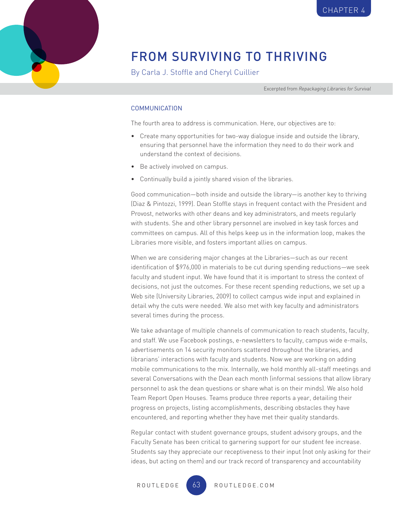By Carla J. Stoffle and Cheryl Cuillier

Excerpted from *[Repackaging Libraries for Survival](https://www.routledge.com/Repackaging-Libraries-for-Survival-Climbing-Out-of-the-Box/Lee/p/book/9780415850339)*

#### **COMMUNICATION**

The fourth area to address is communication. Here, our objectives are to:

- Create many opportunities for two-way dialogue inside and outside the library, ensuring that personnel have the information they need to do their work and understand the context of decisions.
- Be actively involved on campus.
- Continually build a jointly shared vision of the libraries.

Good communication—both inside and outside the library—is another key to thriving (Diaz & Pintozzi, 1999). Dean Stoffle stays in frequent contact with the President and Provost, networks with other deans and key administrators, and meets regularly with students. She and other library personnel are involved in key task forces and committees on campus. All of this helps keep us in the information loop, makes the Libraries more visible, and fosters important allies on campus.

When we are considering major changes at the Libraries—such as our recent identification of \$976,000 in materials to be cut during spending reductions—we seek faculty and student input. We have found that it is important to stress the context of decisions, not just the outcomes. For these recent spending reductions, we set up a Web site (University Libraries, 2009) to collect campus wide input and explained in detail why the cuts were needed. We also met with key faculty and administrators several times during the process.

We take advantage of multiple channels of communication to reach students, faculty, and staff. We use Facebook postings, e-newsletters to faculty, campus wide e-mails, advertisements on 14 security monitors scattered throughout the libraries, and librarians' interactions with faculty and students. Now we are working on adding mobile communications to the mix. Internally, we hold monthly all-staff meetings and several Conversations with the Dean each month (informal sessions that allow library personnel to ask the dean questions or share what is on their minds). We also hold Team Report Open Houses. Teams produce three reports a year, detailing their progress on projects, listing accomplishments, describing obstacles they have encountered, and reporting whether they have met their quality standards.

Regular contact with student governance groups, student advisory groups, and the Faculty Senate has been critical to garnering support for our student fee increase. Students say they appreciate our receptiveness to their input (not only asking for their ideas, but acting on them) and our track record of transparency and accountability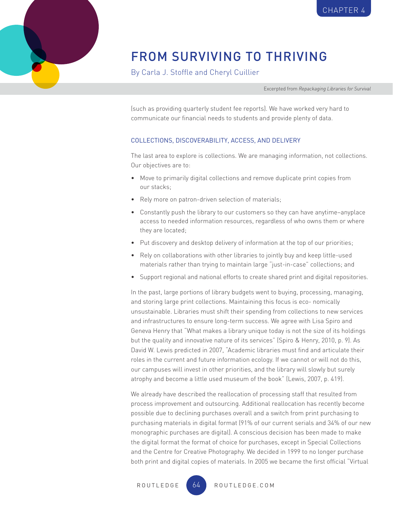By Carla J. Stoffle and Cheryl Cuillier

Excerpted from *[Repackaging Libraries for Survival](https://www.routledge.com/Repackaging-Libraries-for-Survival-Climbing-Out-of-the-Box/Lee/p/book/9780415850339)*

(such as providing quarterly student fee reports). We have worked very hard to communicate our financial needs to students and provide plenty of data.

### COLLECTIONS, DISCOVERABILITY, ACCESS, AND DELIVERY

The last area to explore is collections. We are managing information, not collections. Our objectives are to:

- Move to primarily digital collections and remove duplicate print copies from our stacks;
- Rely more on patron-driven selection of materials;
- Constantly push the library to our customers so they can have anytime–anyplace access to needed information resources, regardless of who owns them or where they are located;
- Put discovery and desktop delivery of information at the top of our priorities;
- Rely on collaborations with other libraries to jointly buy and keep little-used materials rather than trying to maintain large "just-in-case" collections; and
- Support regional and national efforts to create shared print and digital repositories.

In the past, large portions of library budgets went to buying, processing, managing, and storing large print collections. Maintaining this focus is eco- nomically unsustainable. Libraries must shift their spending from collections to new services and infrastructures to ensure long-term success. We agree with Lisa Spiro and Geneva Henry that "What makes a library unique today is not the size of its holdings but the quality and innovative nature of its services" (Spiro & Henry, 2010, p. 9). As David W. Lewis predicted in 2007, "Academic libraries must find and articulate their roles in the current and future information ecology. If we cannot or will not do this, our campuses will invest in other priorities, and the library will slowly but surely atrophy and become a little used museum of the book" (Lewis, 2007, p. 419).

We already have described the reallocation of processing staff that resulted from process improvement and outsourcing. Additional reallocation has recently become possible due to declining purchases overall and a switch from print purchasing to purchasing materials in digital format (91% of our current serials and 34% of our new monographic purchases are digital). A conscious decision has been made to make the digital format the format of choice for purchases, except in Special Collections and the Centre for Creative Photography. We decided in 1999 to no longer purchase both print and digital copies of materials. In 2005 we became the first official "Virtual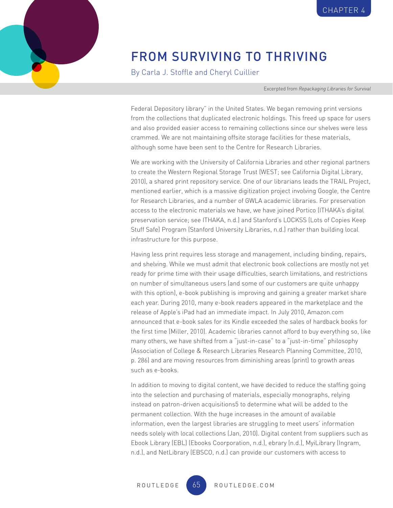By Carla J. Stoffle and Cheryl Cuillier

Excerpted from *[Repackaging Libraries for Survival](https://www.routledge.com/Repackaging-Libraries-for-Survival-Climbing-Out-of-the-Box/Lee/p/book/9780415850339)*

Federal Depository library" in the United States. We began removing print versions from the collections that duplicated electronic holdings. This freed up space for users and also provided easier access to remaining collections since our shelves were less crammed. We are not maintaining offsite storage facilities for these materials, although some have been sent to the Centre for Research Libraries.

We are working with the University of California Libraries and other regional partners to create the Western Regional Storage Trust (WEST; see California Digital Library, 2010), a shared print repository service. One of our librarians leads the TRAIL Project, mentioned earlier, which is a massive digitization project involving Google, the Centre for Research Libraries, and a number of GWLA academic libraries. For preservation access to the electronic materials we have, we have joined Portico (ITHAKA's digital preservation service; see ITHAKA, n.d.) and Stanford's LOCKSS (Lots of Copies Keep Stuff Safe) Program (Stanford University Libraries, n.d.) rather than building local infrastructure for this purpose.

Having less print requires less storage and management, including binding, repairs, and shelving. While we must admit that electronic book collections are mostly not yet ready for prime time with their usage difficulties, search limitations, and restrictions on number of simultaneous users (and some of our customers are quite unhappy with this option), e-book publishing is improving and gaining a greater market share each year. During 2010, many e-book readers appeared in the marketplace and the release of Apple's iPad had an immediate impact. In July 2010, Amazon.com announced that e-book sales for its Kindle exceeded the sales of hardback books for the first time (Miller, 2010). Academic libraries cannot afford to buy everything so, like many others, we have shifted from a "just-in-case" to a "just-in-time" philosophy (Association of College & Research Libraries Research Planning Committee, 2010, p. 286) and are moving resources from diminishing areas (print) to growth areas such as e-books.

In addition to moving to digital content, we have decided to reduce the staffing going into the selection and purchasing of materials, especially monographs, relying instead on patron-driven acquisitions5 to determine what will be added to the permanent collection. With the huge increases in the amount of available information, even the largest libraries are struggling to meet users' information needs solely with local collections (Jan, 2010). Digital content from suppliers such as Ebook Library (EBL) (Ebooks Coorporation, n.d.), ebrary (n.d.), MyiLibrary (Ingram, n.d.), and NetLibrary (EBSCO, n.d.) can provide our customers with access to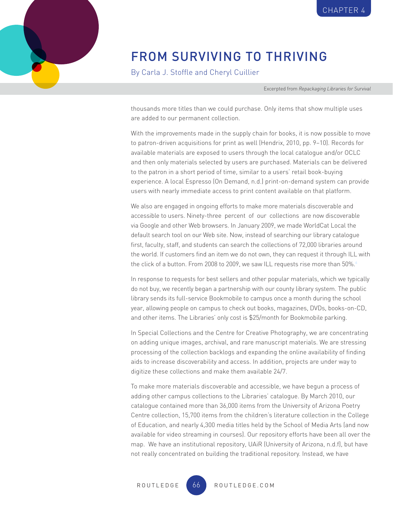By Carla J. Stoffle and Cheryl Cuillier

Excerpted from *[Repackaging Libraries for Survival](https://www.routledge.com/Repackaging-Libraries-for-Survival-Climbing-Out-of-the-Box/Lee/p/book/9780415850339)*

thousands more titles than we could purchase. Only items that show multiple uses are added to our permanent collection.

With the improvements made in the supply chain for books, it is now possible to move to patron-driven acquisitions for print as well (Hendrix, 2010, pp. 9–10). Records for available materials are exposed to users through the local catalogue and/or OCLC and then only materials selected by users are purchased. Materials can be delivered to the patron in a short period of time, similar to a users' retail book-buying experience. A local Espresso (On Demand, n.d.) print-on-demand system can provide users with nearly immediate access to print content available on that platform.

We also are engaged in ongoing efforts to make more materials discoverable and accessible to users. Ninety-three percent of our collections are now discoverable via Google and other Web browsers. In January 2009, we made WorldCat Local the default search tool on our Web site. Now, instead of searching our library catalogue first, faculty, staff, and students can search the collections of 72,000 libraries around the world. If customers find an item we do not own, they can request it through ILL with the click of a button. From 2008 to 2009, we saw ILL requests rise more than 50%.<sup>6</sup>

In response to requests for best sellers and other popular materials, which we typically do not buy, we recently began a partnership with our county library system. The public library sends its full-service Bookmobile to campus once a month during the school year, allowing people on campus to check out books, magazines, DVDs, books-on-CD, and other items. The Libraries' only cost is \$25/month for Bookmobile parking.

In Special Collections and the Centre for Creative Photography, we are concentrating on adding unique images, archival, and rare manuscript materials. We are stressing processing of the collection backlogs and expanding the online availability of finding aids to increase discoverability and access. In addition, projects are under way to digitize these collections and make them available 24/7.

To make more materials discoverable and accessible, we have begun a process of adding other campus collections to the Libraries' catalogue. By March 2010, our catalogue contained more than 36,000 items from the University of Arizona Poetry Centre collection, 15,700 items from the children's literature collection in the College of Education, and nearly 4,300 media titles held by the School of Media Arts (and now available for video streaming in courses). Our repository efforts have been all over the map. We have an institutional repository, UAiR (University of Arizona, n.d.f), but have not really concentrated on building the traditional repository. Instead, we have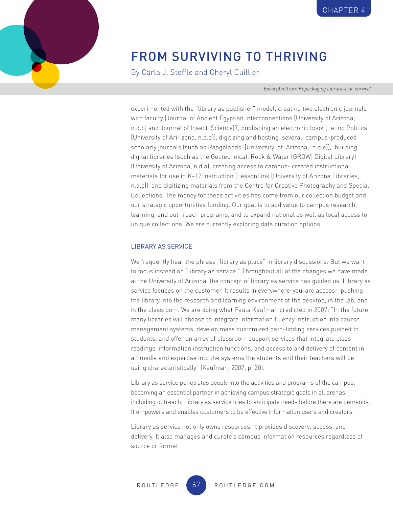By Carla J. Stoffle and Cheryl Cuillier

Excerpted from *[Repackaging Libraries for Survival](https://www.routledge.com/Repackaging-Libraries-for-Survival-Climbing-Out-of-the-Box/Lee/p/book/9780415850339)*

experimented with the "library as publisher" model, creating two electronic journals with faculty (Journal of Ancient Egyptian Interconnections [University of Arizona, n.d.b] and Journal of Insect Science)7, publishing an electronic book (Latino Politics [University of Ari- zona, n.d.d]), digitizing and hosting several campus-produced scholarly journals (such as Rangelands [University of Arizona, n.d.e]), building digital libraries (such as the Geotechnical, Rock & Water [GROW] Digital Library) (University of Arizona, n.d.a), creating access to campus- created instructional materials for use in K–12 instruction (LessonLink [University of Arizona Libraries, n.d.c]), and digitizing materials from the Centre for Creative Photography and Special Collections. The money for these activities has come from our collection budget and our strategic opportunities funding. Our goal is to add value to campus research, learning, and out- reach programs, and to expand national as well as local access to unique collections. We are currently exploring data curation options.

#### LIBRARY AS SERVICE

We frequently hear the phrase "library as place" in library discussions. But we want to focus instead on "library as service." Throughout all of the changes we have made at the University of Arizona, the concept of library as service has guided us. Library as service focuses on the customer. It results in everywhere-you-are access—pushing the library into the research and learning environment at the desktop, in the lab, and in the classroom. We are doing what Paula Kaufman predicted in 2007: "In the future, many libraries will choose to integrate information fluency instruction into course management systems, develop mass customized path-finding services pushed to students, and offer an array of classroom support services that integrate class readings, information instruction functions, and access to and delivery of content in all media and expertise into the systems the students and their teachers will be using characteristically" (Kaufman, 2007, p. 20).

Library as service penetrates deeply into the activities and programs of the campus, becoming an essential partner in achieving campus strategic goals in all arenas, including outreach. Library as service tries to anticipate needs before there are demands. It empowers and enables customers to be effective information users and creators.

Library as service not only owns resources, it provides discovery, access, and delivery. It also manages and curate's campus information resources regardless of source or format.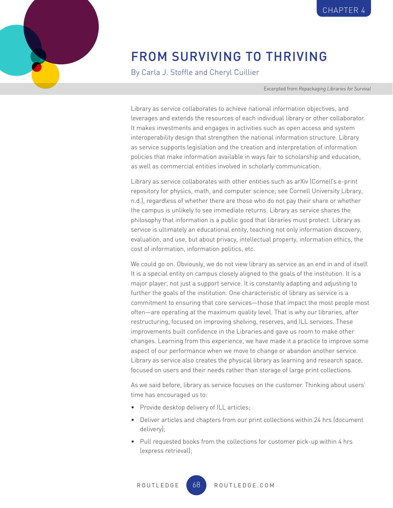By Carla J. Stoffle and Cheryl Cuillier

Excerpted from *[Repackaging Libraries for Survival](https://www.routledge.com/Repackaging-Libraries-for-Survival-Climbing-Out-of-the-Box/Lee/p/book/9780415850339)*

Library as service collaborates to achieve national information objectives, and leverages and extends the resources of each individual library or other collaborator. It makes investments and engages in activities such as open access and system interoperability design that strengthen the national information structure. Library as service supports legislation and the creation and interpretation of information policies that make information available in ways fair to scholarship and education, as well as commercial entities involved in scholarly communication.

Library as service collaborates with other entities such as arXiv (Cornell's e-print repository for physics, math, and computer science; see Cornell University Library, n.d.), regardless of whether there are those who do not pay their share or whether the campus is unlikely to see immediate returns. Library as service shares the philosophy that information is a public good that libraries must protect. Library as service is ultimately an educational entity, teaching not only information discovery, evaluation, and use, but about privacy, intellectual property, information ethics, the cost of information, information politics, etc.

We could go on. Obviously, we do not view library as service as an end in and of itself. It is a special entity on campus closely aligned to the goals of the institution. It is a major player, not just a support service. It is constantly adapting and adjusting to further the goals of the institution. One characteristic of library as service is a commitment to ensuring that core services—those that impact the most people most often—are operating at the maximum quality level. That is why our libraries, after restructuring, focused on improving shelving, reserves, and ILL services. These improvements built confidence in the Libraries and gave us room to make other changes. Learning from this experience, we have made it a practice to improve some aspect of our performance when we move to change or abandon another service. Library as service also creates the physical library as learning and research space, focused on users and their needs rather than storage of large print collections.

As we said before, library as service focuses on the customer. Thinking about users' time has encouraged us to:

• Provide desktop delivery of ILL articles;

- Deliver articles and chapters from our print collections within 24 hrs (document delivery);
- Pull requested books from the collections for customer pick-up within 4 hrs (express retrieval);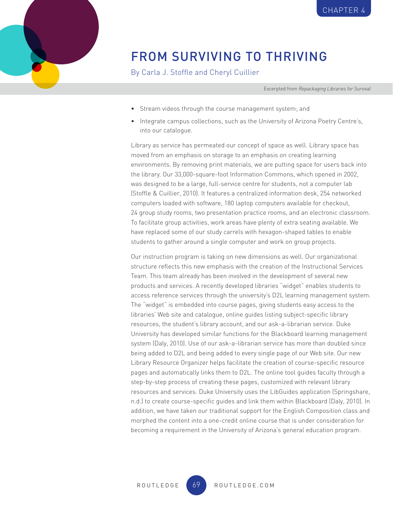By Carla J. Stoffle and Cheryl Cuillier

Excerpted from *[Repackaging Libraries for Survival](https://www.routledge.com/Repackaging-Libraries-for-Survival-Climbing-Out-of-the-Box/Lee/p/book/9780415850339)*

- Stream videos through the course management system; and
- Integrate campus collections, such as the University of Arizona Poetry Centre's, into our catalogue.

Library as service has permeated our concept of space as well. Library space has moved from an emphasis on storage to an emphasis on creating learning environments. By removing print materials, we are putting space for users back into the library. Our 33,000-square-foot Information Commons, which opened in 2002, was designed to be a large, full-service centre for students, not a computer lab (Stoffle & Cuillier, 2010). It features a centralized information desk, 254 networked computers loaded with software, 180 laptop computers available for checkout, 24 group study rooms, two presentation practice rooms, and an electronic classroom. To facilitate group activities, work areas have plenty of extra seating available. We have replaced some of our study carrels with hexagon-shaped tables to enable students to gather around a single computer and work on group projects.

Our instruction program is taking on new dimensions as well. Our organizational structure reflects this new emphasis with the creation of the Instructional Services Team. This team already has been involved in the development of several new products and services. A recently developed libraries "widget" enables students to access reference services through the university's D2L learning management system. The "widget" is embedded into course pages, giving students easy access to the libraries' Web site and catalogue, online guides listing subject-specific library resources, the student's library account, and our ask-a-librarian service. Duke University has developed similar functions for the Blackboard learning management system (Daly, 2010). Use of our ask-a-librarian service has more than doubled since being added to D2L and being added to every single page of our Web site. Our new Library Resource Organizer helps facilitate the creation of course-specific resource pages and automatically links them to D2L. The online tool guides faculty through a step-by-step process of creating these pages, customized with relevant library resources and services. Duke University uses the LibGuides application (Springshare, n.d.) to create course-specific guides and link them within Blackboard (Daly, 2010). In addition, we have taken our traditional support for the English Composition class and morphed the content into a one-credit online course that is under consideration for becoming a requirement in the University of Arizona's general education program.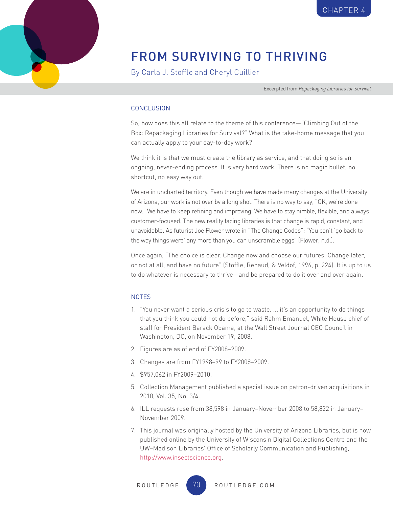By Carla J. Stoffle and Cheryl Cuillier

Excerpted from *[Repackaging Libraries for Survival](https://www.routledge.com/Repackaging-Libraries-for-Survival-Climbing-Out-of-the-Box/Lee/p/book/9780415850339)*

#### CONCLUSION

So, how does this all relate to the theme of this conference—"Climbing Out of the Box: Repackaging Libraries for Survival?" What is the take-home message that you can actually apply to your day-to-day work?

We think it is that we must create the library as service, and that doing so is an ongoing, never-ending process. It is very hard work. There is no magic bullet, no shortcut, no easy way out.

We are in uncharted territory. Even though we have made many changes at the University of Arizona, our work is not over by a long shot. There is no way to say, "OK, we're done now." We have to keep refining and improving. We have to stay nimble, flexible, and always customer-focused. The new reality facing libraries is that change is rapid, constant, and unavoidable. As futurist Joe Flower wrote in "The Change Codes": "You can't 'go back to the way things were' any more than you can unscramble eggs" (Flower, n.d.).

Once again, "The choice is clear. Change now and choose our futures. Change later, or not at all, and have no future" (Stoffle, Renaud, & Veldof, 1996, p. 224). It is up to us to do whatever is necessary to thrive—and be prepared to do it over and over again.

#### **NOTES**

- 1. "You never want a serious crisis to go to waste. ... it's an opportunity to do things that you think you could not do before," said Rahm Emanuel, White House chief of staff for President Barack Obama, at the Wall Street Journal CEO Council in Washington, DC, on November 19, 2008.
- 2. Figures are as of end of FY2008–2009.
- 3. Changes are from FY1998–99 to FY2008–2009.

- 4. \$957,062 in FY2009–2010.
- 5. Collection Management published a special issue on patron-driven acquisitions in 2010, Vol. 35, No. 3/4.
- 6. ILL requests rose from 38,598 in January–November 2008 to 58,822 in January– November 2009.
- 7. This journal was originally hosted by the University of Arizona Libraries, but is now published online by the University of Wisconsin Digital Collections Centre and the UW–Madison Libraries' Office of Scholarly Communication and Publishing, http://www.insectscience.org.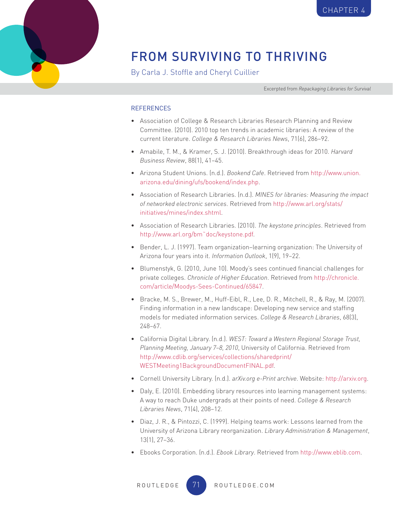By Carla J. Stoffle and Cheryl Cuillier

Excerpted from *[Repackaging Libraries for Survival](https://www.routledge.com/Repackaging-Libraries-for-Survival-Climbing-Out-of-the-Box/Lee/p/book/9780415850339)*

#### **REFERENCES**

- Association of College & Research Libraries Research Planning and Review Committee. (2010). 2010 top ten trends in academic libraries: A review of the current literature. *College & Research Libraries News*, 71(6), 286–92.
- Amabile, T. M., & Kramer, S. J. (2010). Breakthrough ideas for 2010. *Harvard Business Review*, 88(1), 41–45.
- Arizona Student Unions. (n.d.). *Bookend Cafe*. Retrieved from [http://www.union.](http://www.union.arizona.edu/dining/ufs/bookend/index.php) [arizona.edu/dining/ufs/bookend/index.php](http://www.union.arizona.edu/dining/ufs/bookend/index.php).
- Association of Research Libraries. (n.d.). *MINES for libraries: Measuring the impact of networked electronic services*. Retrieved from [http://www.arl.org/stats/](http://www.arl.org/stats/initiatives/mines/index.shtml) [initiatives/mines/index.shtml.](http://www.arl.org/stats/initiatives/mines/index.shtml)
- Association of Research Libraries. (2010). *The keystone principles*. Retrieved from http://www.arl.org/bm˜doc/keystone.pdf.
- Bender, L. J. (1997). Team organization–learning organization: The University of Arizona four years into it. *Information Outlook*, 1(9), 19–22.
- Blumenstyk, G. (2010, June 10). Moody's sees continued financial challenges for private colleges. *Chronicle of Higher Education*. Retrieved from [http://chronicle.](http://chronicle.com/article/Moodys-Sees-Continued/65847) [com/article/Moodys-Sees-Continued/65847.](http://chronicle.com/article/Moodys-Sees-Continued/65847)
- Bracke, M. S., Brewer, M., Huff-Eibl, R., Lee, D. R., Mitchell, R., & Ray, M. (2007). Finding information in a new landscape: Developing new service and staffing models for mediated information services. *College & Research Libraries*, 68(3), 248–67.
- California Digital Library. (n.d.). *WEST: Toward a Western Regional Storage Trust, Planning Meeting, January 7–8, 2010*, University of California. Retrieved from [http://www.cdlib.org/services/collections/sharedprint/](http://www.cdlib.org/services/collections/sharedprint/WESTMeeting1BackgroundDocumentFINAL.pdf) [WESTMeeting1BackgroundDocumentFINAL.pdf.](http://www.cdlib.org/services/collections/sharedprint/WESTMeeting1BackgroundDocumentFINAL.pdf)
- Cornell University Library. (n.d.). *arXiv.org e-Print archive*. Website: http://arxiv.org.
- Daly, E. (2010). Embedding library resources into learning management systems: A way to reach Duke undergrads at their points of need. *College & Research Libraries News*, 71(4), 208–12.
- Diaz, J. R., & Pintozzi, C. (1999). Helping teams work: Lessons learned from the University of Arizona Library reorganization. *Library Administration & Management*, 13(1), 27–36.
- Ebooks Corporation. (n.d.). *Ebook Library*. Retrieved from http://www.eblib.com.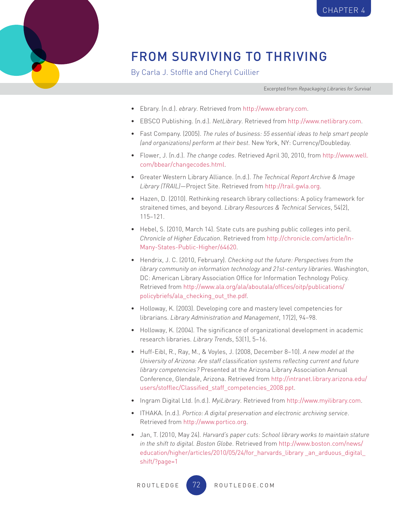By Carla J. Stoffle and Cheryl Cuillier

Excerpted from *[Repackaging Libraries for Survival](https://www.routledge.com/Repackaging-Libraries-for-Survival-Climbing-Out-of-the-Box/Lee/p/book/9780415850339)*

- Ebrary. (n.d.). *ebrary*. Retrieved from http://www.ebrary.com.
- EBSCO Publishing. (n.d.). *NetLibrary*. Retrieved from http://www.netlibrary.com.
- Fast Company. (2005). *The rules of business: 55 essential ideas to help smart people (and organizations) perform at their best*. New York, NY: Currency/Doubleday.
- Flower, J. (n.d.). *The change codes*. Retrieved April 30, 2010, from [http://www.well.](http://www.well.com/bbear/changecodes.html) [com/bbear/changecodes.html.](http://www.well.com/bbear/changecodes.html)
- Greater Western Library Alliance. (n.d.). *The Technical Report Archive & Image Library (TRAIL)*—Project Site. Retrieved from http://trail.gwla.org.
- Hazen, D. (2010). Rethinking research library collections: A policy framework for straitened times, and beyond. *Library Resources & Technical Services*, 54(2), 115–121.
- Hebel, S. (2010, March 14). State cuts are pushing public colleges into peril. *Chronicle of Higher Education*. Retrieved from [http://chronicle.com/article/In-](http://chronicle.com/article/In-Many-States-Public-Higher/64620)[Many-States-Public-Higher/64620](http://chronicle.com/article/In-Many-States-Public-Higher/64620).
- Hendrix, J. C. (2010, February). *Checking out the future: Perspectives from the library community on information technology and 21st-century libraries*. Washington, DC: American Library Association Office for Information Technology Policy. Retrieved from [http://www.ala.org/ala/aboutala/offices/oitp/publications/](http://www.ala.org/ala/aboutala/offices/oitp/publications/policybriefs/ala_checking_out_the.pdf) [policybriefs/ala\\_checking\\_out\\_the.pdf](http://www.ala.org/ala/aboutala/offices/oitp/publications/policybriefs/ala_checking_out_the.pdf).
- Holloway, K. (2003). Developing core and mastery level competencies for librarians. *Library Administration and Management*, 17(2), 94–98.
- Holloway, K. (2004). The significance of organizational development in academic research libraries. *Library Trends*, 53(1), 5–16.
- Huff-Eibl, R., Ray, M., & Voyles, J. (2008, December 8–10). *A new model at the University of Arizona: Are staff classification systems reflecting current and future library competencies?* Presented at the Arizona Library Association Annual Conference, Glendale, Arizona. Retrieved from [http://intranet.library.arizona.edu/](http://intranet.library.arizona.edu/users/stofflec/Classified_staff_competencies_2008.ppt) [users/stofflec/Classified\\_staff\\_competencies\\_2008.ppt](http://intranet.library.arizona.edu/users/stofflec/Classified_staff_competencies_2008.ppt).
- Ingram Digital Ltd. (n.d.). *MyiLibrary*. Retrieved from http://www.myilibrary.com.
- ITHAKA. (n.d.). *Portico: A digital preservation and electronic archiving service*. Retrieved from http://www.portico.org.
- Jan, T. (2010, May 24). *Harvard's paper cuts: School library works to maintain stature in the shift to digital. Boston Globe*. Retrieved from [http://www.boston.com/news/](http://www.boston.com/news/education/higher/articles/2010/05/24/for_harvards_library _an_arduous_digital_shift/?page=1) [education/higher/articles/2010/05/24/for\\_harvards\\_library \\_an\\_arduous\\_digital\\_](http://www.boston.com/news/education/higher/articles/2010/05/24/for_harvards_library _an_arduous_digital_shift/?page=1) [shift/?page=1](http://www.boston.com/news/education/higher/articles/2010/05/24/for_harvards_library _an_arduous_digital_shift/?page=1)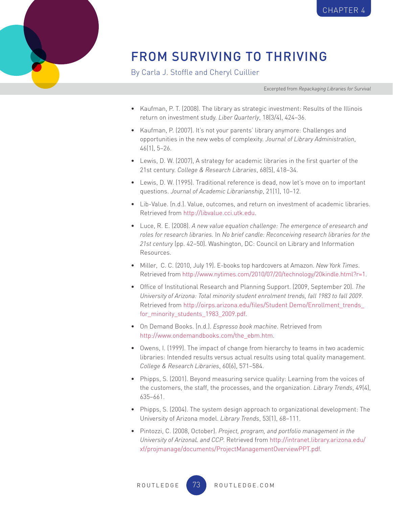## FROM SURVIVING TO THRIVING

By Carla J. Stoffle and Cheryl Cuillier

Excerpted from *[Repackaging Libraries for Survival](https://www.routledge.com/Repackaging-Libraries-for-Survival-Climbing-Out-of-the-Box/Lee/p/book/9780415850339)*

- Kaufman, P. T. (2008). The library as strategic investment: Results of the Illinois return on investment study. *Liber Quarterly*, 18(3/4), 424–36.
- Kaufman, P. (2007). It's not your parents' library anymore: Challenges and opportunities in the new webs of complexity. *Journal of Library Administration*, 46(1), 5–26.
- Lewis, D. W. (2007), A strategy for academic libraries in the first quarter of the 21st century. *College & Research Libraries*, 68(5), 418–34.
- Lewis, D. W. (1995). Traditional reference is dead, now let's move on to important questions. *Journal of Academic Librarianship*, 21(1), 10–12.
- Lib-Value. (n.d.). Value, outcomes, and return on investment of academic libraries. Retrieved from http://libvalue.cci.utk.edu.
- Luce, R. E. (2008). *A new value equation challenge: The emergence of eresearch and roles for research libraries.* In *No brief candle: Reconceiving research libraries for the 21st century* (pp. 42–50). Washington, DC: Council on Library and Information Resources.
- Miller, C. C. (2010, July 19). E-books top hardcovers at Amazon. *New York Times*. Retrieved from http://www.nytimes.com/2010/07/20/technology/20kindle.html?r=1.
- Office of Institutional Research and Planning Support. (2009, September 20). *The University of Arizona: Total minority student enrolment trends, fall 1983 to fall 2009*. Retrieved from [http://oirps.arizona.edu/files/Student Demo/Enrollment\\_trends\\_](http://oirps.arizona.edu/files/Student Demo/Enrollment_trends_for_minority_students_1983_2009.pdf) [for\\_minority\\_students\\_1983\\_2009.pdf](http://oirps.arizona.edu/files/Student Demo/Enrollment_trends_for_minority_students_1983_2009.pdf).
- On Demand Books. (n.d.). *Espresso book machine*. Retrieved from http://www.ondemandbooks.com/the\_ebm.htm.
- Owens, I. (1999). The impact of change from hierarchy to teams in two academic libraries: Intended results versus actual results using total quality management. *College & Research Libraries*, 60(6), 571–584.
- Phipps, S. (2001). Beyond measuring service quality: Learning from the voices of the customers, the staff, the processes, and the organization. *Library Trends*, 49(4), 635–661.
- Phipps, S. (2004). The system design approach to organizational development: The University of Arizona model. *Library Trends*, 53(1), 68–111.
- Pintozzi, C. (2008, October). *Project, program, and portfolio management in the University of ArizonaL and CCP*. Retrieved from [http://intranet.library.arizona.edu/](http://intranet.library.arizona.edu/xf/projmanage/documents/ProjectManagementOverviewPPT.pdf) [xf/projmanage/documents/ProjectManagementOverviewPPT.pdf.](http://intranet.library.arizona.edu/xf/projmanage/documents/ProjectManagementOverviewPPT.pdf)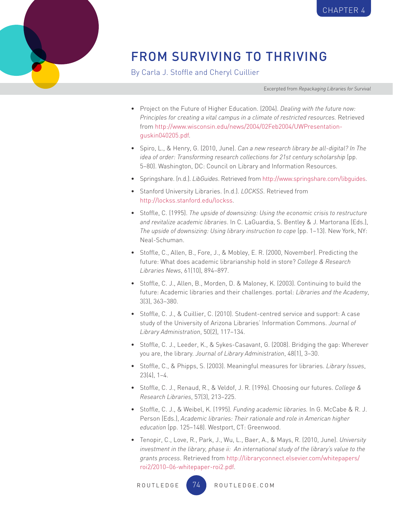## FROM SURVIVING TO THRIVING

By Carla J. Stoffle and Cheryl Cuillier

Excerpted from *[Repackaging Libraries for Survival](https://www.routledge.com/Repackaging-Libraries-for-Survival-Climbing-Out-of-the-Box/Lee/p/book/9780415850339)*

- Project on the Future of Higher Education. (2004). *Dealing with the future now: Principles for creating a vital campus in a climate of restricted resources.* Retrieved from [http://www.wisconsin.edu/news/2004/02Feb2004/UWPresentation](http://www.wisconsin.edu/news/2004/02Feb2004/UWPresentation-guskin040205.pdf)[guskin040205.pdf](http://www.wisconsin.edu/news/2004/02Feb2004/UWPresentation-guskin040205.pdf).
- Spiro, L., & Henry, G. (2010, June). *Can a new research library be all-digital? In The idea of order: Transforming research collections for 21st century scholarship* (pp. 5–80). Washington, DC: Council on Library and Information Resources.
- Springshare. (n.d.). *LibGuides*. Retrieved from http://www.springshare.com/libguides.
- Stanford University Libraries. (n.d.). *LOCKSS*. Retrieved from http://lockss.stanford.edu/lockss.
- Stoffle, C. (1995). *The upside of downsizing: Using the economic crisis to restructure and revitalize academic libraries*. In C. LaGuardia, S. Bentley & J. Martorana (Eds.), *The upside of downsizing: Using library instruction to cope* (pp. 1–13). New York, NY: Neal-Schuman.
- Stoffle, C., Allen, B., Fore, J., & Mobley, E. R. (2000, November). Predicting the future: What does academic librarianship hold in store? *College & Research Libraries News*, 61(10), 894–897.
- Stoffle, C. J., Allen, B., Morden, D. & Maloney, K. (2003). Continuing to build the future: Academic libraries and their challenges. portal: *Libraries and the Academy*, 3(3), 363–380.
- Stoffle, C. J., & Cuillier, C. (2010). Student-centred service and support: A case study of the University of Arizona Libraries' Information Commons. *Journal of Library Administration*, 50(2), 117–134.
- Stoffle, C. J., Leeder, K., & Sykes-Casavant, G. (2008). Bridging the gap: Wherever you are, the library. *Journal of Library Administration*, 48(1), 3–30.
- Stoffle, C., & Phipps, S. (2003). Meaningful measures for libraries. *Library Issues*, 23(4), 1–4.
- Stoffle, C. J., Renaud, R., & Veldof, J. R. (1996). Choosing our futures. *College & Research Libraries*, 57(3), 213–225.
- Stoffle, C. J., & Weibel, K. (1995). *Funding academic libraries.* In G. McCabe & R. J. Person (Eds.), *Academic libraries: Their rationale and role in American higher education* (pp. 125–148). Westport, CT: Greenwood.
- Tenopir, C., Love, R., Park, J., Wu, L., Baer, A., & Mays, R. (2010, June). *University investment in the library, phase ii: An international study of the library's value to the grants process*. Retrieved from [http://libraryconnect.elsevier.com/whitepapers/](http://libraryconnect.elsevier.com/whitepapers/roi2/2010–06-whitepaper-roi2.pdf) [roi2/2010–06-whitepaper-roi2.pdf](http://libraryconnect.elsevier.com/whitepapers/roi2/2010–06-whitepaper-roi2.pdf).

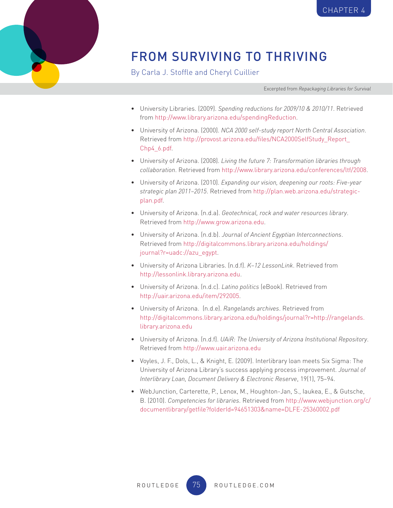## FROM SURVIVING TO THRIVING

By Carla J. Stoffle and Cheryl Cuillier

Excerpted from *[Repackaging Libraries for Survival](https://www.routledge.com/Repackaging-Libraries-for-Survival-Climbing-Out-of-the-Box/Lee/p/book/9780415850339)*

- University Libraries. (2009). *Spending reductions for 2009/10 & 2010/11*. Retrieved from http://www.library.arizona.edu/spendingReduction.
- University of Arizona. (2000). *NCA 2000 self-study report North Central Association*. Retrieved from [http://provost.arizona.edu/files/NCA2000SelfStudy\\_Report\\_](http://provost.arizona.edu/files/NCA2000SelfStudy_Report_Chp4_6.pdf) [Chp4\\_6.pdf](http://provost.arizona.edu/files/NCA2000SelfStudy_Report_Chp4_6.pdf).
- University of Arizona. (2008). *Living the future 7: Transformation libraries through collaboration*. Retrieved from http://www.library.arizona.edu/conferences/ltf/2008.
- University of Arizona. (2010). *Expanding our vision, deepening our roots: Five-year strategic plan 2011–2015*. Retrieved from [http://plan.web.arizona.edu/strategic](http://plan.web.arizona.edu/strategic-plan.pdf)[plan.pdf](http://plan.web.arizona.edu/strategic-plan.pdf).
- University of Arizona. (n.d.a). *Geotechnical, rock and water resources library*. Retrieved from http://www.grow.arizona.edu.
- University of Arizona. (n.d.b). *Journal of Ancient Egyptian Interconnections*. Retrieved from [http://digitalcommons.library.arizona.edu/holdings/](http://digitalcommons.library.arizona.edu/holdings/journal?r=uadc://azu_egypt) [journal?r=uadc://azu\\_egypt](http://digitalcommons.library.arizona.edu/holdings/journal?r=uadc://azu_egypt).
- University of Arizona Libraries. (n.d.f). *K–12 LessonLink*. Retrieved from http://lessonlink.library.arizona.edu.
- University of Arizona. (n.d.c). *Latino politics* (eBook). Retrieved from http://uair.arizona.edu/item/292005.
- University of Arizona. (n.d.e). *Rangelands archives*. Retrieved from [http://digitalcommons.library.arizona.edu/holdings/journal?r=http://rangelands.](http://digitalcommons.library.arizona.edu/holdings/journal?r=http://rangelands.library.arizona.edu) [library.arizona.edu](http://digitalcommons.library.arizona.edu/holdings/journal?r=http://rangelands.library.arizona.edu)
- University of Arizona. (n.d.f). *UAiR: The University of Arizona Institutional Repository*. Retrieved from http://www.uair.arizona.edu
- Voyles, J. F., Dols, L., & Knight, E. (2009). Interlibrary loan meets Six Sigma: The University of Arizona Library's success applying process improvement. *Journal of Interlibrary Loan, Document Delivery & Electronic Reserve*, 19(1), 75–94.
- WebJunction, Carterette, P., Lenox, M., Houghton-Jan, S., Iaukea, E., & Gutsche, B. (2010). *Competencies for libraries*. Retrieved from [http://www.webjunction.org/c/](http://www.webjunction.org/c/documentlibrary/getfile?folderId=94651303&name=DLFE-25360002.pdf) [documentlibrary/getfile?folderId=94651303&name=DLFE-25360002.pdf](http://www.webjunction.org/c/documentlibrary/getfile?folderId=94651303&name=DLFE-25360002.pdf)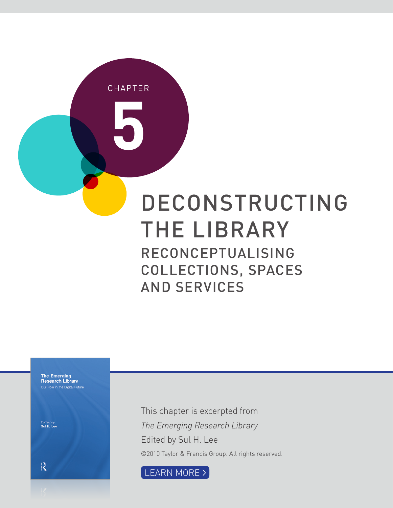

The Emerging<br>Research Library Our Role in the Digital Future

Edited by<br>Sul H. Lee

This chapter is excerpted from *The Emerging Research Library* Edited by Sul H. Lee ©2010 Taylor & Francis Group. All rights reserved.



 $\mathbf{R}$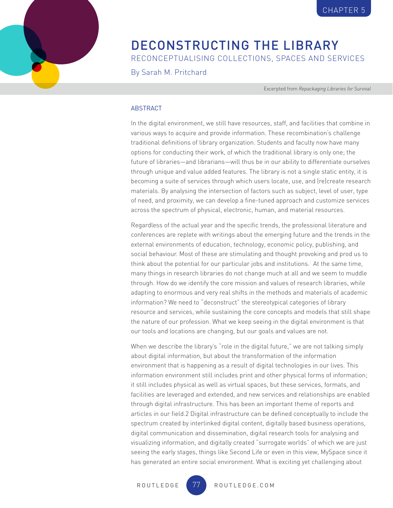

By Sarah M. Pritchard

Excerpted from *[Repackaging Libraries for Survival](https://www.routledge.com/The-Emerging-Research-Library/Lee/p/book/9780415851084)*

#### **ABSTRACT**

In the digital environment, we still have resources, staff, and facilities that combine in various ways to acquire and provide information. These recombination's challenge traditional definitions of library organization. Students and faculty now have many options for conducting their work, of which the traditional library is only one; the future of libraries—and librarians—will thus be in our ability to differentiate ourselves through unique and value added features. The library is not a single static entity, it is becoming a suite of services through which users locate, use, and (re)create research materials. By analysing the intersection of factors such as subject, level of user, type of need, and proximity, we can develop a fine-tuned approach and customize services across the spectrum of physical, electronic, human, and material resources.

Regardless of the actual year and the specific trends, the professional literature and conferences are replete with writings about the emerging future and the trends in the external environments of education, technology, economic policy, publishing, and social behaviour. Most of these are stimulating and thought provoking and prod us to think about the potential for our particular jobs and institutions.1 At the same time, many things in research libraries do not change much at all and we seem to muddle through. How do we identify the core mission and values of research libraries, while adapting to enormous and very real shifts in the methods and materials of academic information? We need to "deconstruct" the stereotypical categories of library resource and services, while sustaining the core concepts and models that still shape the nature of our profession. What we keep seeing in the digital environment is that our tools and locations are changing, but our goals and values are not.

When we describe the library's "role in the digital future," we are not talking simply about digital information, but about the transformation of the information environment that is happening as a result of digital technologies in our lives. This information environment still includes print and other physical forms of information; it still includes physical as well as virtual spaces, but these services, formats, and facilities are leveraged and extended, and new services and relationships are enabled through digital infrastructure. This has been an important theme of reports and articles in our field.2 Digital infrastructure can be defined conceptually to include the spectrum created by interlinked digital content, digitally based business operations, digital communication and dissemination, digital research tools for analysing and visualizing information, and digitally created "surrogate worlds" of which we are just seeing the early stages, things like Second Life or even in this view, MySpace since it has generated an entire social environment. What is exciting yet challenging about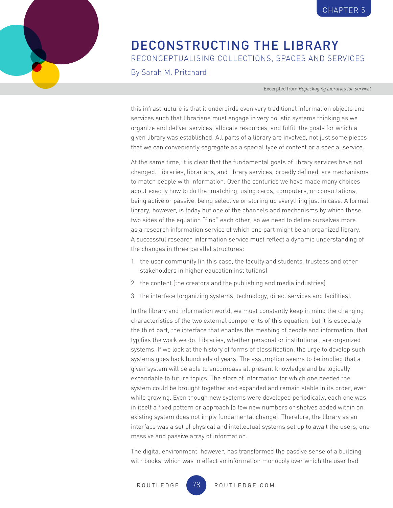

By Sarah M. Pritchard

Excerpted from *[Repackaging Libraries for Survival](https://www.routledge.com/The-Emerging-Research-Library/Lee/p/book/9780415851084)*

this infrastructure is that it undergirds even very traditional information objects and services such that librarians must engage in very holistic systems thinking as we organize and deliver services, allocate resources, and fulfill the goals for which a given library was established. All parts of a library are involved, not just some pieces that we can conveniently segregate as a special type of content or a special service.

At the same time, it is clear that the fundamental goals of library services have not changed. Libraries, librarians, and library services, broadly defined, are mechanisms to match people with information. Over the centuries we have made many choices about exactly how to do that matching, using cards, computers, or consultations, being active or passive, being selective or storing up everything just in case. A formal library, however, is today but one of the channels and mechanisms by which these two sides of the equation "find" each other, so we need to define ourselves more as a research information service of which one part might be an organized library. A successful research information service must reflect a dynamic understanding of the changes in three parallel structures:

- 1. the user community (in this case, the faculty and students, trustees and other stakeholders in higher education institutions)
- 2. the content (the creators and the publishing and media industries)
- 3. the interface (organizing systems, technology, direct services and facilities).

In the library and information world, we must constantly keep in mind the changing characteristics of the two external components of this equation, but it is especially the third part, the interface that enables the meshing of people and information, that typifies the work we do. Libraries, whether personal or institutional, are organized systems. If we look at the history of forms of classification, the urge to develop such systems goes back hundreds of years. The assumption seems to be implied that a given system will be able to encompass all present knowledge and be logically expandable to future topics. The store of information for which one needed the system could be brought together and expanded and remain stable in its order, even while growing. Even though new systems were developed periodically, each one was in itself a fixed pattern or approach (a few new numbers or shelves added within an existing system does not imply fundamental change). Therefore, the library as an interface was a set of physical and intellectual systems set up to await the users, one massive and passive array of information.

The digital environment, however, has transformed the passive sense of a building with books, which was in effect an information monopoly over which the user had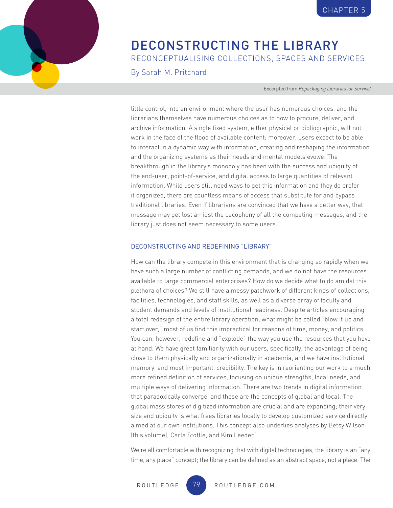

By Sarah M. Pritchard

Excerpted from *[Repackaging Libraries for Survival](https://www.routledge.com/The-Emerging-Research-Library/Lee/p/book/9780415851084)*

little control, into an environment where the user has numerous choices, and the librarians themselves have numerous choices as to how to procure, deliver, and archive information. A single fixed system, either physical or bibliographic, will not work in the face of the flood of available content; moreover, users expect to be able to interact in a dynamic way with information, creating and reshaping the information and the organizing systems as their needs and mental models evolve. The breakthrough in the library's monopoly has been with the success and ubiquity of the end-user, point-of-service, and digital access to large quantities of relevant information. While users still need ways to get this information and they do prefer it organized, there are countless means of access that substitute for and bypass traditional libraries. Even if librarians are convinced that we have a better way, that message may get lost amidst the cacophony of all the competing messages, and the library just does not seem necessary to some users.

#### DECONSTRUCTING AND REDEFINING "LIBRARY"

How can the library compete in this environment that is changing so rapidly when we have such a large number of conflicting demands, and we do not have the resources available to large commercial enterprises? How do we decide what to do amidst this plethora of choices? We still have a messy patchwork of different kinds of collections, facilities, technologies, and staff skills, as well as a diverse array of faculty and student demands and levels of institutional readiness. Despite articles encouraging a total redesign of the entire library operation, what might be called "blow it up and start over," most of us find this impractical for reasons of time, money, and politics. You can, however, redefine and "explode" the way you use the resources that you have at hand. We have great familiarity with our users, specifically, the advantage of being close to them physically and organizationally in academia, and we have institutional memory, and most important, credibility. The key is in reorienting our work to a much more refined definition of services, focusing on unique strengths, local needs, and multiple ways of delivering information. There are two trends in digital information that paradoxically converge, and these are the concepts of global and local. The global mass stores of digitized information are crucial and are expanding; their very size and ubiquity is what frees libraries locally to develop customized service directly aimed at our own institutions. This concept also underlies analyses by Betsy Wilson (this volume), Carla Stoffle, and Kim Leeder.<sup>3</sup>

We're all comfortable with recognizing that with digital technologies, the library is an "any time, any place" concept; the library can be defined as an abstract space, not a place. The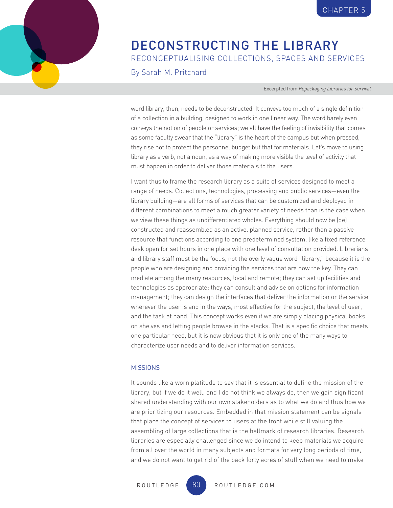

By Sarah M. Pritchard

Excerpted from *[Repackaging Libraries for Survival](https://www.routledge.com/The-Emerging-Research-Library/Lee/p/book/9780415851084)*

word library, then, needs to be deconstructed. It conveys too much of a single definition of a collection in a building, designed to work in one linear way. The word barely even conveys the notion of people or services; we all have the feeling of invisibility that comes as some faculty swear that the "library" is the heart of the campus but when pressed, they rise not to protect the personnel budget but that for materials. Let's move to using library as a verb, not a noun, as a way of making more visible the level of activity that must happen in order to deliver those materials to the users.

I want thus to frame the research library as a suite of services designed to meet a range of needs. Collections, technologies, processing and public services—even the library building—are all forms of services that can be customized and deployed in different combinations to meet a much greater variety of needs than is the case when we view these things as undifferentiated wholes. Everything should now be (de) constructed and reassembled as an active, planned service, rather than a passive resource that functions according to one predetermined system, like a fixed reference desk open for set hours in one place with one level of consultation provided. Librarians and library staff must be the focus, not the overly vague word "library," because it is the people who are designing and providing the services that are now the key. They can mediate among the many resources, local and remote; they can set up facilities and technologies as appropriate; they can consult and advise on options for information management; they can design the interfaces that deliver the information or the service wherever the user is and in the ways, most effective for the subject, the level of user, and the task at hand. This concept works even if we are simply placing physical books on shelves and letting people browse in the stacks. That is a specific choice that meets one particular need, but it is now obvious that it is only one of the many ways to characterize user needs and to deliver information services.

#### **MISSIONS**

It sounds like a worn platitude to say that it is essential to define the mission of the library, but if we do it well, and I do not think we always do, then we gain significant shared understanding with our own stakeholders as to what we do and thus how we are prioritizing our resources. Embedded in that mission statement can be signals that place the concept of services to users at the front while still valuing the assembling of large collections that is the hallmark of research libraries. Research libraries are especially challenged since we do intend to keep materials we acquire from all over the world in many subjects and formats for very long periods of time, and we do not want to get rid of the back forty acres of stuff when we need to make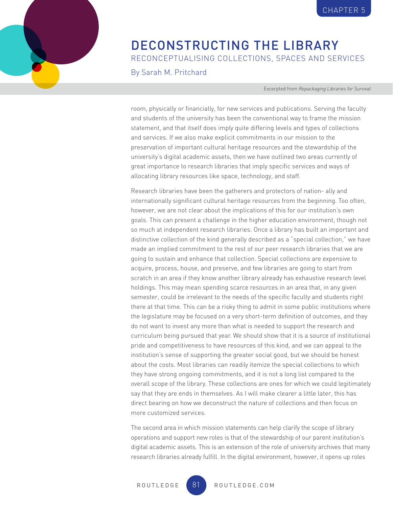

By Sarah M. Pritchard

Excerpted from *[Repackaging Libraries for Survival](https://www.routledge.com/The-Emerging-Research-Library/Lee/p/book/9780415851084)*

room, physically or financially, for new services and publications. Serving the faculty and students of the university has been the conventional way to frame the mission statement, and that itself does imply quite differing levels and types of collections and services. If we also make explicit commitments in our mission to the preservation of important cultural heritage resources and the stewardship of the university's digital academic assets, then we have outlined two areas currently of great importance to research libraries that imply specific services and ways of allocating library resources like space, technology, and staff.

Research libraries have been the gatherers and protectors of nation- ally and internationally significant cultural heritage resources from the beginning. Too often, however, we are not clear about the implications of this for our institution's own goals. This can present a challenge in the higher education environment, though not so much at independent research libraries. Once a library has built an important and distinctive collection of the kind generally described as a "special collection," we have made an implied commitment to the rest of our peer research libraries that we are going to sustain and enhance that collection. Special collections are expensive to acquire, process, house, and preserve, and few libraries are going to start from scratch in an area if they know another library already has exhaustive research level holdings. This may mean spending scarce resources in an area that, in any given semester, could be irrelevant to the needs of the specific faculty and students right there at that time. This can be a risky thing to admit in some public institutions where the legislature may be focused on a very short-term definition of outcomes, and they do not want to invest any more than what is needed to support the research and curriculum being pursued that year. We should show that it is a source of institutional pride and competitiveness to have resources of this kind, and we can appeal to the institution's sense of supporting the greater social good, but we should be honest about the costs. Most libraries can readily itemize the special collections to which they have strong ongoing commitments, and it is not a long list compared to the overall scope of the library. These collections are ones for which we could legitimately say that they are ends in themselves. As I will make clearer a little later, this has direct bearing on how we deconstruct the nature of collections and then focus on more customized services.

The second area in which mission statements can help clarify the scope of library operations and support new roles is that of the stewardship of our parent institution's digital academic assets. This is an extension of the role of university archives that many research libraries already fulfill. In the digital environment, however, it opens up roles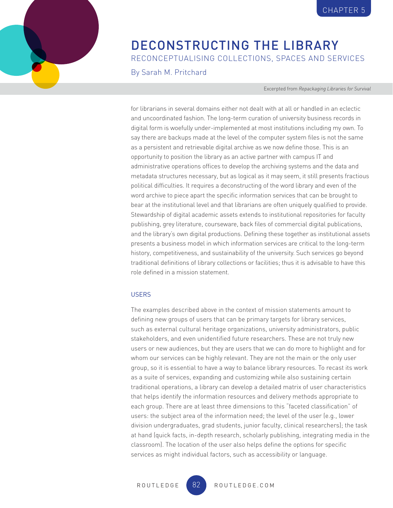

By Sarah M. Pritchard

Excerpted from *[Repackaging Libraries for Survival](https://www.routledge.com/The-Emerging-Research-Library/Lee/p/book/9780415851084)*

for librarians in several domains either not dealt with at all or handled in an eclectic and uncoordinated fashion. The long-term curation of university business records in digital form is woefully under-implemented at most institutions including my own. To say there are backups made at the level of the computer system files is not the same as a persistent and retrievable digital archive as we now define those. This is an opportunity to position the library as an active partner with campus IT and administrative operations offices to develop the archiving systems and the data and metadata structures necessary, but as logical as it may seem, it still presents fractious political difficulties. It requires a deconstructing of the word library and even of the word archive to piece apart the specific information services that can be brought to bear at the institutional level and that librarians are often uniquely qualified to provide. Stewardship of digital academic assets extends to institutional repositories for faculty publishing, grey literature, courseware, back files of commercial digital publications, and the library's own digital productions. Defining these together as institutional assets presents a business model in which information services are critical to the long-term history, competitiveness, and sustainability of the university. Such services go beyond traditional definitions of library collections or facilities; thus it is advisable to have this role defined in a mission statement.

#### **USERS**

The examples described above in the context of mission statements amount to defining new groups of users that can be primary targets for library services, such as external cultural heritage organizations, university administrators, public stakeholders, and even unidentified future researchers. These are not truly new users or new audiences, but they are users that we can do more to highlight and for whom our services can be highly relevant. They are not the main or the only user group, so it is essential to have a way to balance library resources. To recast its work as a suite of services, expanding and customizing while also sustaining certain traditional operations, a library can develop a detailed matrix of user characteristics that helps identify the information resources and delivery methods appropriate to each group. There are at least three dimensions to this "faceted classification" of users: the subject area of the information need; the level of the user (e.g., lower division undergraduates, grad students, junior faculty, clinical researchers); the task at hand (quick facts, in-depth research, scholarly publishing, integrating media in the classroom). The location of the user also helps define the options for specific services as might individual factors, such as accessibility or language.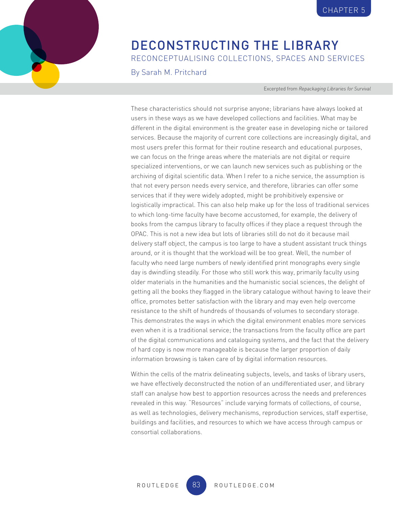

By Sarah M. Pritchard

Excerpted from *[Repackaging Libraries for Survival](https://www.routledge.com/The-Emerging-Research-Library/Lee/p/book/9780415851084)*

These characteristics should not surprise anyone; librarians have always looked at users in these ways as we have developed collections and facilities. What may be different in the digital environment is the greater ease in developing niche or tailored services. Because the majority of current core collections are increasingly digital, and most users prefer this format for their routine research and educational purposes, we can focus on the fringe areas where the materials are not digital or require specialized interventions, or we can launch new services such as publishing or the archiving of digital scientific data. When I refer to a niche service, the assumption is that not every person needs every service, and therefore, libraries can offer some services that if they were widely adopted, might be prohibitively expensive or logistically impractical. This can also help make up for the loss of traditional services to which long-time faculty have become accustomed, for example, the delivery of books from the campus library to faculty offices if they place a request through the OPAC. This is not a new idea but lots of libraries still do not do it because mail delivery staff object, the campus is too large to have a student assistant truck things around, or it is thought that the workload will be too great. Well, the number of faculty who need large numbers of newly identified print monographs every single day is dwindling steadily. For those who still work this way, primarily faculty using older materials in the humanities and the humanistic social sciences, the delight of getting all the books they flagged in the library catalogue without having to leave their office, promotes better satisfaction with the library and may even help overcome resistance to the shift of hundreds of thousands of volumes to secondary storage. This demonstrates the ways in which the digital environment enables more services even when it is a traditional service; the transactions from the faculty office are part of the digital communications and cataloguing systems, and the fact that the delivery of hard copy is now more manageable is because the larger proportion of daily information browsing is taken care of by digital information resources.

Within the cells of the matrix delineating subjects, levels, and tasks of library users, we have effectively deconstructed the notion of an undifferentiated user, and library staff can analyse how best to apportion resources across the needs and preferences revealed in this way. "Resources" include varying formats of collections, of course, as well as technologies, delivery mechanisms, reproduction services, staff expertise, buildings and facilities, and resources to which we have access through campus or consortial collaborations.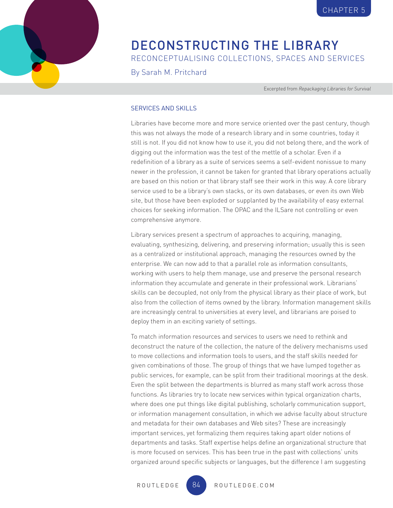

# DECONSTRUCTING THE LIBRARY

RECONCEPTUALISING COLLECTIONS, SPACES AND SERVICES

By Sarah M. Pritchard

Excerpted from *[Repackaging Libraries for Survival](https://www.routledge.com/The-Emerging-Research-Library/Lee/p/book/9780415851084)*

#### SERVICES AND SKILLS

Libraries have become more and more service oriented over the past century, though this was not always the mode of a research library and in some countries, today it still is not. If you did not know how to use it, you did not belong there, and the work of digging out the information was the test of the mettle of a scholar. Even if a redefinition of a library as a suite of services seems a self-evident nonissue to many newer in the profession, it cannot be taken for granted that library operations actually are based on this notion or that library staff see their work in this way. A core library service used to be a library's own stacks, or its own databases, or even its own Web site, but those have been exploded or supplanted by the availability of easy external choices for seeking information. The OPAC and the ILSare not controlling or even comprehensive anymore.

Library services present a spectrum of approaches to acquiring, managing, evaluating, synthesizing, delivering, and preserving information; usually this is seen as a centralized or institutional approach, managing the resources owned by the enterprise. We can now add to that a parallel role as information consultants, working with users to help them manage, use and preserve the personal research information they accumulate and generate in their professional work. Librarians' skills can be decoupled, not only from the physical library as their place of work, but also from the collection of items owned by the library. Information management skills are increasingly central to universities at every level, and librarians are poised to deploy them in an exciting variety of settings.

To match information resources and services to users we need to rethink and deconstruct the nature of the collection, the nature of the delivery mechanisms used to move collections and information tools to users, and the staff skills needed for given combinations of those. The group of things that we have lumped together as public services, for example, can be split from their traditional moorings at the desk. Even the split between the departments is blurred as many staff work across those functions. As libraries try to locate new services within typical organization charts, where does one put things like digital publishing, scholarly communication support, or information management consultation, in which we advise faculty about structure and metadata for their own databases and Web sites? These are increasingly important services, yet formalizing them requires taking apart older notions of departments and tasks. Staff expertise helps define an organizational structure that is more focused on services. This has been true in the past with collections' units organized around specific subjects or languages, but the difference I am suggesting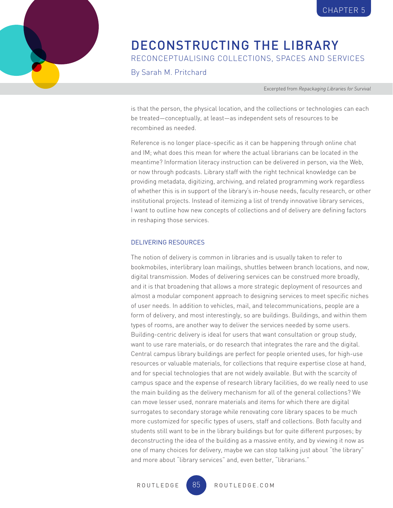

By Sarah M. Pritchard

Excerpted from *[Repackaging Libraries for Survival](https://www.routledge.com/The-Emerging-Research-Library/Lee/p/book/9780415851084)*

is that the person, the physical location, and the collections or technologies can each be treated—conceptually, at least—as independent sets of resources to be recombined as needed.

Reference is no longer place-specific as it can be happening through online chat and IM; what does this mean for where the actual librarians can be located in the meantime? Information literacy instruction can be delivered in person, via the Web, or now through podcasts. Library staff with the right technical knowledge can be providing metadata, digitizing, archiving, and related programming work regardless of whether this is in support of the library's in-house needs, faculty research, or other institutional projects. Instead of itemizing a list of trendy innovative library services, I want to outline how new concepts of collections and of delivery are defining factors in reshaping those services.

#### DELIVERING RESOURCES

The notion of delivery is common in libraries and is usually taken to refer to bookmobiles, interlibrary loan mailings, shuttles between branch locations, and now, digital transmission. Modes of delivering services can be construed more broadly, and it is that broadening that allows a more strategic deployment of resources and almost a modular component approach to designing services to meet specific niches of user needs. In addition to vehicles, mail, and telecommunications, people are a form of delivery, and most interestingly, so are buildings. Buildings, and within them types of rooms, are another way to deliver the services needed by some users. Building-centric delivery is ideal for users that want consultation or group study, want to use rare materials, or do research that integrates the rare and the digital. Central campus library buildings are perfect for people oriented uses, for high-use resources or valuable materials, for collections that require expertise close at hand, and for special technologies that are not widely available. But with the scarcity of campus space and the expense of research library facilities, do we really need to use the main building as the delivery mechanism for all of the general collections? We can move lesser used, nonrare materials and items for which there are digital surrogates to secondary storage while renovating core library spaces to be much more customized for specific types of users, staff and collections. Both faculty and students still want to be in the library buildings but for quite different purposes; by deconstructing the idea of the building as a massive entity, and by viewing it now as one of many choices for delivery, maybe we can stop talking just about "the library" and more about "library services" and, even better, "librarians."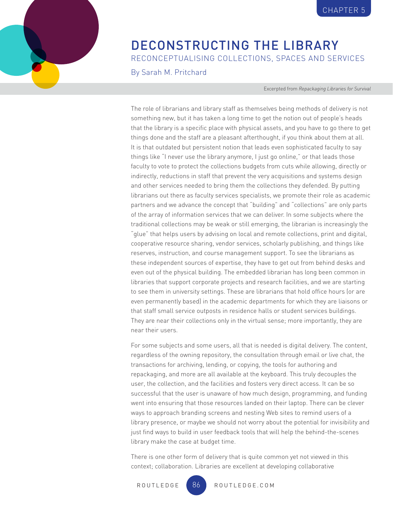

By Sarah M. Pritchard

Excerpted from *[Repackaging Libraries for Survival](https://www.routledge.com/The-Emerging-Research-Library/Lee/p/book/9780415851084)*

The role of librarians and library staff as themselves being methods of delivery is not something new, but it has taken a long time to get the notion out of people's heads that the library is a specific place with physical assets, and you have to go there to get things done and the staff are a pleasant afterthought, if you think about them at all. It is that outdated but persistent notion that leads even sophisticated faculty to say things like "I never use the library anymore, I just go online," or that leads those faculty to vote to protect the collections budgets from cuts while allowing, directly or indirectly, reductions in staff that prevent the very acquisitions and systems design and other services needed to bring them the collections they defended. By putting librarians out there as faculty services specialists, we promote their role as academic partners and we advance the concept that "building" and "collections" are only parts of the array of information services that we can deliver. In some subjects where the traditional collections may be weak or still emerging, the librarian is increasingly the "glue" that helps users by advising on local and remote collections, print and digital, cooperative resource sharing, vendor services, scholarly publishing, and things like reserves, instruction, and course management support. To see the librarians as these independent sources of expertise, they have to get out from behind desks and even out of the physical building. The embedded librarian has long been common in libraries that support corporate projects and research facilities, and we are starting to see them in university settings. These are librarians that hold office hours (or are even permanently based) in the academic departments for which they are liaisons or that staff small service outposts in residence halls or student services buildings. They are near their collections only in the virtual sense; more importantly, they are near their users.

For some subjects and some users, all that is needed is digital delivery. The content, regardless of the owning repository, the consultation through email or live chat, the transactions for archiving, lending, or copying, the tools for authoring and repackaging, and more are all available at the keyboard. This truly decouples the user, the collection, and the facilities and fosters very direct access. It can be so successful that the user is unaware of how much design, programming, and funding went into ensuring that those resources landed on their laptop. There can be clever ways to approach branding screens and nesting Web sites to remind users of a library presence, or maybe we should not worry about the potential for invisibility and just find ways to build in user feedback tools that will help the behind-the-scenes library make the case at budget time.

There is one other form of delivery that is quite common yet not viewed in this context; collaboration. Libraries are excellent at developing collaborative

86

ROUTLEDGE 86 ROUTLEDGE COM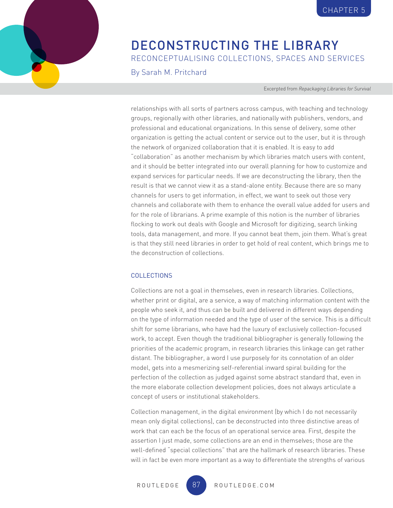

By Sarah M. Pritchard

Excerpted from *[Repackaging Libraries for Survival](https://www.routledge.com/The-Emerging-Research-Library/Lee/p/book/9780415851084)*

relationships with all sorts of partners across campus, with teaching and technology groups, regionally with other libraries, and nationally with publishers, vendors, and professional and educational organizations. In this sense of delivery, some other organization is getting the actual content or service out to the user, but it is through the network of organized collaboration that it is enabled. It is easy to add "collaboration" as another mechanism by which libraries match users with content, and it should be better integrated into our overall planning for how to customize and expand services for particular needs. If we are deconstructing the library, then the result is that we cannot view it as a stand-alone entity. Because there are so many channels for users to get information, in effect, we want to seek out those very channels and collaborate with them to enhance the overall value added for users and for the role of librarians. A prime example of this notion is the number of libraries flocking to work out deals with Google and Microsoft for digitizing, search linking tools, data management, and more. If you cannot beat them, join them. What's great is that they still need libraries in order to get hold of real content, which brings me to the deconstruction of collections.

#### **COLLECTIONS**

Collections are not a goal in themselves, even in research libraries. Collections, whether print or digital, are a service, a way of matching information content with the people who seek it, and thus can be built and delivered in different ways depending on the type of information needed and the type of user of the service. This is a difficult shift for some librarians, who have had the luxury of exclusively collection-focused work, to accept. Even though the traditional bibliographer is generally following the priorities of the academic program, in research libraries this linkage can get rather distant. The bibliographer, a word I use purposely for its connotation of an older model, gets into a mesmerizing self-referential inward spiral building for the perfection of the collection as judged against some abstract standard that, even in the more elaborate collection development policies, does not always articulate a concept of users or institutional stakeholders.

Collection management, in the digital environment (by which I do not necessarily mean only digital collections), can be deconstructed into three distinctive areas of work that can each be the focus of an operational service area. First, despite the assertion I just made, some collections are an end in themselves; those are the well-defined "special collections" that are the hallmark of research libraries. These will in fact be even more important as a way to differentiate the strengths of various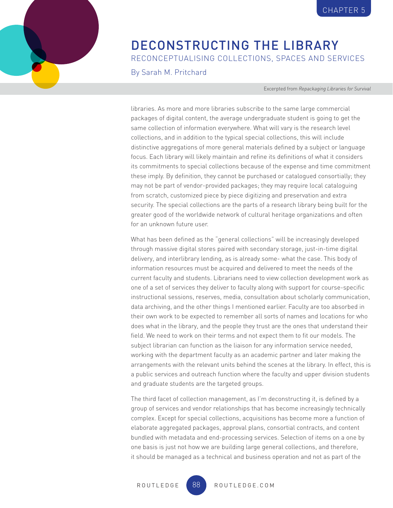

By Sarah M. Pritchard

Excerpted from *[Repackaging Libraries for Survival](https://www.routledge.com/The-Emerging-Research-Library/Lee/p/book/9780415851084)*

libraries. As more and more libraries subscribe to the same large commercial packages of digital content, the average undergraduate student is going to get the same collection of information everywhere. What will vary is the research level collections, and in addition to the typical special collections, this will include distinctive aggregations of more general materials defined by a subject or language focus. Each library will likely maintain and refine its definitions of what it considers its commitments to special collections because of the expense and time commitment these imply. By definition, they cannot be purchased or catalogued consortially; they may not be part of vendor-provided packages; they may require local cataloguing from scratch, customized piece by piece digitizing and preservation and extra security. The special collections are the parts of a research library being built for the greater good of the worldwide network of cultural heritage organizations and often for an unknown future user.

What has been defined as the "general collections" will be increasingly developed through massive digital stores paired with secondary storage, just-in-time digital delivery, and interlibrary lending, as is already some- what the case. This body of information resources must be acquired and delivered to meet the needs of the current faculty and students. Librarians need to view collection development work as one of a set of services they deliver to faculty along with support for course-specific instructional sessions, reserves, media, consultation about scholarly communication, data archiving, and the other things I mentioned earlier. Faculty are too absorbed in their own work to be expected to remember all sorts of names and locations for who does what in the library, and the people they trust are the ones that understand their field. We need to work on their terms and not expect them to fit our models. The subject librarian can function as the liaison for any information service needed, working with the department faculty as an academic partner and later making the arrangements with the relevant units behind the scenes at the library. In effect, this is a public services and outreach function where the faculty and upper division students and graduate students are the targeted groups.

The third facet of collection management, as I'm deconstructing it, is defined by a group of services and vendor relationships that has become increasingly technically complex. Except for special collections, acquisitions has become more a function of elaborate aggregated packages, approval plans, consortial contracts, and content bundled with metadata and end-processing services. Selection of items on a one by one basis is just not how we are building large general collections, and therefore, it should be managed as a technical and business operation and not as part of the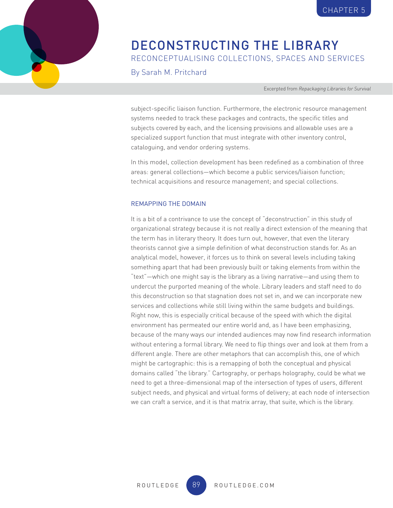

By Sarah M. Pritchard

Excerpted from *[Repackaging Libraries for Survival](https://www.routledge.com/The-Emerging-Research-Library/Lee/p/book/9780415851084)*

subject-specific liaison function. Furthermore, the electronic resource management systems needed to track these packages and contracts, the specific titles and subjects covered by each, and the licensing provisions and allowable uses are a specialized support function that must integrate with other inventory control, cataloguing, and vendor ordering systems.

In this model, collection development has been redefined as a combination of three areas: general collections—which become a public services/liaison function; technical acquisitions and resource management; and special collections.

#### REMAPPING THE DOMAIN

It is a bit of a contrivance to use the concept of "deconstruction" in this study of organizational strategy because it is not really a direct extension of the meaning that the term has in literary theory. It does turn out, however, that even the literary theorists cannot give a simple definition of what deconstruction stands for. As an analytical model, however, it forces us to think on several levels including taking something apart that had been previously built or taking elements from within the "text"—which one might say is the library as a living narrative—and using them to undercut the purported meaning of the whole. Library leaders and staff need to do this deconstruction so that stagnation does not set in, and we can incorporate new services and collections while still living within the same budgets and buildings. Right now, this is especially critical because of the speed with which the digital environment has permeated our entire world and, as I have been emphasizing, because of the many ways our intended audiences may now find research information without entering a formal library. We need to flip things over and look at them from a different angle. There are other metaphors that can accomplish this, one of which might be cartographic: this is a remapping of both the conceptual and physical domains called "the library." Cartography, or perhaps holography, could be what we need to get a three-dimensional map of the intersection of types of users, different subject needs, and physical and virtual forms of delivery; at each node of intersection we can craft a service, and it is that matrix array, that suite, which is the library.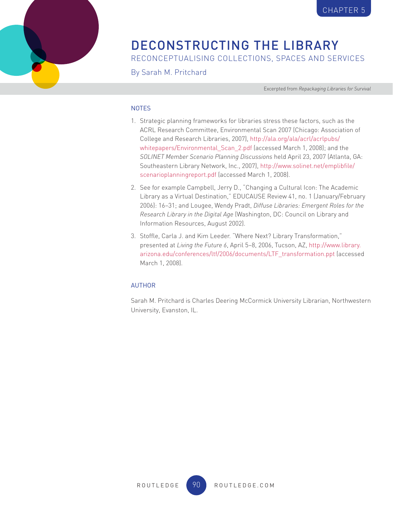

## DECONSTRUCTING THE LIBRARY

RECONCEPTUALISING COLLECTIONS, SPACES AND SERVICES

By Sarah M. Pritchard

Excerpted from *[Repackaging Libraries for Survival](https://www.routledge.com/The-Emerging-Research-Library/Lee/p/book/9780415851084)*

#### **NOTES**

- 1. Strategic planning frameworks for libraries stress these factors, such as the ACRL Research Committee, Environmental Scan 2007 (Chicago: Association of College and Research Libraries, 2007), [http://ala.org/ala/acrl/acrlpubs/](http://ala.org/ala/acrl/acrlpubs/whitepapers/Environmental_Scan_2.pdf) whitepapers/Environmental Scan 2.pdf (accessed March 1, 2008); and the *SOLINET Member Scenario Planning Discussions* held April 23, 2007 (Atlanta, GA: Southeastern Library Network, Inc., 2007), [http://www.solinet.net/emplibfile/](http://www.solinet.net/emplibﬁle/scenarioplanningreport.pdf) [scenarioplanningreport.pdf](http://www.solinet.net/emplibﬁle/scenarioplanningreport.pdf) (accessed March 1, 2008).
- 2. See for example Campbell, Jerry D., "Changing a Cultural Icon: The Academic Library as a Virtual Destination," EDUCAUSE Review 41, no. 1 (January/February 2006): 16–31; and Lougee, Wendy Pradt, *Diffuse Libraries: Emergent Roles for the Research Library in the Digital Age* (Washington, DC: Council on Library and Information Resources, August 2002).
- 3. Stoffle, Carla J. and Kim Leeder. "Where Next? Library Transformation," presented at *Living the Future 6*, April 5–8, 2006, Tucson, AZ, [http://www.library.](http://www.library.arizona.edu/conferences/ltf/2006/documents/LTF_transformation.ppt) [arizona.edu/conferences/ltf/2006/documents/LTF\\_transformation.ppt](http://www.library.arizona.edu/conferences/ltf/2006/documents/LTF_transformation.ppt) (accessed March 1, 2008).

### AUTHOR

Sarah M. Pritchard is Charles Deering McCormick University Librarian, Northwestern University, Evanston, IL.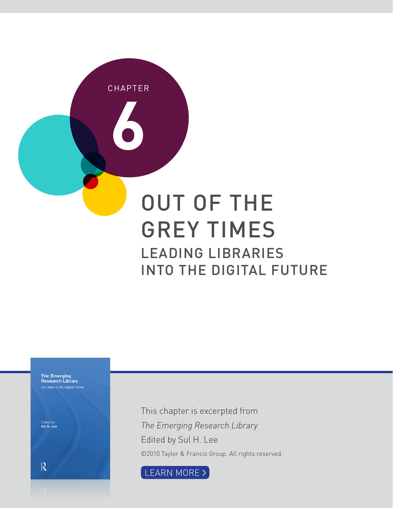

The Emerging<br>Research Library Our Role in the Digital Future

Edited by<br>Sul H. Lee

This chapter is excerpted from *The Emerging Research Library* Edited by Sul H. Lee ©2010 Taylor & Francis Group. All rights reserved.



 $\mathbf{R}$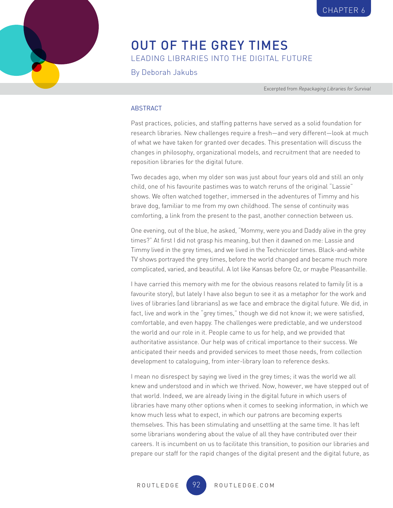

LEADING LIBRARIES INTO THE DIGITAL FUTURE

By Deborah Jakubs

Excerpted from *[Repackaging Libraries for Survival](https://www.routledge.com/The-Emerging-Research-Library/Lee/p/book/9780415851084)*

#### **ABSTRACT**

Past practices, policies, and staffing patterns have served as a solid foundation for research libraries. New challenges require a fresh—and very different—look at much of what we have taken for granted over decades. This presentation will discuss the changes in philosophy, organizational models, and recruitment that are needed to reposition libraries for the digital future.

Two decades ago, when my older son was just about four years old and still an only child, one of his favourite pastimes was to watch reruns of the original "Lassie" shows. We often watched together, immersed in the adventures of Timmy and his brave dog, familiar to me from my own childhood. The sense of continuity was comforting, a link from the present to the past, another connection between us.

One evening, out of the blue, he asked, "Mommy, were you and Daddy alive in the grey times?" At first I did not grasp his meaning, but then it dawned on me: Lassie and Timmy lived in the grey times, and we lived in the Technicolor times. Black-and-white TV shows portrayed the grey times, before the world changed and became much more complicated, varied, and beautiful. A lot like Kansas before Oz, or maybe Pleasantville.

I have carried this memory with me for the obvious reasons related to family (it is a favourite story), but lately I have also begun to see it as a metaphor for the work and lives of libraries (and librarians) as we face and embrace the digital future. We did, in fact, live and work in the "grey times," though we did not know it; we were satisfied, comfortable, and even happy. The challenges were predictable, and we understood the world and our role in it. People came to us for help, and we provided that authoritative assistance. Our help was of critical importance to their success. We anticipated their needs and provided services to meet those needs, from collection development to cataloguing, from inter-library loan to reference desks.

I mean no disrespect by saying we lived in the grey times; it was the world we all knew and understood and in which we thrived. Now, however, we have stepped out of that world. Indeed, we are already living in the digital future in which users of libraries have many other options when it comes to seeking information, in which we know much less what to expect, in which our patrons are becoming experts themselves. This has been stimulating and unsettling at the same time. It has left some librarians wondering about the value of all they have contributed over their careers. It is incumbent on us to facilitate this transition, to position our libraries and prepare our staff for the rapid changes of the digital present and the digital future, as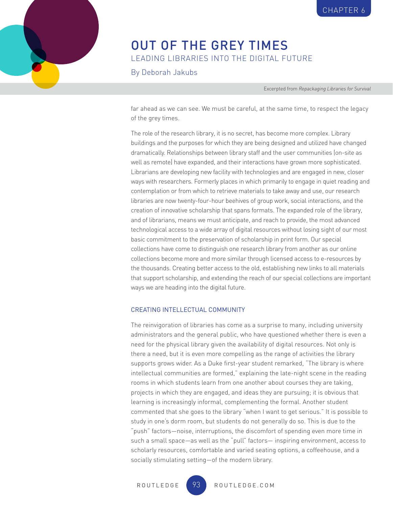

By Deborah Jakubs

Excerpted from *[Repackaging Libraries for Survival](https://www.routledge.com/The-Emerging-Research-Library/Lee/p/book/9780415851084)*

far ahead as we can see. We must be careful, at the same time, to respect the legacy of the grey times.

The role of the research library, it is no secret, has become more complex. Library buildings and the purposes for which they are being designed and utilized have changed dramatically. Relationships between library staff and the user communities (on-site as well as remote) have expanded, and their interactions have grown more sophisticated. Librarians are developing new facility with technologies and are engaged in new, closer ways with researchers. Formerly places in which primarily to engage in quiet reading and contemplation or from which to retrieve materials to take away and use, our research libraries are now twenty-four-hour beehives of group work, social interactions, and the creation of innovative scholarship that spans formats. The expanded role of the library, and of librarians, means we must anticipate, and reach to provide, the most advanced technological access to a wide array of digital resources without losing sight of our most basic commitment to the preservation of scholarship in print form. Our special collections have come to distinguish one research library from another as our online collections become more and more similar through licensed access to e-resources by the thousands. Creating better access to the old, establishing new links to all materials that support scholarship, and extending the reach of our special collections are important ways we are heading into the digital future.

#### CREATING INTELLECTUAL COMMUNITY

The reinvigoration of libraries has come as a surprise to many, including university administrators and the general public, who have questioned whether there is even a need for the physical library given the availability of digital resources. Not only is there a need, but it is even more compelling as the range of activities the library supports grows wider. As a Duke first-year student remarked, "The library is where intellectual communities are formed," explaining the late-night scene in the reading rooms in which students learn from one another about courses they are taking, projects in which they are engaged, and ideas they are pursuing; it is obvious that learning is increasingly informal, complementing the formal. Another student commented that she goes to the library "when I want to get serious." It is possible to study in one's dorm room, but students do not generally do so. This is due to the "push" factors—noise, interruptions, the discomfort of spending even more time in such a small space—as well as the "pull" factors— inspiring environment, access to scholarly resources, comfortable and varied seating options, a coffeehouse, and a socially stimulating setting—of the modern library.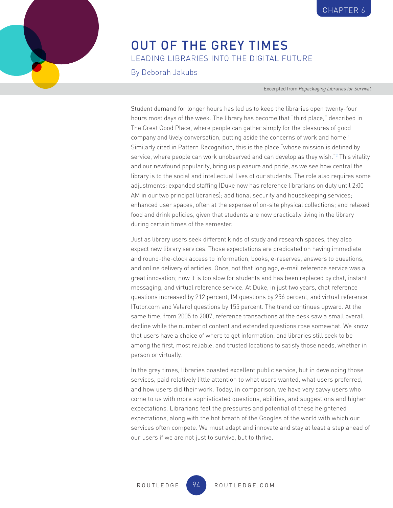

By Deborah Jakubs

Excerpted from *[Repackaging Libraries for Survival](https://www.routledge.com/The-Emerging-Research-Library/Lee/p/book/9780415851084)*

Student demand for longer hours has led us to keep the libraries open twenty-four hours most days of the week. The library has become that "third place," described in The Great Good Place, where people can gather simply for the pleasures of good company and lively conversation, putting aside the concerns of work and home.1 Similarly cited in Pattern Recognition, this is the place "whose mission is defined by service, where people can work unobserved and can develop as they wish."<sup>2</sup> This vitality and our newfound popularity, bring us pleasure and pride, as we see how central the library is to the social and intellectual lives of our students. The role also requires some adjustments: expanded staffing (Duke now has reference librarians on duty until 2:00 AM in our two principal libraries); additional security and housekeeping services; enhanced user spaces, often at the expense of on-site physical collections; and relaxed food and drink policies, given that students are now practically living in the library during certain times of the semester.

Just as library users seek different kinds of study and research spaces, they also expect new library services. Those expectations are predicated on having immediate and round-the-clock access to information, books, e-reserves, answers to questions, and online delivery of articles. Once, not that long ago, e-mail reference service was a great innovation; now it is too slow for students and has been replaced by chat, instant messaging, and virtual reference service. At Duke, in just two years, chat reference questions increased by 212 percent, IM questions by 256 percent, and virtual reference (Tutor.com and Velaro) questions by 155 percent. The trend continues upward. At the same time, from 2005 to 2007, reference transactions at the desk saw a small overall decline while the number of content and extended questions rose somewhat. We know that users have a choice of where to get information, and libraries still seek to be among the first, most reliable, and trusted locations to satisfy those needs, whether in person or virtually.

In the grey times, libraries boasted excellent public service, but in developing those services, paid relatively little attention to what users wanted, what users preferred, and how users did their work. Today, in comparison, we have very savvy users who come to us with more sophisticated questions, abilities, and suggestions and higher expectations. Librarians feel the pressures and potential of these heightened expectations, along with the hot breath of the Googles of the world with which our services often compete. We must adapt and innovate and stay at least a step ahead of our users if we are not just to survive, but to thrive.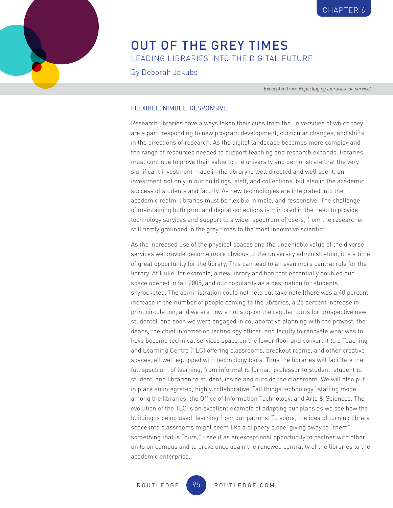

LEADING LIBRARIES INTO THE DIGITAL FUTURE

By Deborah Jakubs

Excerpted from *[Repackaging Libraries for Survival](https://www.routledge.com/The-Emerging-Research-Library/Lee/p/book/9780415851084)*

### FLEXIBLE, NIMBLE, RESPONSIVE

Research libraries have always taken their cues from the universities of which they are a part, responding to new program development, curricular changes, and shifts in the directions of research. As the digital landscape becomes more complex and the range of resources needed to support teaching and research expands, libraries must continue to prove their value to the university and demonstrate that the very significant investment made in the library is well directed and well spent, an investment not only in our buildings, staff, and collections, but also in the academic success of students and faculty. As new technologies are integrated into the academic realm, libraries must be flexible, nimble, and responsive. The challenge of maintaining both print and digital collections is mirrored in the need to provide technology services and support to a wider spectrum of users, from the researcher still firmly grounded in the grey times to the most innovative scientist.

As the increased use of the physical spaces and the undeniable value of the diverse services we provide become more obvious to the university administration, it is a time of great opportunity for the library. This can lead to an even more central role for the library. At Duke, for example, a new library addition that essentially doubled our space opened in fall 2005, and our popularity as a destination for students skyrocketed. The administration could not help but take note (there was a 40 percent increase in the number of people coming to the libraries, a 25 percent increase in print circulation, and we are now a hot stop on the regular tours for prospective new students), and soon we were engaged in collaborative planning with the provost, the deans, the chief information technology officer, and faculty to renovate what was to have become technical services space on the lower floor and convert it to a Teaching and Learning Centre (TLC) offering classrooms, breakout rooms, and other creative spaces, all well equipped with technology tools. Thus the libraries will facilitate the full spectrum of learning, from informal to formal, professor to student, student to student, and librarian to student, inside and outside the classroom. We will also put in place an integrated, highly collaborative, "all things technology" staffing model among the libraries, the Office of Information Technology, and Arts & Sciences. The evolution of the TLC is an excellent example of adapting our plans as we see how the building is being used, learning from our patrons. To some, the idea of turning library space into classrooms might seem like a slippery slope, giving away to "them" something that is "ours;" I see it as an exceptional opportunity to partner with other units on campus and to prove once again the renewed centrality of the libraries to the academic enterprise.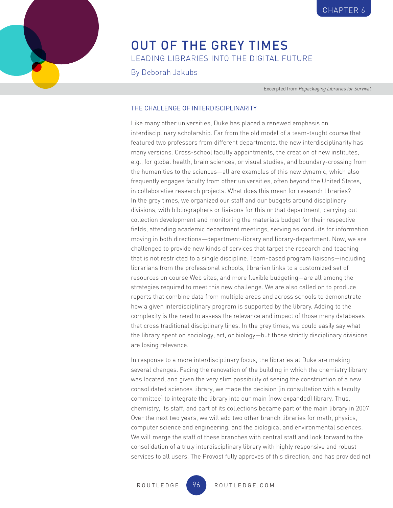

LEADING LIBRARIES INTO THE DIGITAL FUTURE

By Deborah Jakubs

Excerpted from *[Repackaging Libraries for Survival](https://www.routledge.com/The-Emerging-Research-Library/Lee/p/book/9780415851084)*

### THE CHALLENGE OF INTERDISCIPLINARITY

Like many other universities, Duke has placed a renewed emphasis on interdisciplinary scholarship. Far from the old model of a team-taught course that featured two professors from different departments, the new interdisciplinarity has many versions. Cross-school faculty appointments, the creation of new institutes, e.g., for global health, brain sciences, or visual studies, and boundary-crossing from the humanities to the sciences—all are examples of this new dynamic, which also frequently engages faculty from other universities, often beyond the United States, in collaborative research projects. What does this mean for research libraries? In the grey times, we organized our staff and our budgets around disciplinary divisions, with bibliographers or liaisons for this or that department, carrying out collection development and monitoring the materials budget for their respective fields, attending academic department meetings, serving as conduits for information moving in both directions—department-library and library-department. Now, we are challenged to provide new kinds of services that target the research and teaching that is not restricted to a single discipline. Team-based program liaisons—including librarians from the professional schools, librarian links to a customized set of resources on course Web sites, and more flexible budgeting—are all among the strategies required to meet this new challenge. We are also called on to produce reports that combine data from multiple areas and across schools to demonstrate how a given interdisciplinary program is supported by the library. Adding to the complexity is the need to assess the relevance and impact of those many databases that cross traditional disciplinary lines. In the grey times, we could easily say what the library spent on sociology, art, or biology—but those strictly disciplinary divisions are losing relevance.

In response to a more interdisciplinary focus, the libraries at Duke are making several changes. Facing the renovation of the building in which the chemistry library was located, and given the very slim possibility of seeing the construction of a new consolidated sciences library, we made the decision (in consultation with a faculty committee) to integrate the library into our main (now expanded) library. Thus, chemistry, its staff, and part of its collections became part of the main library in 2007. Over the next two years, we will add two other branch libraries for math, physics, computer science and engineering, and the biological and environmental sciences. We will merge the staff of these branches with central staff and look forward to the consolidation of a truly interdisciplinary library with highly responsive and robust services to all users. The Provost fully approves of this direction, and has provided not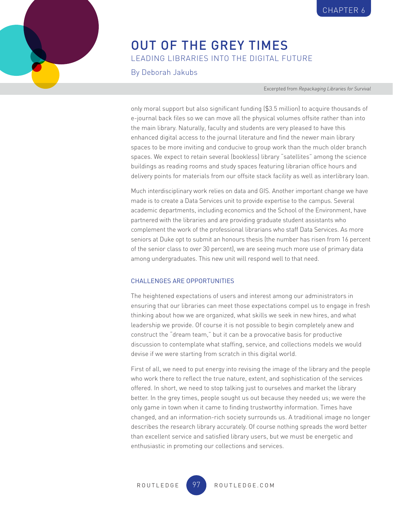



LEADING LIBRARIES INTO THE DIGITAL FUTURE

By Deborah Jakubs

Excerpted from *[Repackaging Libraries for Survival](https://www.routledge.com/The-Emerging-Research-Library/Lee/p/book/9780415851084)*

only moral support but also significant funding (\$3.5 million) to acquire thousands of e-journal back files so we can move all the physical volumes offsite rather than into the main library. Naturally, faculty and students are very pleased to have this enhanced digital access to the journal literature and find the newer main library spaces to be more inviting and conducive to group work than the much older branch spaces. We expect to retain several (bookless) library "satellites" among the science buildings as reading rooms and study spaces featuring librarian office hours and delivery points for materials from our offsite stack facility as well as interlibrary loan.

Much interdisciplinary work relies on data and GIS. Another important change we have made is to create a Data Services unit to provide expertise to the campus. Several academic departments, including economics and the School of the Environment, have partnered with the libraries and are providing graduate student assistants who complement the work of the professional librarians who staff Data Services. As more seniors at Duke opt to submit an honours thesis (the number has risen from 16 percent of the senior class to over 30 percent), we are seeing much more use of primary data among undergraduates. This new unit will respond well to that need.

#### CHALLENGES ARE OPPORTUNITIES

The heightened expectations of users and interest among our administrators in ensuring that our libraries can meet those expectations compel us to engage in fresh thinking about how we are organized, what skills we seek in new hires, and what leadership we provide. Of course it is not possible to begin completely anew and construct the "dream team," but it can be a provocative basis for productive discussion to contemplate what staffing, service, and collections models we would devise if we were starting from scratch in this digital world.

First of all, we need to put energy into revising the image of the library and the people who work there to reflect the true nature, extent, and sophistication of the services offered. In short, we need to stop talking just to ourselves and market the library better. In the grey times, people sought us out because they needed us; we were the only game in town when it came to finding trustworthy information. Times have changed, and an information-rich society surrounds us. A traditional image no longer describes the research library accurately. Of course nothing spreads the word better than excellent service and satisfied library users, but we must be energetic and enthusiastic in promoting our collections and services.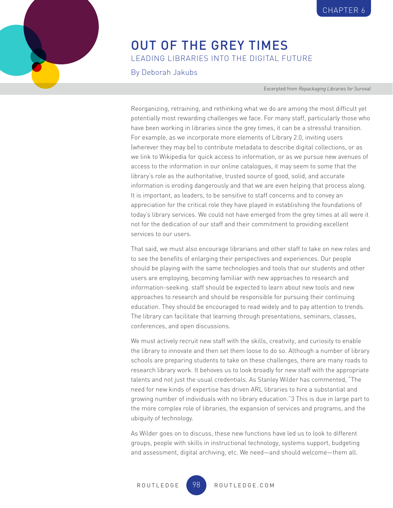

By Deborah Jakubs

Excerpted from *[Repackaging Libraries for Survival](https://www.routledge.com/The-Emerging-Research-Library/Lee/p/book/9780415851084)*

Reorganizing, retraining, and rethinking what we do are among the most difficult yet potentially most rewarding challenges we face. For many staff, particularly those who have been working in libraries since the grey times, it can be a stressful transition. For example, as we incorporate more elements of Library 2.0, inviting users (wherever they may be) to contribute metadata to describe digital collections, or as we link to Wikipedia for quick access to information, or as we pursue new avenues of access to the information in our online catalogues, it may seem to some that the library's role as the authoritative, trusted source of good, solid, and accurate information is eroding dangerously and that we are even helping that process along. It is important, as leaders, to be sensitive to staff concerns and to convey an appreciation for the critical role they have played in establishing the foundations of today's library services. We could not have emerged from the grey times at all were it not for the dedication of our staff and their commitment to providing excellent services to our users.

That said, we must also encourage librarians and other staff to take on new roles and to see the benefits of enlarging their perspectives and experiences. Our people should be playing with the same technologies and tools that our students and other users are employing, becoming familiar with new approaches to research and information-seeking. staff should be expected to learn about new tools and new approaches to research and should be responsible for pursuing their continuing education. They should be encouraged to read widely and to pay attention to trends. The library can facilitate that learning through presentations, seminars, classes, conferences, and open discussions.

We must actively recruit new staff with the skills, creativity, and curiosity to enable the library to innovate and then set them loose to do so. Although a number of library schools are preparing students to take on these challenges, there are many roads to research library work. It behoves us to look broadly for new staff with the appropriate talents and not just the usual credentials. As Stanley Wilder has commented, "The need for new kinds of expertise has driven ARL libraries to hire a substantial and growing number of individuals with no library education."3 This is due in large part to the more complex role of libraries, the expansion of services and programs, and the ubiquity of technology.

As Wilder goes on to discuss, these new functions have led us to look to different groups, people with skills in instructional technology, systems support, budgeting and assessment, digital archiving, etc. We need—and should welcome—them all.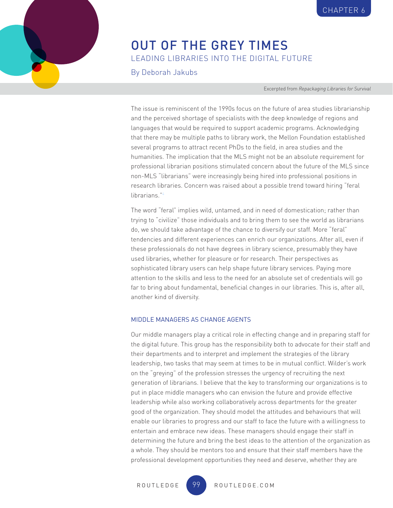

By Deborah Jakubs

Excerpted from *[Repackaging Libraries for Survival](https://www.routledge.com/The-Emerging-Research-Library/Lee/p/book/9780415851084)*

The issue is reminiscent of the 1990s focus on the future of area studies librarianship and the perceived shortage of specialists with the deep knowledge of regions and languages that would be required to support academic programs. Acknowledging that there may be multiple paths to library work, the Mellon Foundation established several programs to attract recent PhDs to the field, in area studies and the humanities. The implication that the MLS might not be an absolute requirement for professional librarian positions stimulated concern about the future of the MLS since non-MLS "librarians" were increasingly being hired into professional positions in research libraries. Concern was raised about a possible trend toward hiring "feral librarians<sup>"4</sup>

The word "feral" implies wild, untamed, and in need of domestication; rather than trying to "civilize" those individuals and to bring them to see the world as librarians do, we should take advantage of the chance to diversify our staff. More "feral" tendencies and different experiences can enrich our organizations. After all, even if these professionals do not have degrees in library science, presumably they have used libraries, whether for pleasure or for research. Their perspectives as sophisticated library users can help shape future library services. Paying more attention to the skills and less to the need for an absolute set of credentials will go far to bring about fundamental, beneficial changes in our libraries. This is, after all, another kind of diversity.

#### MIDDLE MANAGERS AS CHANGE AGENTS

Our middle managers play a critical role in effecting change and in preparing staff for the digital future. This group has the responsibility both to advocate for their staff and their departments and to interpret and implement the strategies of the library leadership, two tasks that may seem at times to be in mutual conflict. Wilder's work on the "greying" of the profession stresses the urgency of recruiting the next generation of librarians. I believe that the key to transforming our organizations is to put in place middle managers who can envision the future and provide effective leadership while also working collaboratively across departments for the greater good of the organization. They should model the attitudes and behaviours that will enable our libraries to progress and our staff to face the future with a willingness to entertain and embrace new ideas. These managers should engage their staff in determining the future and bring the best ideas to the attention of the organization as a whole. They should be mentors too and ensure that their staff members have the professional development opportunities they need and deserve, whether they are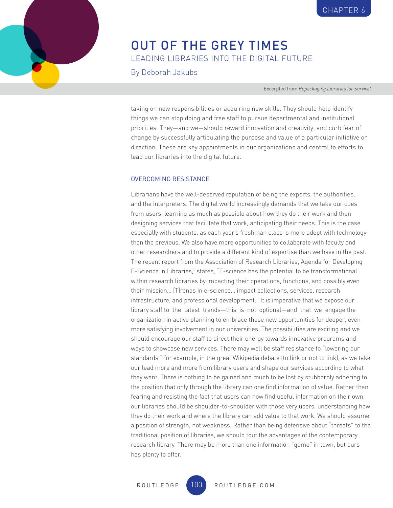

By Deborah Jakubs

Excerpted from *[Repackaging Libraries for Survival](https://www.routledge.com/The-Emerging-Research-Library/Lee/p/book/9780415851084)*

taking on new responsibilities or acquiring new skills. They should help identify things we can stop doing and free staff to pursue departmental and institutional priorities. They—and we—should reward innovation and creativity, and curb fear of change by successfully articulating the purpose and value of a particular initiative or direction. These are key appointments in our organizations and central to efforts to lead our libraries into the digital future.

#### OVERCOMING RESISTANCE

Librarians have the well-deserved reputation of being the experts, the authorities, and the interpreters. The digital world increasingly demands that we take our cues from users, learning as much as possible about how they do their work and then designing services that facilitate that work, anticipating their needs. This is the case especially with students, as each year's freshman class is more adept with technology than the previous. We also have more opportunities to collaborate with faculty and other researchers and to provide a different kind of expertise than we have in the past. The recent report from the Association of Research Libraries, Agenda for Developing E-Science in Libraries,<sup>5</sup> states, "E-science has the potential to be transformational within research libraries by impacting their operations, functions, and possibly even their mission… [T]rends in e-science… impact collections, services, research infrastructure, and professional development." It is imperative that we expose our library staff to the latest trends—this is not optional—and that we engage the organization in active planning to embrace these new opportunities for deeper, even more satisfying involvement in our universities. The possibilities are exciting and we should encourage our staff to direct their energy towards innovative programs and ways to showcase new services. There may well be staff resistance to "lowering our standards," for example, in the great Wikipedia debate (to link or not to link), as we take our lead more and more from library users and shape our services according to what they want. There is nothing to be gained and much to be lost by stubbornly adhering to the position that only through the library can one find information of value. Rather than fearing and resisting the fact that users can now find useful information on their own, our libraries should be shoulder-to-shoulder with those very users, understanding how they do their work and where the library can add value to that work. We should assume a position of strength, not weakness. Rather than being defensive about "threats" to the traditional position of libraries, we should tout the advantages of the contemporary research library. There may be more than one information "game" in town, but ours has plenty to offer.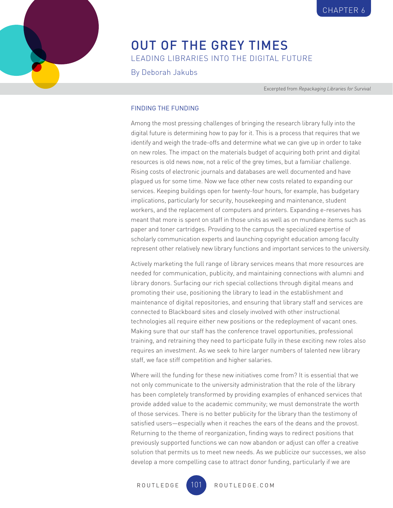

LEADING LIBRARIES INTO THE DIGITAL FUTURE

By Deborah Jakubs

Excerpted from *[Repackaging Libraries for Survival](https://www.routledge.com/The-Emerging-Research-Library/Lee/p/book/9780415851084)*

#### FINDING THE FUNDING

Among the most pressing challenges of bringing the research library fully into the digital future is determining how to pay for it. This is a process that requires that we identify and weigh the trade-offs and determine what we can give up in order to take on new roles. The impact on the materials budget of acquiring both print and digital resources is old news now, not a relic of the grey times, but a familiar challenge. Rising costs of electronic journals and databases are well documented and have plagued us for some time. Now we face other new costs related to expanding our services. Keeping buildings open for twenty-four hours, for example, has budgetary implications, particularly for security, housekeeping and maintenance, student workers, and the replacement of computers and printers. Expanding e-reserves has meant that more is spent on staff in those units as well as on mundane items such as paper and toner cartridges. Providing to the campus the specialized expertise of scholarly communication experts and launching copyright education among faculty represent other relatively new library functions and important services to the university.

Actively marketing the full range of library services means that more resources are needed for communication, publicity, and maintaining connections with alumni and library donors. Surfacing our rich special collections through digital means and promoting their use, positioning the library to lead in the establishment and maintenance of digital repositories, and ensuring that library staff and services are connected to Blackboard sites and closely involved with other instructional technologies all require either new positions or the redeployment of vacant ones. Making sure that our staff has the conference travel opportunities, professional training, and retraining they need to participate fully in these exciting new roles also requires an investment. As we seek to hire larger numbers of talented new library staff, we face stiff competition and higher salaries.

Where will the funding for these new initiatives come from? It is essential that we not only communicate to the university administration that the role of the library has been completely transformed by providing examples of enhanced services that provide added value to the academic community; we must demonstrate the worth of those services. There is no better publicity for the library than the testimony of satisfied users—especially when it reaches the ears of the deans and the provost. Returning to the theme of reorganization, finding ways to redirect positions that previously supported functions we can now abandon or adjust can offer a creative solution that permits us to meet new needs. As we publicize our successes, we also develop a more compelling case to attract donor funding, particularly if we are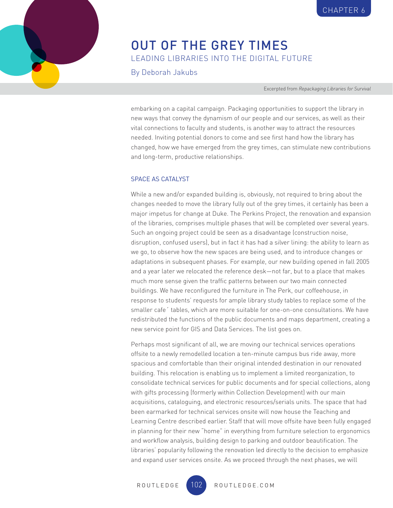

By Deborah Jakubs

Excerpted from *[Repackaging Libraries for Survival](https://www.routledge.com/The-Emerging-Research-Library/Lee/p/book/9780415851084)*

embarking on a capital campaign. Packaging opportunities to support the library in new ways that convey the dynamism of our people and our services, as well as their vital connections to faculty and students, is another way to attract the resources needed. Inviting potential donors to come and see first hand how the library has changed, how we have emerged from the grey times, can stimulate new contributions and long-term, productive relationships.

#### SPACE AS CATALYST

While a new and/or expanded building is, obviously, not required to bring about the changes needed to move the library fully out of the grey times, it certainly has been a major impetus for change at Duke. The Perkins Project, the renovation and expansion of the libraries, comprises multiple phases that will be completed over several years. Such an ongoing project could be seen as a disadvantage (construction noise, disruption, confused users), but in fact it has had a silver lining: the ability to learn as we go, to observe how the new spaces are being used, and to introduce changes or adaptations in subsequent phases. For example, our new building opened in fall 2005 and a year later we relocated the reference desk—not far, but to a place that makes much more sense given the traffic patterns between our two main connected buildings. We have reconfigured the furniture in The Perk, our coffeehouse, in response to students' requests for ample library study tables to replace some of the smaller cafe´ tables, which are more suitable for one-on-one consultations. We have redistributed the functions of the public documents and maps department, creating a new service point for GIS and Data Services. The list goes on.

Perhaps most significant of all, we are moving our technical services operations offsite to a newly remodelled location a ten-minute campus bus ride away, more spacious and comfortable than their original intended destination in our renovated building. This relocation is enabling us to implement a limited reorganization, to consolidate technical services for public documents and for special collections, along with gifts processing (formerly within Collection Development) with our main acquisitions, cataloguing, and electronic resources/serials units. The space that had been earmarked for technical services onsite will now house the Teaching and Learning Centre described earlier. Staff that will move offsite have been fully engaged in planning for their new "home" in everything from furniture selection to ergonomics and workflow analysis, building design to parking and outdoor beautification. The libraries' popularity following the renovation led directly to the decision to emphasize and expand user services onsite. As we proceed through the next phases, we will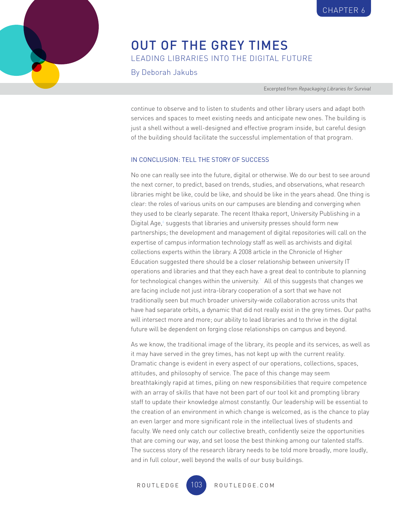

By Deborah Jakubs

Excerpted from *[Repackaging Libraries for Survival](https://www.routledge.com/The-Emerging-Research-Library/Lee/p/book/9780415851084)*

continue to observe and to listen to students and other library users and adapt both services and spaces to meet existing needs and anticipate new ones. The building is just a shell without a well-designed and effective program inside, but careful design of the building should facilitate the successful implementation of that program.

#### IN CONCLUSION: TELL THE STORY OF SUCCESS

No one can really see into the future, digital or otherwise. We do our best to see around the next corner, to predict, based on trends, studies, and observations, what research libraries might be like, could be like, and should be like in the years ahead. One thing is clear: the roles of various units on our campuses are blending and converging when they used to be clearly separate. The recent Ithaka report, University Publishing in a Digital Age,<sup>6</sup> suggests that libraries and university presses should form new partnerships; the development and management of digital repositories will call on the expertise of campus information technology staff as well as archivists and digital collections experts within the library. A 2008 article in the Chronicle of Higher Education suggested there should be a closer relationship between university IT operations and libraries and that they each have a great deal to contribute to planning for technological changes within the university.<sup>7</sup> All of this suggests that changes we are facing include not just intra-library cooperation of a sort that we have not traditionally seen but much broader university-wide collaboration across units that have had separate orbits, a dynamic that did not really exist in the grey times. Our paths will intersect more and more; our ability to lead libraries and to thrive in the digital future will be dependent on forging close relationships on campus and beyond.

As we know, the traditional image of the library, its people and its services, as well as it may have served in the grey times, has not kept up with the current reality. Dramatic change is evident in every aspect of our operations, collections, spaces, attitudes, and philosophy of service. The pace of this change may seem breathtakingly rapid at times, piling on new responsibilities that require competence with an array of skills that have not been part of our tool kit and prompting library staff to update their knowledge almost constantly. Our leadership will be essential to the creation of an environment in which change is welcomed, as is the chance to play an even larger and more significant role in the intellectual lives of students and faculty. We need only catch our collective breath, confidently seize the opportunities that are coming our way, and set loose the best thinking among our talented staffs. The success story of the research library needs to be told more broadly, more loudly, and in full colour, well beyond the walls of our busy buildings.